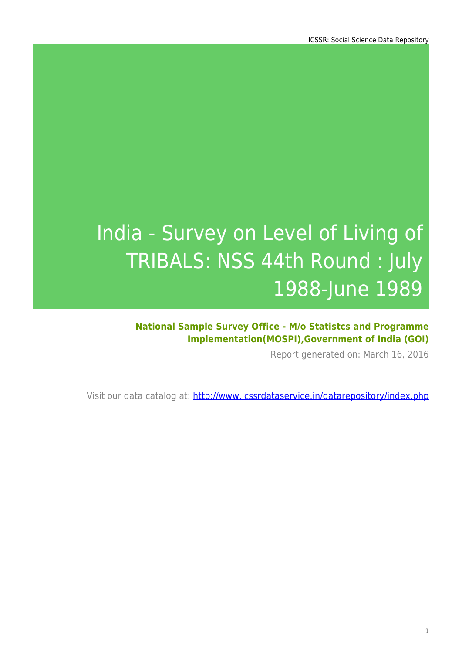# India - Survey on Level of Living of TRIBALS: NSS 44th Round : July 1988-June 1989

### **National Sample Survey Office - M/o Statistcs and Programme Implementation(MOSPI),Government of India (GOI)**

Report generated on: March 16, 2016

Visit our data catalog at: http://www.icssrdataservice.in/datarepository/index.php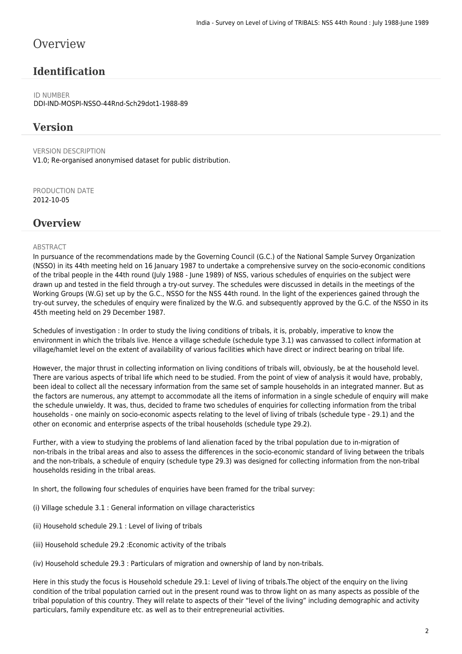### **Overview**

### **Identification**

ID NUMBER DDI-IND-MOSPI-NSSO-44Rnd-Sch29dot1-1988-89

### **Version**

VERSION DESCRIPTION V1.0; Re-organised anonymised dataset for public distribution.

PRODUCTION DATE 2012-10-05

### **Overview**

#### ABSTRACT

In pursuance of the recommendations made by the Governing Council (G.C.) of the National Sample Survey Organization (NSSO) in its 44th meeting held on 16 January 1987 to undertake a comprehensive survey on the socio-economic conditions of the tribal people in the 44th round (July 1988 - June 1989) of NSS, various schedules of enquiries on the subject were drawn up and tested in the field through a try-out survey. The schedules were discussed in details in the meetings of the Working Groups (W.G) set up by the G.C., NSSO for the NSS 44th round. In the light of the experiences gained through the try-out survey, the schedules of enquiry were finalized by the W.G. and subsequently approved by the G.C. of the NSSO in its 45th meeting held on 29 December 1987.

Schedules of investigation : In order to study the living conditions of tribals, it is, probably, imperative to know the environment in which the tribals live. Hence a village schedule (schedule type 3.1) was canvassed to collect information at village/hamlet level on the extent of availability of various facilities which have direct or indirect bearing on tribal life.

However, the major thrust in collecting information on living conditions of tribals will, obviously, be at the household level. There are various aspects of tribal life which need to be studied. From the point of view of analysis it would have, probably, been ideal to collect all the necessary information from the same set of sample households in an integrated manner. But as the factors are numerous, any attempt to accommodate all the items of information in a single schedule of enquiry will make the schedule unwieldy. It was, thus, decided to frame two schedules of enquiries for collecting information from the tribal households - one mainly on socio-economic aspects relating to the level of living of tribals (schedule type - 29.1) and the other on economic and enterprise aspects of the tribal households (schedule type 29.2).

Further, with a view to studying the problems of land alienation faced by the tribal population due to in-migration of non-tribals in the tribal areas and also to assess the differences in the socio-economic standard of living between the tribals and the non-tribals, a schedule of enquiry (schedule type 29.3) was designed for collecting information from the non-tribal households residing in the tribal areas.

In short, the following four schedules of enquiries have been framed for the tribal survey:

(i) Village schedule 3.1 : General information on village characteristics

- (ii) Household schedule 29.1 : Level of living of tribals
- (iii) Household schedule 29.2 :Economic activity of the tribals

(iv) Household schedule 29.3 : Particulars of migration and ownership of land by non-tribals.

Here in this study the focus is Household schedule 29.1: Level of living of tribals.The object of the enquiry on the living condition of the tribal population carried out in the present round was to throw light on as many aspects as possible of the tribal population of this country. They will relate to aspects of their "level of the living" including demographic and activity particulars, family expenditure etc. as well as to their entrepreneurial activities.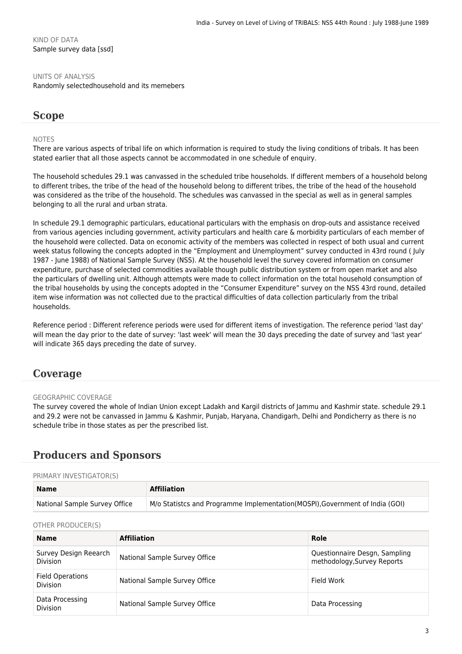KIND OF DATA Sample survey data [ssd]

#### UNITS OF ANALYSIS

Randomly selectedhousehold and its memebers

### **Scope**

#### NOTES

There are various aspects of tribal life on which information is required to study the living conditions of tribals. It has been stated earlier that all those aspects cannot be accommodated in one schedule of enquiry.

The household schedules 29.1 was canvassed in the scheduled tribe households. If different members of a household belong to different tribes, the tribe of the head of the household belong to different tribes, the tribe of the head of the household was considered as the tribe of the household. The schedules was canvassed in the special as well as in general samples belonging to all the rural and urban strata.

In schedule 29.1 demographic particulars, educational particulars with the emphasis on drop-outs and assistance received from various agencies including government, activity particulars and health care & morbidity particulars of each member of the household were collected. Data on economic activity of the members was collected in respect of both usual and current week status following the concepts adopted in the "Employment and Unemployment" survey conducted in 43rd round ( July 1987 - June 1988) of National Sample Survey (NSS). At the household level the survey covered information on consumer expenditure, purchase of selected commodities available though public distribution system or from open market and also the particulars of dwelling unit. Although attempts were made to collect information on the total household consumption of the tribal households by using the concepts adopted in the "Consumer Expenditure" survey on the NSS 43rd round, detailed item wise information was not collected due to the practical difficulties of data collection particularly from the tribal households.

Reference period : Different reference periods were used for different items of investigation. The reference period 'last day' will mean the day prior to the date of survey: 'last week' will mean the 30 days preceding the date of survey and 'last year' will indicate 365 days preceding the date of survey.

#### **Coverage**

#### GEOGRAPHIC COVERAGE

The survey covered the whole of Indian Union except Ladakh and Kargil districts of Jammu and Kashmir state. schedule 29.1 and 29.2 were not be canvassed in Jammu & Kashmir, Punjab, Haryana, Chandigarh, Delhi and Pondicherry as there is no schedule tribe in those states as per the prescribed list.

### **Producers and Sponsors**

#### PRIMARY INVESTIGATOR(S)

| <b>Name</b>                   | <b>Affiliation</b>                                                           |
|-------------------------------|------------------------------------------------------------------------------|
| National Sample Survey Office | M/o Statistcs and Programme Implementation(MOSPI), Government of India (GOI) |

#### OTHER PRODUCER(S)

| <b>Name</b>                                | <b>Affiliation</b>            | Role                                                         |
|--------------------------------------------|-------------------------------|--------------------------------------------------------------|
| Survey Design Reearch<br><b>Division</b>   | National Sample Survey Office | Questionnaire Desgn, Sampling<br>methodology, Survey Reports |
| <b>Field Operations</b><br><b>Division</b> | National Sample Survey Office | Field Work                                                   |
| Data Processing<br><b>Division</b>         | National Sample Survey Office | Data Processing                                              |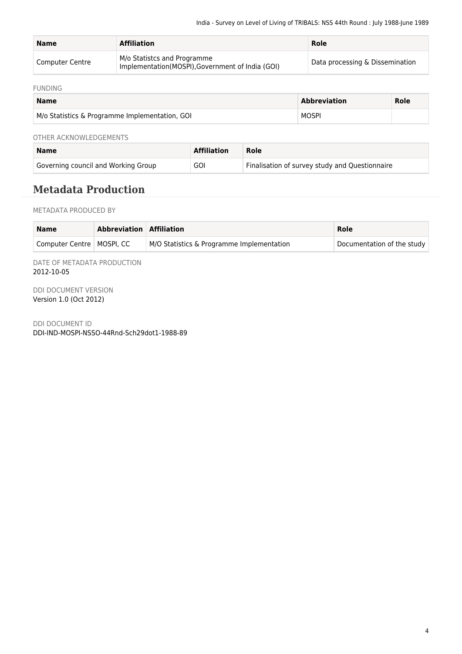| <b>Name</b>            | <b>Affiliation</b>                                                              | Role                            |
|------------------------|---------------------------------------------------------------------------------|---------------------------------|
| <b>Computer Centre</b> | M/o Statistcs and Programme<br>Implementation(MOSPI), Government of India (GOI) | Data processing & Dissemination |

#### FUNDING

| <b>Name</b>                                    | <b>Abbreviation</b> | Role |
|------------------------------------------------|---------------------|------|
| M/o Statistics & Programme Implementation, GOI | MOSPI               |      |

#### OTHER ACKNOWLEDGEMENTS

| <b>Name</b>                         | <b>Affiliation</b> | Role                                           |
|-------------------------------------|--------------------|------------------------------------------------|
| Governing council and Working Group | GOI                | Finalisation of survey study and Questionnaire |

### **Metadata Production**

#### METADATA PRODUCED BY

| <b>Name</b>                 | Abbreviation Affiliation |                                           | Role                       |
|-----------------------------|--------------------------|-------------------------------------------|----------------------------|
| Computer Centre   MOSPI, CC |                          | M/O Statistics & Programme Implementation | Documentation of the study |

#### DATE OF METADATA PRODUCTION 2012-10-05

DDI DOCUMENT VERSION Version 1.0 (Oct 2012)

DDI DOCUMENT ID DDI-IND-MOSPI-NSSO-44Rnd-Sch29dot1-1988-89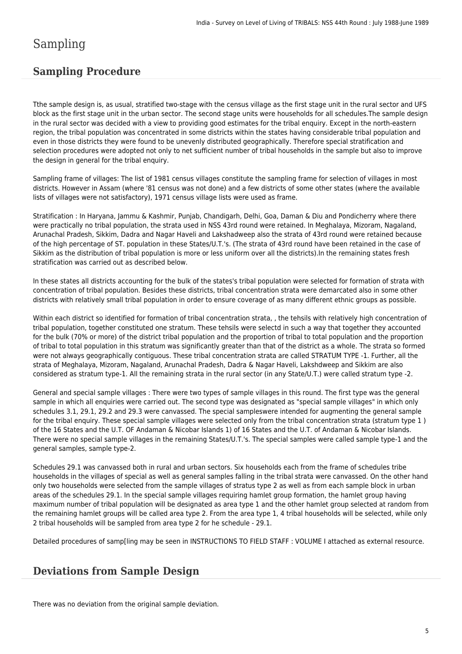# Sampling

### **Sampling Procedure**

Tthe sample design is, as usual, stratified two-stage with the census village as the first stage unit in the rural sector and UFS block as the first stage unit in the urban sector. The second stage units were households for all schedules.The sample design in the rural sector was decided with a view to providing good estimates for the tribal enquiry. Except in the north-eastern region, the tribal population was concentrated in some districts within the states having considerable tribal population and even in those districts they were found to be unevenly distributed geographically. Therefore special stratification and selection procedures were adopted not only to net sufficient number of tribal households in the sample but also to improve the design in general for the tribal enquiry.

Sampling frame of villages: The list of 1981 census villages constitute the sampling frame for selection of villages in most districts. However in Assam (where '81 census was not done) and a few districts of some other states (where the available lists of villages were not satisfactory), 1971 census village lists were used as frame.

Stratification : In Haryana, Jammu & Kashmir, Punjab, Chandigarh, Delhi, Goa, Daman & Diu and Pondicherry where there were practically no tribal population, the strata used in NSS 43rd round were retained. In Meghalaya, Mizoram, Nagaland, Arunachal Pradesh, Sikkim, Dadra and Nagar Haveli and Lakshadweep also the strata of 43rd round were retained because of the high percentage of ST. population in these States/U.T.'s. (The strata of 43rd round have been retained in the case of Sikkim as the distribution of tribal population is more or less uniform over all the districts).In the remaining states fresh stratification was carried out as described below.

In these states all districts accounting for the bulk of the states's tribal population were selected for formation of strata with concentration of tribal population. Besides these districts, tribal concentration strata were demarcated also in some other districts with relatively small tribal population in order to ensure coverage of as many different ethnic groups as possible.

Within each district so identified for formation of tribal concentration strata, , the tehsils with relatively high concentration of tribal population, together constituted one stratum. These tehsils were selectd in such a way that together they accounted for the bulk (70% or more) of the district tribal population and the proportion of tribal to total population and the proportion of tribal to total population in this stratum was significantly greater than that of the district as a whole. The strata so formed were not always geographically contiguous. These tribal concentration strata are called STRATUM TYPE -1. Further, all the strata of Meghalaya, Mizoram, Nagaland, Arunachal Pradesh, Dadra & Nagar Haveli, Lakshdweep and Sikkim are also considered as stratum type-1. All the remaining strata in the rural sector (in any State/U.T.) were called stratum type -2.

General and special sample villages : There were two types of sample villages in this round. The first type was the general sample in which all enquiries were carried out. The second type was designated as "special sample villages" in which only schedules 3.1, 29.1, 29.2 and 29.3 were canvassed. The special sampleswere intended for augmenting the general sample for the tribal enquiry. These special sample villages were selected only from the tribal concentration strata (stratum type 1 ) of the 16 States and the U.T. OF Andaman & Nicobar Islands 1) of 16 States and the U.T. of Andaman & Nicobar Islands. There were no special sample villages in the remaining States/U.T.'s. The special samples were called sample type-1 and the general samples, sample type-2.

Schedules 29.1 was canvassed both in rural and urban sectors. Six households each from the frame of schedules tribe households in the villages of special as well as general samples falling in the tribal strata were canvassed. On the other hand only two households were selected from the sample villages of stratus type 2 as well as from each sample block in urban areas of the schedules 29.1. In the special sample villages requiring hamlet group formation, the hamlet group having maximum number of tribal population will be designated as area type 1 and the other hamlet group selected at random from the remaining hamlet groups will be called area type 2. From the area type 1, 4 tribal households will be selected, while only 2 tribal households will be sampled from area type 2 for he schedule - 29.1.

Detailed procedures of samp[ling may be seen in INSTRUCTIONS TO FIELD STAFF : VOLUME I attached as external resource.

### **Deviations from Sample Design**

There was no deviation from the original sample deviation.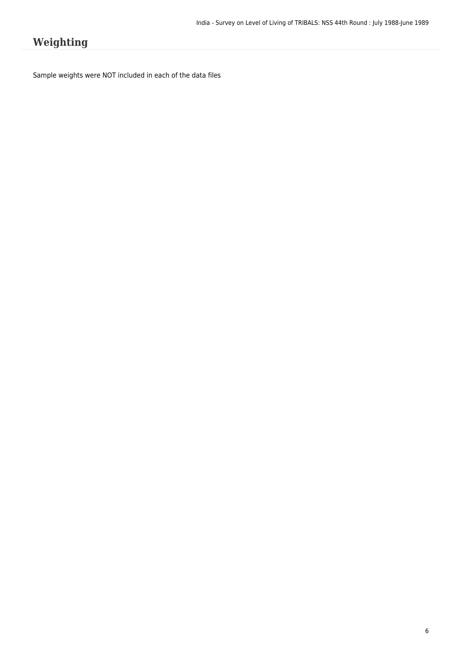# **Weighting**

Sample weights were NOT included in each of the data files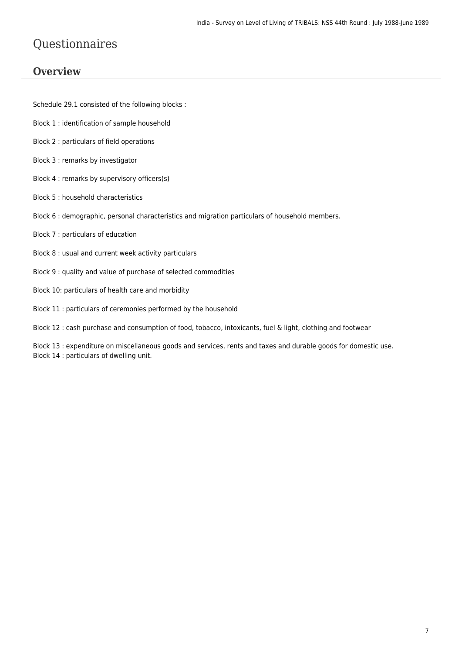# Questionnaires

### **Overview**

Schedule 29.1 consisted of the following blocks :

- Block 1 : identification of sample household
- Block 2 : particulars of field operations
- Block 3 : remarks by investigator
- Block 4 : remarks by supervisory officers(s)
- Block 5 : household characteristics
- Block 6 : demographic, personal characteristics and migration particulars of household members.
- Block 7 : particulars of education
- Block 8 : usual and current week activity particulars
- Block 9 : quality and value of purchase of selected commodities
- Block 10: particulars of health care and morbidity
- Block 11 : particulars of ceremonies performed by the household
- Block 12 : cash purchase and consumption of food, tobacco, intoxicants, fuel & light, clothing and footwear

Block 13 : expenditure on miscellaneous goods and services, rents and taxes and durable goods for domestic use. Block 14 : particulars of dwelling unit.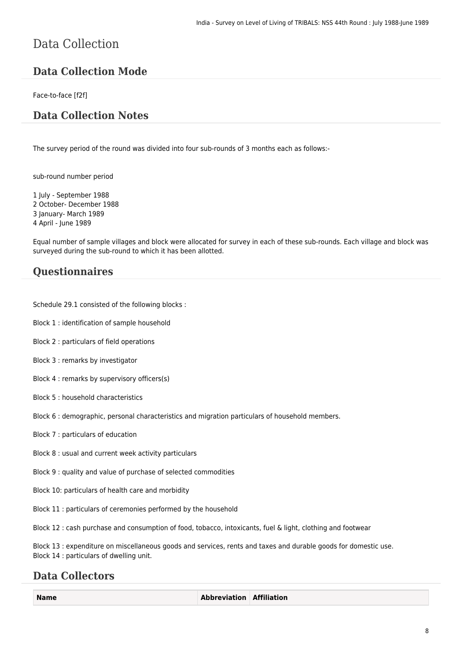# Data Collection

### **Data Collection Mode**

Face-to-face [f2f]

### **Data Collection Notes**

The survey period of the round was divided into four sub-rounds of 3 months each as follows:-

sub-round number period

1 July - September 1988 2 October- December 1988 3 January- March 1989 4 April - June 1989

Equal number of sample villages and block were allocated for survey in each of these sub-rounds. Each village and block was surveyed during the sub-round to which it has been allotted.

### **Questionnaires**

Schedule 29.1 consisted of the following blocks :

- Block 1 : identification of sample household
- Block 2 : particulars of field operations
- Block 3 : remarks by investigator
- Block 4 : remarks by supervisory officers(s)
- Block 5 : household characteristics
- Block 6 : demographic, personal characteristics and migration particulars of household members.
- Block 7 : particulars of education
- Block 8 : usual and current week activity particulars
- Block 9 : quality and value of purchase of selected commodities
- Block 10: particulars of health care and morbidity
- Block 11 : particulars of ceremonies performed by the household

Block 12 : cash purchase and consumption of food, tobacco, intoxicants, fuel & light, clothing and footwear

Block 13 : expenditure on miscellaneous goods and services, rents and taxes and durable goods for domestic use. Block 14 : particulars of dwelling unit.

### **Data Collectors**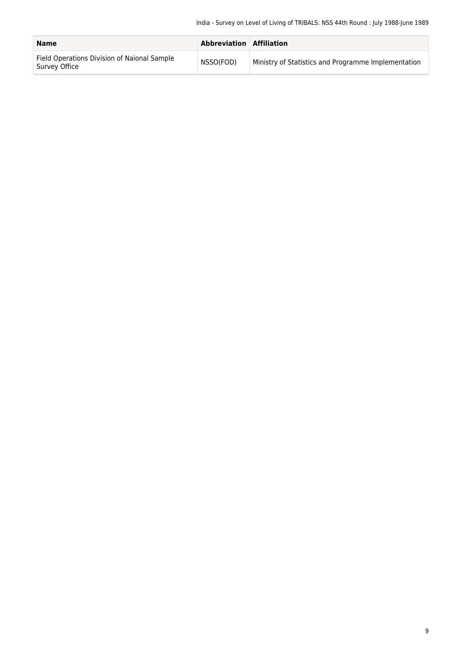| <b>Name</b>                                                    | Abbreviation   Affiliation |                                                     |
|----------------------------------------------------------------|----------------------------|-----------------------------------------------------|
| Field Operations Division of Naional Sample<br>Survey Office ' | NSSO(FOD)                  | Ministry of Statistics and Programme Implementation |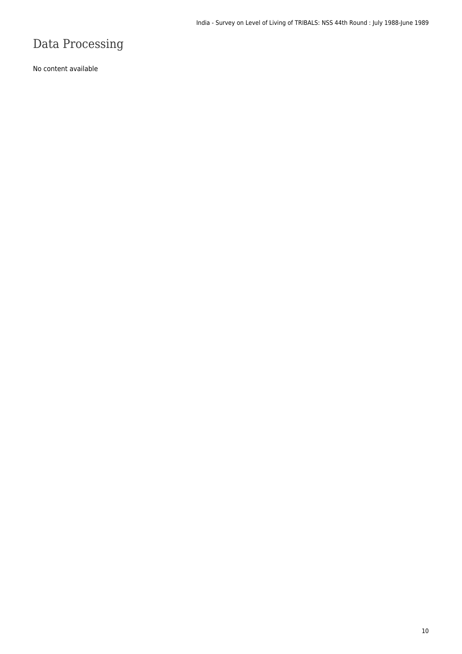# Data Processing

No content available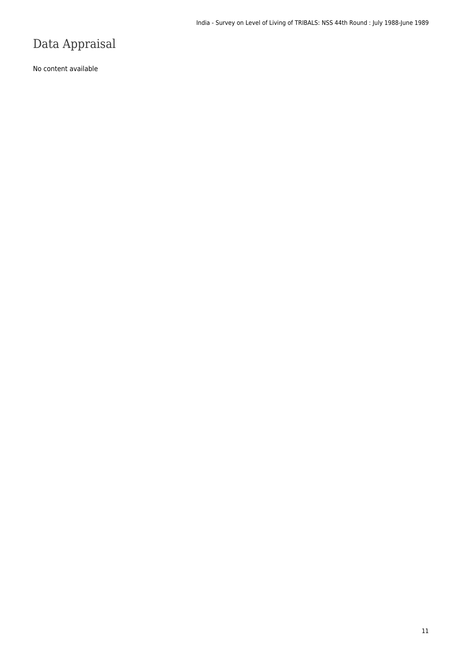# Data Appraisal

No content available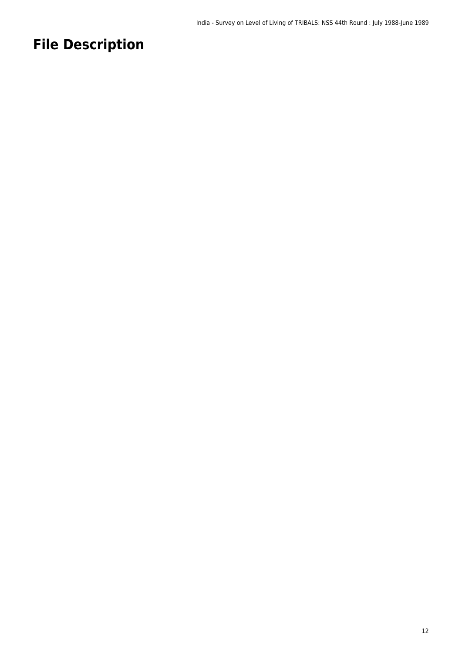# **File Description**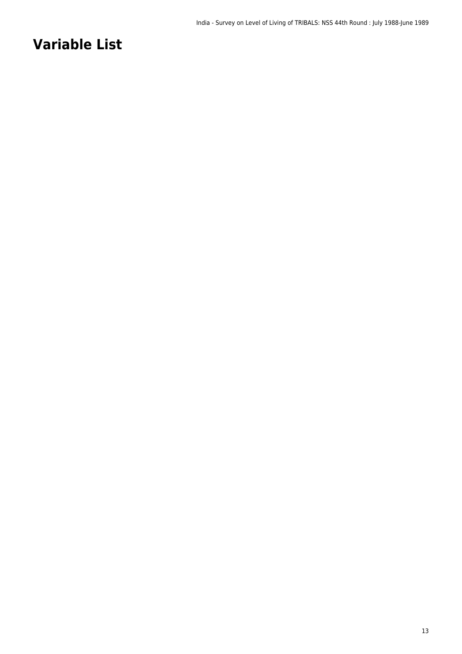# **Variable List**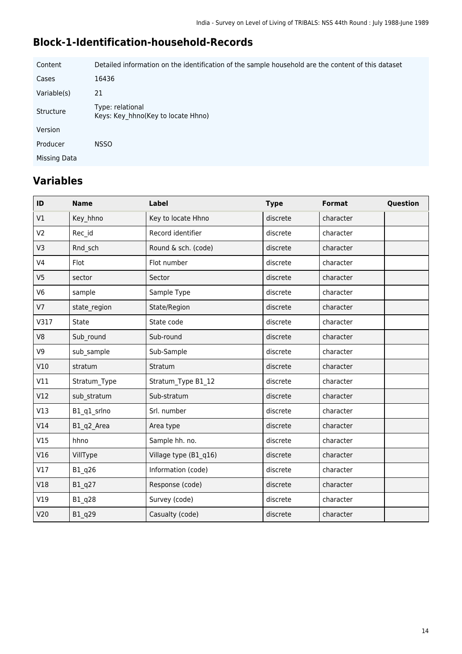### **Block-1-Identification-household-Records**

Content Detailed information on the identification of the sample household are the content of this dataset Cases 16436 Variable(s) 21 Structure Type: relational Keys: Key\_hhno(Key to locate Hhno) Version Producer NSSO Missing Data

| ID             | <b>Name</b>  | <b>Label</b>          | <b>Type</b> | <b>Format</b> | Question |
|----------------|--------------|-----------------------|-------------|---------------|----------|
| V1             | Key hhno     | Key to locate Hhno    | discrete    | character     |          |
| V <sub>2</sub> | Rec_id       | Record identifier     | discrete    | character     |          |
| V3             | Rnd sch      | Round & sch. (code)   | discrete    | character     |          |
| V <sub>4</sub> | Flot         | Flot number           | discrete    | character     |          |
| V <sub>5</sub> | sector       | Sector                | discrete    | character     |          |
| V <sub>6</sub> | sample       | Sample Type           | discrete    | character     |          |
| V <sub>7</sub> | state region | State/Region          | discrete    | character     |          |
| V317           | State        | State code            | discrete    | character     |          |
| V8             | Sub round    | Sub-round             | discrete    | character     |          |
| V9             | sub_sample   | Sub-Sample            | discrete    | character     |          |
| V10            | stratum      | Stratum               | discrete    | character     |          |
| V11            | Stratum_Type | Stratum_Type B1_12    | discrete    | character     |          |
| V12            | sub stratum  | Sub-stratum           | discrete    | character     |          |
| V13            | B1_q1_srlno  | Srl. number           | discrete    | character     |          |
| V14            | B1_q2_Area   | Area type             | discrete    | character     |          |
| V15            | hhno         | Sample hh. no.        | discrete    | character     |          |
| V16            | VillType     | Village type (B1_q16) | discrete    | character     |          |
| V17            | $B1_q26$     | Information (code)    | discrete    | character     |          |
| V18            | $B1_q27$     | Response (code)       | discrete    | character     |          |
| V19            | B1_q28       | Survey (code)         | discrete    | character     |          |
| V20            | B1_q29       | Casualty (code)       | discrete    | character     |          |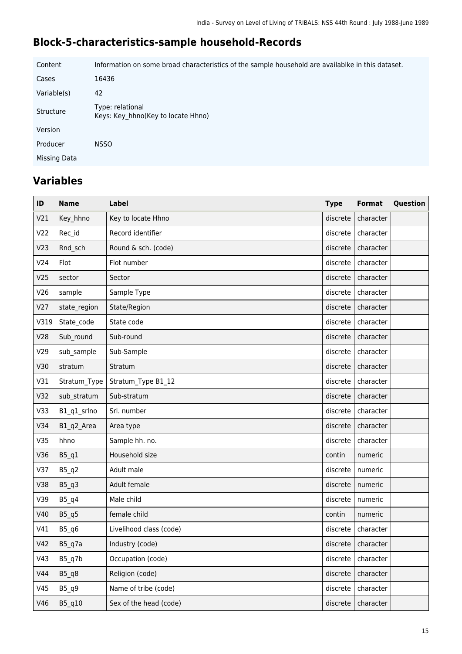### **Block-5-characteristics-sample household-Records**

Content Information on some broad characteristics of the sample household are availablke in this dataset. Cases 16436 Variable(s) 42 Structure Type: relational Keys: Key\_hhno(Key to locate Hhno) Version Producer NSSO Missing Data

| ID              | <b>Name</b>  | Label                   | <b>Type</b> | <b>Format</b> | Question |
|-----------------|--------------|-------------------------|-------------|---------------|----------|
| V21             | Key_hhno     | Key to locate Hhno      | discrete    | character     |          |
| V <sub>22</sub> | Rec_id       | Record identifier       | discrete    | character     |          |
| V <sub>23</sub> | Rnd_sch      | Round & sch. (code)     | discrete    | character     |          |
| V24             | Flot         | Flot number             | discrete    | character     |          |
| V <sub>25</sub> | sector       | Sector                  | discrete    | character     |          |
| V26             | sample       | Sample Type             | discrete    | character     |          |
| V <sub>27</sub> | state_region | State/Region            | discrete    | character     |          |
| V319            | State_code   | State code              | discrete    | character     |          |
| V28             | Sub_round    | Sub-round               | discrete    | character     |          |
| V29             | sub_sample   | Sub-Sample              | discrete    | character     |          |
| V30             | stratum      | Stratum                 | discrete    | character     |          |
| V31             | Stratum_Type | Stratum_Type B1_12      | discrete    | character     |          |
| V32             | sub stratum  | Sub-stratum             | discrete    | character     |          |
| V33             | B1_q1_srlno  | Srl. number             | discrete    | character     |          |
| V34             | B1_q2_Area   | Area type               | discrete    | character     |          |
| V35             | hhno         | Sample hh. no.          | discrete    | character     |          |
| V36             | $B5_q1$      | Household size          | contin      | numeric       |          |
| V37             | $B5_q2$      | Adult male              | discrete    | numeric       |          |
| V38             | $B5_q3$      | Adult female            | discrete    | numeric       |          |
| V39             | $B5_q4$      | Male child              | discrete    | numeric       |          |
| V40             | $B5_q5$      | female child            | contin      | numeric       |          |
| V41             | $B5_q6$      | Livelihood class (code) | discrete    | character     |          |
| V42             | $B5_q7a$     | Industry (code)         | discrete    | character     |          |
| V43             | $B5_q7b$     | Occupation (code)       | discrete    | character     |          |
| V44             | $B5_q8$      | Religion (code)         | discrete    | character     |          |
| V45             | $B5_q9$      | Name of tribe (code)    | discrete    | character     |          |
| V46             | B5_q10       | Sex of the head (code)  | discrete    | character     |          |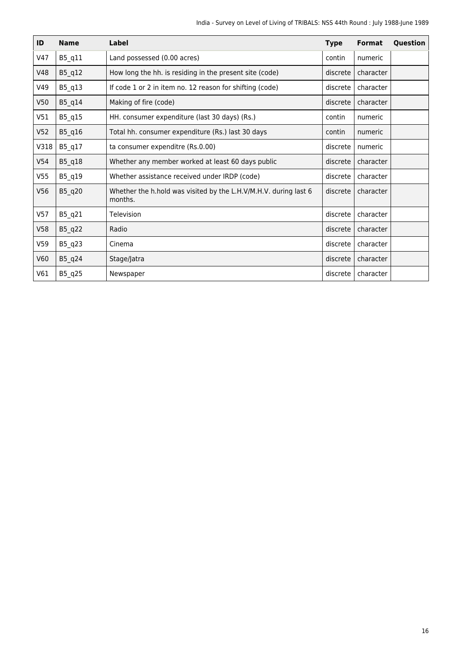| ID              | <b>Name</b> | <b>Label</b>                                                                | <b>Type</b> | <b>Format</b> | Question |
|-----------------|-------------|-----------------------------------------------------------------------------|-------------|---------------|----------|
| V47             | B5_q11      | Land possessed (0.00 acres)                                                 | contin      | numeric       |          |
| <b>V48</b>      | B5 q12      | How long the hh. is residing in the present site (code)                     | discrete    | character     |          |
| V49             | B5 q13      | If code 1 or 2 in item no. 12 reason for shifting (code)                    | discrete    | character     |          |
| V50             | B5_q14      | Making of fire (code)                                                       | discrete    | character     |          |
| V <sub>51</sub> | B5_q15      | HH. consumer expenditure (last 30 days) (Rs.)                               | contin      | numeric       |          |
| V <sub>52</sub> | B5 q16      | Total hh. consumer expenditure (Rs.) last 30 days                           | contin      | numeric       |          |
| V318            | B5 q17      | ta consumer expenditre (Rs.0.00)                                            | discrete    | numeric       |          |
| V <sub>54</sub> | B5 q18      | Whether any member worked at least 60 days public                           | discrete    | character     |          |
| V <sub>55</sub> | B5_q19      | Whether assistance received under IRDP (code)                               | discrete    | character     |          |
| V56             | B5 q20      | Whether the h.hold was visited by the L.H.V/M.H.V. during last 6<br>months. | discrete    | character     |          |
| V <sub>57</sub> | B5_q21      | Television                                                                  | discrete    | character     |          |
| V58             | B5_q22      | Radio                                                                       | discrete    | character     |          |
| V59             | B5_q23      | Cinema                                                                      | discrete    | character     |          |
| V60             | B5_q24      | Stage/Jatra                                                                 | discrete    | character     |          |
| V61             | B5_q25      | Newspaper                                                                   | discrete    | character     |          |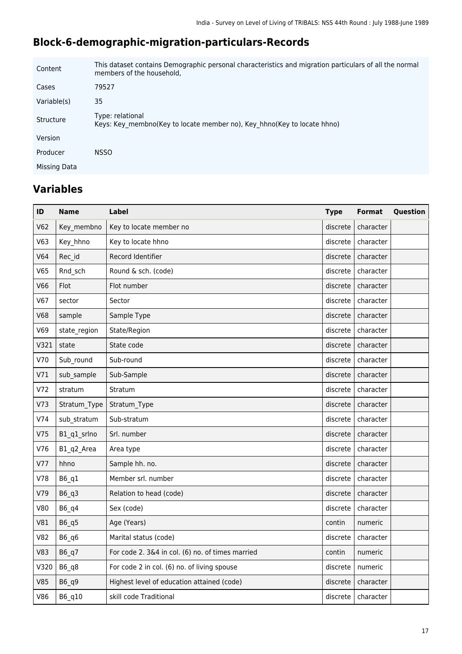# **Block-6-demographic-migration-particulars-Records**

| Content      | This dataset contains Demographic personal characteristics and migration particulars of all the normal<br>members of the household, |
|--------------|-------------------------------------------------------------------------------------------------------------------------------------|
| Cases        | 79527                                                                                                                               |
| Variable(s)  | 35                                                                                                                                  |
| Structure    | Type: relational<br>Keys: Key membno(Key to locate member no), Key hhno(Key to locate hhno)                                         |
| Version      |                                                                                                                                     |
| Producer     | <b>NSSO</b>                                                                                                                         |
| Missing Data |                                                                                                                                     |

| ID         | <b>Name</b>  | Label                                            | <b>Type</b> | <b>Format</b> | Question |
|------------|--------------|--------------------------------------------------|-------------|---------------|----------|
| V62        | Key membno   | Key to locate member no                          | discrete    | character     |          |
| V63        | Key_hhno     | Key to locate hhno                               | discrete    | character     |          |
| V64        | Rec id       | Record Identifier                                | discrete    | character     |          |
| V65        | Rnd_sch      | Round & sch. (code)                              | discrete    | character     |          |
| V66        | Flot         | Flot number                                      | discrete    | character     |          |
| V67        | sector       | Sector                                           | discrete    | character     |          |
| <b>V68</b> | sample       | Sample Type                                      | discrete    | character     |          |
| V69        | state_region | State/Region                                     | discrete    | character     |          |
| V321       | state        | State code                                       | discrete    | character     |          |
| V70        | Sub_round    | Sub-round                                        | discrete    | character     |          |
| V71        | sub sample   | Sub-Sample                                       | discrete    | character     |          |
| V72        | stratum      | Stratum                                          | discrete    | character     |          |
| V73        | Stratum Type | Stratum Type                                     | discrete    | character     |          |
| V74        | sub stratum  | Sub-stratum                                      | discrete    | character     |          |
| V75        | B1_q1_srlno  | Srl. number                                      | discrete    | character     |          |
| V76        | B1_q2_Area   | Area type                                        | discrete    | character     |          |
| <b>V77</b> | hhno         | Sample hh. no.                                   | discrete    | character     |          |
| V78        | B6_q1        | Member srl. number                               | discrete    | character     |          |
| V79        | $B6_q3$      | Relation to head (code)                          | discrete    | character     |          |
| <b>V80</b> | B6_q4        | Sex (code)                                       | discrete    | character     |          |
| V81        | $B6_q5$      | Age (Years)                                      | contin      | numeric       |          |
| <b>V82</b> | B6_q6        | Marital status (code)                            | discrete    | character     |          |
| V83        | $B6_q7$      | For code 2. 3&4 in col. (6) no. of times married | contin      | numeric       |          |
| V320       | $B6_q8$      | For code 2 in col. (6) no. of living spouse      | discrete    | numeric       |          |
| <b>V85</b> | B6_q9        | Highest level of education attained (code)       | discrete    | character     |          |
| <b>V86</b> | B6_q10       | skill code Traditional                           | discrete    | character     |          |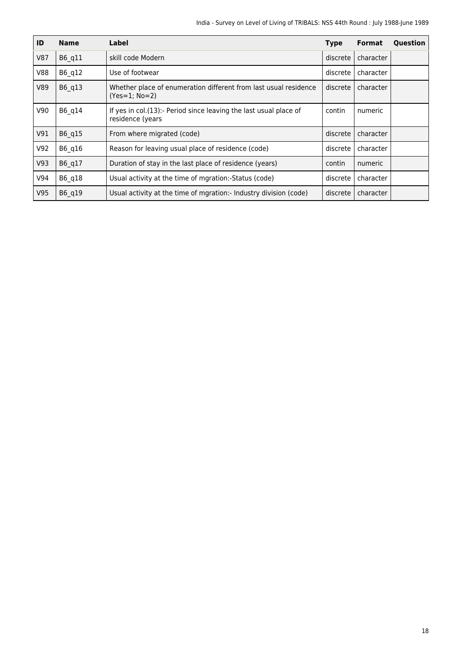| ID         | <b>Name</b> | Label                                                                                 | <b>Type</b> | <b>Format</b> | Question |
|------------|-------------|---------------------------------------------------------------------------------------|-------------|---------------|----------|
| <b>V87</b> | B6 q11      | skill code Modern                                                                     | discrete    | character     |          |
| <b>V88</b> | B6 q12      | Use of footwear                                                                       | discrete    | character     |          |
| V89        | B6 q13      | Whether place of enumeration different from last usual residence<br>$(Yes=1; No=2)$   | discrete    | character     |          |
| V90        | B6 q14      | If yes in col.(13):- Period since leaving the last usual place of<br>residence (years | contin      | numeric       |          |
| V91        | B6 q15      | From where migrated (code)                                                            | discrete    | character     |          |
| V92        | B6 q16      | Reason for leaving usual place of residence (code)                                    | discrete    | character     |          |
| V93        | B6 q17      | Duration of stay in the last place of residence (years)                               | contin      | numeric       |          |
| V94        | B6 q18      | Usual activity at the time of mgration:-Status (code)                                 | discrete    | character     |          |
| V95        | B6_q19      | Usual activity at the time of mgration: Industry division (code)                      | discrete    | character     |          |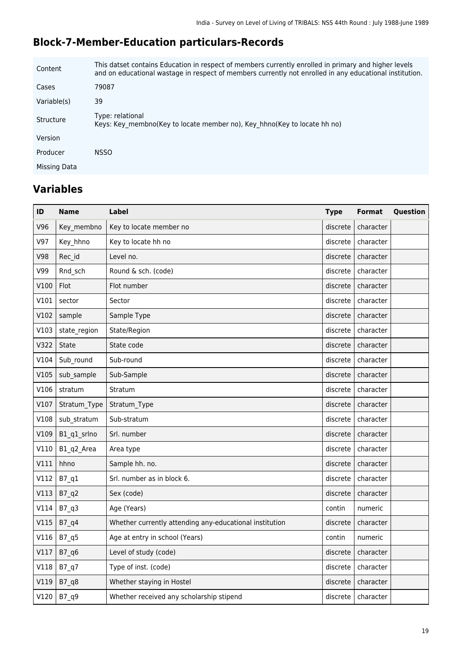# **Block-7-Member-Education particulars-Records**

| Content      | This datset contains Education in respect of members currently enrolled in primary and higher levels<br>and on educational wastage in respect of members currently not enrolled in any educational institution. |
|--------------|-----------------------------------------------------------------------------------------------------------------------------------------------------------------------------------------------------------------|
| Cases        | 79087                                                                                                                                                                                                           |
| Variable(s)  | 39                                                                                                                                                                                                              |
| Structure    | Type: relational<br>Keys: Key membno(Key to locate member no), Key hhno(Key to locate hh no)                                                                                                                    |
| Version      |                                                                                                                                                                                                                 |
| Producer     | <b>NSSO</b>                                                                                                                                                                                                     |
| Missing Data |                                                                                                                                                                                                                 |

| ID   | <b>Name</b>  | Label                                                   | <b>Type</b> | <b>Format</b> | Question |
|------|--------------|---------------------------------------------------------|-------------|---------------|----------|
| V96  | Key_membno   | Key to locate member no                                 | discrete    | character     |          |
| V97  | Key hhno     | Key to locate hh no                                     | discrete    | character     |          |
| V98  | Rec id       | Level no.                                               | discrete    | character     |          |
| V99  | Rnd_sch      | Round & sch. (code)                                     | discrete    | character     |          |
| V100 | Flot         | Flot number                                             | discrete    | character     |          |
| V101 | sector       | Sector                                                  | discrete    | character     |          |
| V102 | sample       | Sample Type                                             | discrete    | character     |          |
| V103 | state_region | State/Region                                            | discrete    | character     |          |
| V322 | State        | State code                                              | discrete    | character     |          |
| V104 | Sub round    | Sub-round                                               | discrete    | character     |          |
| V105 | sub sample   | Sub-Sample                                              | discrete    | character     |          |
| V106 | stratum      | Stratum                                                 | discrete    | character     |          |
| V107 | Stratum_Type | Stratum Type                                            | discrete    | character     |          |
| V108 | sub stratum  | Sub-stratum                                             | discrete    | character     |          |
| V109 | B1 q1 srlno  | Srl. number                                             | discrete    | character     |          |
| V110 | B1_q2_Area   | Area type                                               | discrete    | character     |          |
| V111 | hhno         | Sample hh. no.                                          | discrete    | character     |          |
| V112 | $B7_q1$      | Srl. number as in block 6.                              | discrete    | character     |          |
| V113 | $B7_q2$      | Sex (code)                                              | discrete    | character     |          |
| V114 | $B7_q3$      | Age (Years)                                             | contin      | numeric       |          |
| V115 | $B7_q4$      | Whether currently attending any-educational institution | discrete    | character     |          |
| V116 | $B7_q5$      | Age at entry in school (Years)                          | contin      | numeric       |          |
| V117 | $B7_q6$      | Level of study (code)                                   | discrete    | character     |          |
| V118 | $B7_q7$      | Type of inst. (code)                                    | discrete    | character     |          |
| V119 | $B7_q8$      | Whether staying in Hostel                               | discrete    | character     |          |
| V120 | $B7_q9$      | Whether received any scholarship stipend                | discrete    | character     |          |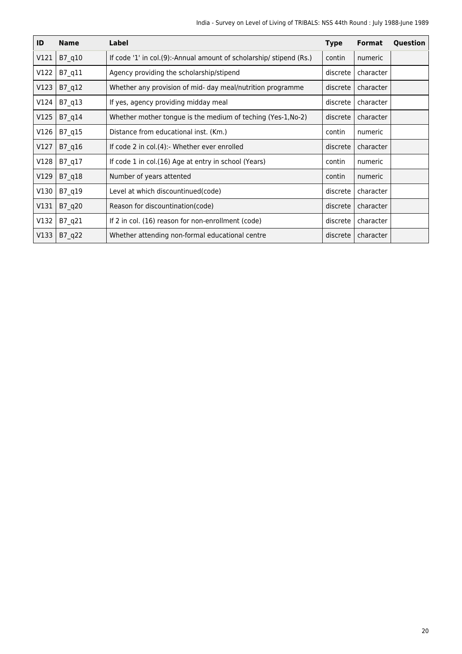| ID   | <b>Name</b> | Label                                                               | <b>Type</b> | <b>Format</b> | Question |
|------|-------------|---------------------------------------------------------------------|-------------|---------------|----------|
| V121 | B7 q10      | If code '1' in col.(9):-Annual amount of scholarship/ stipend (Rs.) | contin      | numeric       |          |
| V122 | B7 q11      | Agency providing the scholarship/stipend                            | discrete    | character     |          |
| V123 | $B7_q12$    | Whether any provision of mid- day meal/nutrition programme          | discrete    | character     |          |
| V124 | B7 q13      | If yes, agency providing midday meal                                | discrete    | character     |          |
| V125 | B7 q14      | Whether mother tongue is the medium of teching (Yes-1,No-2)         | discrete    | character     |          |
| V126 | B7 q15      | Distance from educational inst. (Km.)                               | contin      | numeric       |          |
| V127 | B7 q16      | If code 2 in col.(4):- Whether ever enrolled                        | discrete    | character     |          |
| V128 | B7 q17      | If code 1 in col.(16) Age at entry in school (Years)                | contin      | numeric       |          |
| V129 | B7 q18      | Number of years attented                                            | contin      | numeric       |          |
| V130 | B7 q19      | Level at which discountinued(code)                                  | discrete    | character     |          |
| V131 | B7_q20      | Reason for discountination(code)                                    | discrete    | character     |          |
| V132 | B7_q21      | If 2 in col. (16) reason for non-enrollment (code)                  | discrete    | character     |          |
| V133 | B7_q22      | Whether attending non-formal educational centre                     | discrete    | character     |          |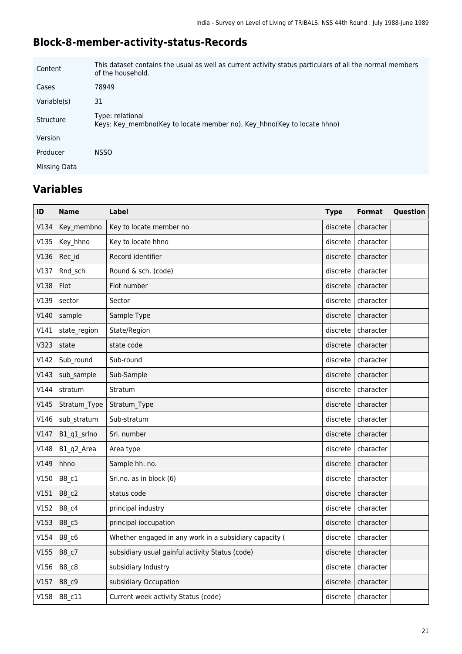# **Block-8-member-activity-status-Records**

| Content      | This dataset contains the usual as well as current activity status particulars of all the normal members<br>of the household. |
|--------------|-------------------------------------------------------------------------------------------------------------------------------|
| Cases        | 78949                                                                                                                         |
| Variable(s)  | 31                                                                                                                            |
| Structure    | Type: relational<br>Keys: Key membno(Key to locate member no), Key hhno(Key to locate hhno)                                   |
| Version      |                                                                                                                               |
| Producer     | <b>NSSO</b>                                                                                                                   |
| Missing Data |                                                                                                                               |

| ID   | <b>Name</b>  | Label                                                  | <b>Type</b> | <b>Format</b> | Question |
|------|--------------|--------------------------------------------------------|-------------|---------------|----------|
| V134 | Key membno   | Key to locate member no                                | discrete    | character     |          |
| V135 | Key hhno     | Key to locate hhno                                     | discrete    | character     |          |
| V136 | Rec id       | Record identifier                                      | discrete    | character     |          |
| V137 | Rnd_sch      | Round & sch. (code)                                    | discrete    | character     |          |
| V138 | Flot         | Flot number                                            | discrete    | character     |          |
| V139 | sector       | Sector                                                 | discrete    | character     |          |
| V140 | sample       | Sample Type                                            | discrete    | character     |          |
| V141 | state region | State/Region                                           | discrete    | character     |          |
| V323 | state        | state code                                             | discrete    | character     |          |
| V142 | Sub round    | Sub-round                                              | discrete    | character     |          |
| V143 | sub_sample   | Sub-Sample                                             | discrete    | character     |          |
| V144 | stratum      | Stratum                                                | discrete    | character     |          |
| V145 | Stratum_Type | Stratum Type                                           | discrete    | character     |          |
| V146 | sub_stratum  | Sub-stratum                                            | discrete    | character     |          |
| V147 | B1_q1_srlno  | Srl. number                                            | discrete    | character     |          |
| V148 | B1_q2_Area   | Area type                                              | discrete    | character     |          |
| V149 | hhno         | Sample hh. no.                                         | discrete    | character     |          |
| V150 | B8 c1        | Srl.no. as in block (6)                                | discrete    | character     |          |
| V151 | B8_c2        | status code                                            | discrete    | character     |          |
| V152 | B8_c4        | principal industry                                     | discrete    | character     |          |
| V153 | B8_c5        | principal ioccupation                                  | discrete    | character     |          |
| V154 | B8_c6        | Whether engaged in any work in a subsidiary capacity ( | discrete    | character     |          |
| V155 | B8_c7        | subsidiary usual gainful activity Status (code)        | discrete    | character     |          |
| V156 | B8_c8        | subsidiary Industry                                    | discrete    | character     |          |
| V157 | B8_c9        | subsidiary Occupation                                  | discrete    | character     |          |
| V158 | B8_c11       | Current week activity Status (code)                    | discrete    | character     |          |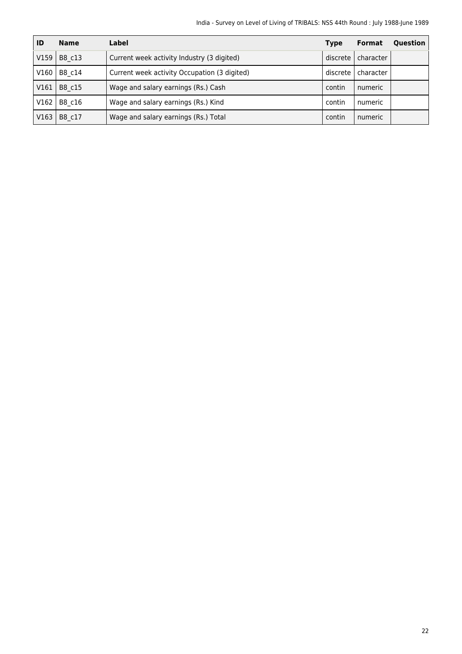| ID   | <b>Name</b> | Label                                        | <b>Type</b> | <b>Format</b> | <b>Ouestion</b> |
|------|-------------|----------------------------------------------|-------------|---------------|-----------------|
| V159 | B8 c13      | Current week activity Industry (3 digited)   | discrete l  | character     |                 |
| V160 | B8 c14      | Current week activity Occupation (3 digited) | discrete l  | character     |                 |
| V161 | B8 c15      | Wage and salary earnings (Rs.) Cash          | contin      | numeric       |                 |
| V162 | B8 c16      | Wage and salary earnings (Rs.) Kind          | contin      | numeric       |                 |
| V163 | B8 c17      | Wage and salary earnings (Rs.) Total         | contin      | numeric       |                 |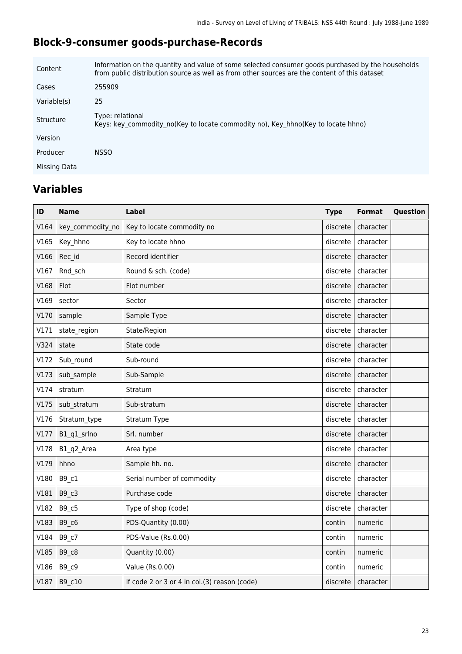# **Block-9-consumer goods-purchase-Records**

| Content      | Information on the quantity and value of some selected consumer goods purchased by the households<br>from public distribution source as well as from other sources are the content of this dataset |
|--------------|----------------------------------------------------------------------------------------------------------------------------------------------------------------------------------------------------|
| Cases        | 255909                                                                                                                                                                                             |
| Variable(s)  | 25                                                                                                                                                                                                 |
| Structure    | Type: relational<br>Keys: key commodity no(Key to locate commodity no), Key hhno(Key to locate hhno)                                                                                               |
| Version      |                                                                                                                                                                                                    |
| Producer     | <b>NSSO</b>                                                                                                                                                                                        |
| Missing Data |                                                                                                                                                                                                    |

| ID   | <b>Name</b>      | <b>Label</b>                                 | <b>Type</b> | <b>Format</b> | Question |
|------|------------------|----------------------------------------------|-------------|---------------|----------|
| V164 | key commodity no | Key to locate commodity no                   | discrete    | character     |          |
| V165 | Key hhno         | Key to locate hhno                           | discrete    | character     |          |
| V166 | Rec id           | Record identifier                            | discrete    | character     |          |
| V167 | Rnd_sch          | Round & sch. (code)                          | discrete    | character     |          |
| V168 | Flot             | Flot number                                  | discrete    | character     |          |
| V169 | sector           | Sector                                       | discrete    | character     |          |
| V170 | sample           | Sample Type                                  | discrete    | character     |          |
| V171 | state region     | State/Region                                 | discrete    | character     |          |
| V324 | state            | State code                                   | discrete    | character     |          |
| V172 | Sub_round        | Sub-round                                    | discrete    | character     |          |
| V173 | sub_sample       | Sub-Sample                                   | discrete    | character     |          |
| V174 | stratum          | Stratum                                      | discrete    | character     |          |
| V175 | sub_stratum      | Sub-stratum                                  | discrete    | character     |          |
| V176 | Stratum_type     | Stratum Type                                 | discrete    | character     |          |
| V177 | B1_q1_srlno      | Srl. number                                  | discrete    | character     |          |
| V178 | B1_q2_Area       | Area type                                    | discrete    | character     |          |
| V179 | hhno             | Sample hh. no.                               | discrete    | character     |          |
| V180 | B9_c1            | Serial number of commodity                   | discrete    | character     |          |
| V181 | B9_c3            | Purchase code                                | discrete    | character     |          |
| V182 | $B9_c5$          | Type of shop (code)                          | discrete    | character     |          |
| V183 | B9_c6            | PDS-Quantity (0.00)                          | contin      | numeric       |          |
| V184 | B9_c7            | PDS-Value (Rs.0.00)                          | contin      | numeric       |          |
| V185 | B9 c8            | Quantity (0.00)                              | contin      | numeric       |          |
| V186 | B9_c9            | Value (Rs.0.00)                              | contin      | numeric       |          |
| V187 | B9_c10           | If code 2 or 3 or 4 in col.(3) reason (code) | discrete    | character     |          |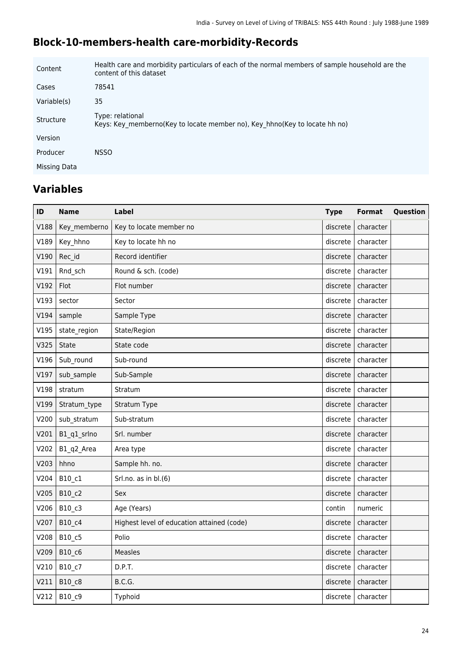# **Block-10-members-health care-morbidity-Records**

| Content      | Health care and morbidity particulars of each of the normal members of sample household are the<br>content of this dataset |
|--------------|----------------------------------------------------------------------------------------------------------------------------|
| Cases        | 78541                                                                                                                      |
| Variable(s)  | 35                                                                                                                         |
| Structure    | Type: relational<br>Keys: Key memberno(Key to locate member no), Key hhno(Key to locate hh no)                             |
| Version      |                                                                                                                            |
| Producer     | <b>NSSO</b>                                                                                                                |
| Missing Data |                                                                                                                            |

| ID   | <b>Name</b>  | Label                                      | <b>Type</b> | <b>Format</b> | Question |
|------|--------------|--------------------------------------------|-------------|---------------|----------|
| V188 | Key memberno | Key to locate member no                    | discrete    | character     |          |
| V189 | Key hhno     | Key to locate hh no                        | discrete    | character     |          |
| V190 | Rec id       | Record identifier                          | discrete    | character     |          |
| V191 | Rnd_sch      | Round & sch. (code)                        | discrete    | character     |          |
| V192 | Flot         | Flot number                                | discrete    | character     |          |
| V193 | sector       | Sector                                     | discrete    | character     |          |
| V194 | sample       | Sample Type                                | discrete    | character     |          |
| V195 | state region | State/Region                               | discrete    | character     |          |
| V325 | State        | State code                                 | discrete    | character     |          |
| V196 | Sub round    | Sub-round                                  | discrete    | character     |          |
| V197 | sub sample   | Sub-Sample                                 | discrete    | character     |          |
| V198 | stratum      | Stratum                                    | discrete    | character     |          |
| V199 | Stratum_type | <b>Stratum Type</b>                        | discrete    | character     |          |
| V200 | sub_stratum  | Sub-stratum                                | discrete    | character     |          |
| V201 | B1_q1_srlno  | Srl. number                                | discrete    | character     |          |
| V202 | B1_q2_Area   | Area type                                  | discrete    | character     |          |
| V203 | hhno         | Sample hh. no.                             | discrete    | character     |          |
| V204 | B10 c1       | Srl.no. as in $bl(6)$                      | discrete    | character     |          |
| V205 | B10_c2       | Sex                                        | discrete    | character     |          |
| V206 | B10 c3       | Age (Years)                                | contin      | numeric       |          |
| V207 | B10_c4       | Highest level of education attained (code) | discrete    | character     |          |
| V208 | B10_c5       | Polio                                      | discrete    | character     |          |
| V209 | B10_c6       | Measles                                    | discrete    | character     |          |
| V210 | B10_c7       | D.P.T.                                     | discrete    | character     |          |
| V211 | B10_c8       | B.C.G.                                     | discrete    | character     |          |
| V212 | B10_c9       | Typhoid                                    | discrete    | character     |          |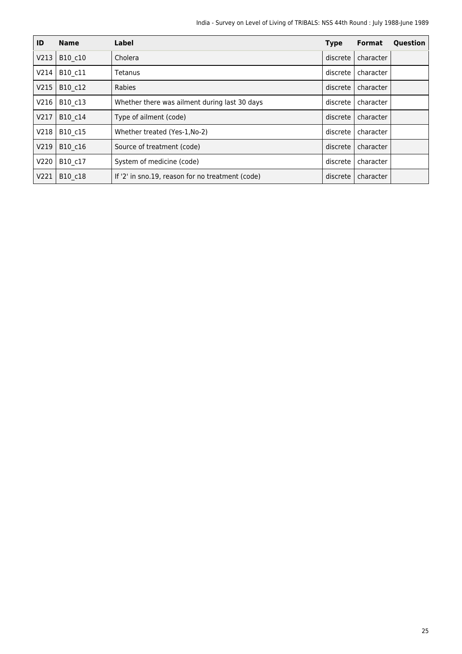| ID   | <b>Name</b> | Label                                            | <b>Type</b> | <b>Format</b> | Question |
|------|-------------|--------------------------------------------------|-------------|---------------|----------|
| V213 | B10 c10     | Cholera                                          | discrete    | character     |          |
| V214 | B10 c11     | Tetanus                                          | discrete    | character     |          |
| V215 | B10 c12     | Rabies                                           | discrete    | character     |          |
| V216 | B10 c13     | Whether there was ailment during last 30 days    | discrete    | character     |          |
| V217 | B10 c14     | Type of ailment (code)                           | discrete    | character     |          |
| V218 | B10 c15     | Whether treated (Yes-1, No-2)                    | discrete    | character     |          |
| V219 | B10 c16     | Source of treatment (code)                       | discrete    | character     |          |
| V220 | B10 c17     | System of medicine (code)                        | discrete    | character     |          |
| V221 | B10 c18     | If '2' in sno.19, reason for no treatment (code) | discrete    | character     |          |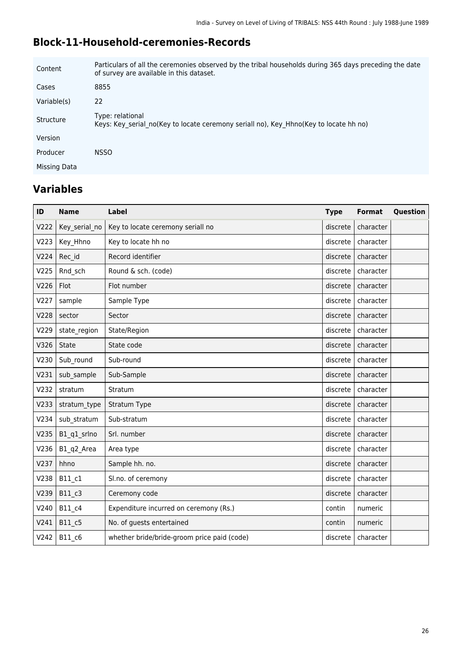# **Block-11-Household-ceremonies-Records**

| Content      | Particulars of all the ceremonies observed by the tribal households during 365 days preceding the date<br>of survey are available in this dataset. |  |  |
|--------------|----------------------------------------------------------------------------------------------------------------------------------------------------|--|--|
| Cases        | 8855                                                                                                                                               |  |  |
| Variable(s)  | 22                                                                                                                                                 |  |  |
| Structure    | Type: relational<br>Keys: Key serial no(Key to locate ceremony seriall no), Key Hhno(Key to locate hh no)                                          |  |  |
| Version      |                                                                                                                                                    |  |  |
| Producer     | <b>NSSO</b>                                                                                                                                        |  |  |
| Missing Data |                                                                                                                                                    |  |  |

| ID   | <b>Name</b>   | <b>Label</b>                                | <b>Type</b> | <b>Format</b> | Question |
|------|---------------|---------------------------------------------|-------------|---------------|----------|
| V222 | Key serial no | Key to locate ceremony seriall no           | discrete    | character     |          |
| V223 | Key Hhno      | Key to locate hh no                         | discrete    | character     |          |
| V224 | Rec id        | Record identifier                           | discrete    | character     |          |
| V225 | Rnd sch       | Round & sch. (code)                         | discrete    | character     |          |
| V226 | Flot          | Flot number                                 | discrete    | character     |          |
| V227 | sample        | Sample Type                                 | discrete    | character     |          |
| V228 | sector        | Sector                                      | discrete    | character     |          |
| V229 | state region  | State/Region                                | discrete    | character     |          |
| V326 | State         | State code                                  | discrete    | character     |          |
| V230 | Sub round     | Sub-round                                   | discrete    | character     |          |
| V231 | sub sample    | Sub-Sample                                  | discrete    | character     |          |
| V232 | stratum       | Stratum                                     | discrete    | character     |          |
| V233 | stratum type  | Stratum Type                                | discrete    | character     |          |
| V234 | sub_stratum   | Sub-stratum                                 | discrete    | character     |          |
| V235 | B1_q1_srlno   | Srl. number                                 | discrete    | character     |          |
| V236 | B1_q2_Area    | Area type                                   | discrete    | character     |          |
| V237 | hhno          | Sample hh. no.                              | discrete    | character     |          |
| V238 | B11 c1        | Sl.no. of ceremony                          | discrete    | character     |          |
| V239 | B11_c3        | Ceremony code                               | discrete    | character     |          |
| V240 | B11 c4        | Expenditure incurred on ceremony (Rs.)      | contin      | numeric       |          |
| V241 | B11 c5        | No. of guests entertained                   | contin      | numeric       |          |
| V242 | B11 c6        | whether bride/bride-groom price paid (code) | discrete    | character     |          |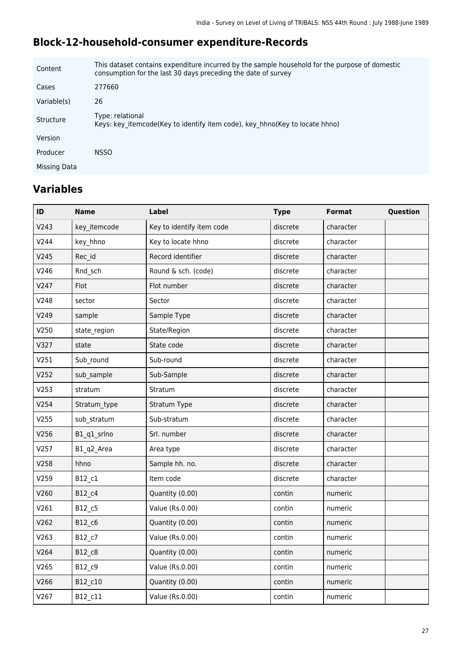# **Block-12-household-consumer expenditure-Records**

| Content      | This dataset contains expenditure incurred by the sample household for the purpose of domestic<br>consumption for the last 30 days preceding the date of survey |  |  |
|--------------|-----------------------------------------------------------------------------------------------------------------------------------------------------------------|--|--|
| Cases        | 277660                                                                                                                                                          |  |  |
| Variable(s)  | 26                                                                                                                                                              |  |  |
| Structure    | Type: relational<br>Keys: key itemcode(Key to identify item code), key hhno(Key to locate hhno)                                                                 |  |  |
| Version      |                                                                                                                                                                 |  |  |
| Producer     | <b>NSSO</b>                                                                                                                                                     |  |  |
| Missing Data |                                                                                                                                                                 |  |  |

| ID   | <b>Name</b>  | <b>Label</b>              | <b>Type</b> | Format    | Question |
|------|--------------|---------------------------|-------------|-----------|----------|
| V243 | key itemcode | Key to identify item code | discrete    | character |          |
| V244 | key hhno     | Key to locate hhno        | discrete    | character |          |
| V245 | Rec id       | Record identifier         | discrete    | character |          |
| V246 | Rnd_sch      | Round & sch. (code)       | discrete    | character |          |
| V247 | Flot         | Flot number               | discrete    | character |          |
| V248 | sector       | Sector                    | discrete    | character |          |
| V249 | sample       | Sample Type               | discrete    | character |          |
| V250 | state_region | State/Region              | discrete    | character |          |
| V327 | state        | State code                | discrete    | character |          |
| V251 | Sub_round    | Sub-round                 | discrete    | character |          |
| V252 | sub sample   | Sub-Sample                | discrete    | character |          |
| V253 | stratum      | Stratum                   | discrete    | character |          |
| V254 | Stratum type | Stratum Type              | discrete    | character |          |
| V255 | sub stratum  | Sub-stratum               | discrete    | character |          |
| V256 | B1_q1_srlno  | Srl. number               | discrete    | character |          |
| V257 | B1_q2_Area   | Area type                 | discrete    | character |          |
| V258 | hhno         | Sample hh. no.            | discrete    | character |          |
| V259 | B12_c1       | Item code                 | discrete    | character |          |
| V260 | B12 c4       | Quantity (0.00)           | contin      | numeric   |          |
| V261 | B12_c5       | Value (Rs.0.00)           | contin      | numeric   |          |
| V262 | B12_c6       | Quantity (0.00)           | contin      | numeric   |          |
| V263 | B12_c7       | Value (Rs.0.00)           | contin      | numeric   |          |
| V264 | B12_c8       | Quantity (0.00)           | contin      | numeric   |          |
| V265 | B12 c9       | Value (Rs.0.00)           | contin      | numeric   |          |
| V266 | B12_c10      | Quantity (0.00)           | contin      | numeric   |          |
| V267 | B12_c11      | Value (Rs.0.00)           | contin      | numeric   |          |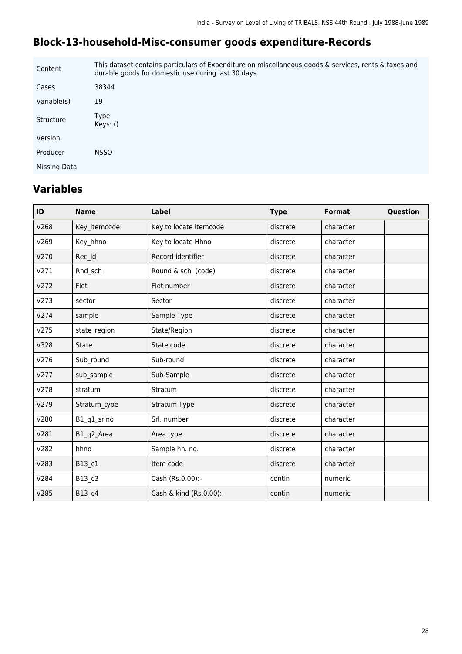### **Block-13-household-Misc-consumer goods expenditure-Records**

Content This dataset contains particulars of Expenditure on miscellaneous goods & services, rents & taxes and<br>
durable goods for democie use during less 20 douse durable goods for domestic use during last 30 days

|                     | adiable goods for domestic ase daring last so days |
|---------------------|----------------------------------------------------|
| Cases               | 38344                                              |
| Variable(s)         | 19                                                 |
| Structure           | Type:<br>Keys: ()                                  |
| Version             |                                                    |
| Producer            | <b>NSSO</b>                                        |
| <b>Missing Data</b> |                                                    |

| ID   | <b>Name</b>  | <b>Label</b>            | <b>Type</b> | <b>Format</b> | Question |
|------|--------------|-------------------------|-------------|---------------|----------|
| V268 | Key itemcode | Key to locate itemcode  | discrete    | character     |          |
| V269 | Key hhno     | Key to locate Hhno      | discrete    | character     |          |
| V270 | Rec_id       | Record identifier       | discrete    | character     |          |
| V271 | Rnd_sch      | Round & sch. (code)     | discrete    | character     |          |
| V272 | <b>Flot</b>  | Flot number             | discrete    | character     |          |
| V273 | sector       | Sector                  | discrete    | character     |          |
| V274 | sample       | Sample Type             | discrete    | character     |          |
| V275 | state region | State/Region            | discrete    | character     |          |
| V328 | <b>State</b> | State code              | discrete    | character     |          |
| V276 | Sub round    | Sub-round               | discrete    | character     |          |
| V277 | sub_sample   | Sub-Sample              | discrete    | character     |          |
| V278 | stratum      | Stratum                 | discrete    | character     |          |
| V279 | Stratum type | <b>Stratum Type</b>     | discrete    | character     |          |
| V280 | B1 q1 srlno  | Srl. number             | discrete    | character     |          |
| V281 | B1_q2_Area   | Area type               | discrete    | character     |          |
| V282 | hhno         | Sample hh. no.          | discrete    | character     |          |
| V283 | B13 c1       | Item code               | discrete    | character     |          |
| V284 | B13 c3       | Cash (Rs.0.00):-        | contin      | numeric       |          |
| V285 | B13_c4       | Cash & kind (Rs.0.00):- | contin      | numeric       |          |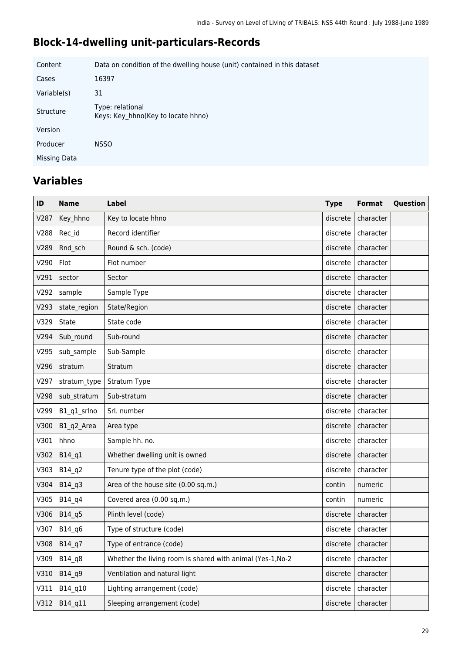# **Block-14-dwelling unit-particulars-Records**

| Content      | Data on condition of the dwelling house (unit) contained in this dataset |
|--------------|--------------------------------------------------------------------------|
| Cases        | 16397                                                                    |
| Variable(s)  | 31                                                                       |
| Structure    | Type: relational<br>Keys: Key hhno(Key to locate hhno)                   |
| Version      |                                                                          |
| Producer     | <b>NSSO</b>                                                              |
| Missing Data |                                                                          |

| ID   | <b>Name</b>  | Label                                                      | <b>Type</b> | <b>Format</b> | Question |
|------|--------------|------------------------------------------------------------|-------------|---------------|----------|
| V287 | Key_hhno     | Key to locate hhno                                         | discrete    | character     |          |
| V288 | Rec_id       | Record identifier                                          | discrete    | character     |          |
| V289 | Rnd sch      | Round & sch. (code)                                        | discrete    | character     |          |
| V290 | Flot         | Flot number                                                | discrete    | character     |          |
| V291 | sector       | Sector                                                     | discrete    | character     |          |
| V292 | sample       | Sample Type                                                | discrete    | character     |          |
| V293 | state_region | State/Region                                               | discrete    | character     |          |
| V329 | State        | State code                                                 | discrete    | character     |          |
| V294 | Sub round    | Sub-round                                                  | discrete    | character     |          |
| V295 | sub_sample   | Sub-Sample                                                 | discrete    | character     |          |
| V296 | stratum      | Stratum                                                    | discrete    | character     |          |
| V297 | stratum_type | Stratum Type                                               | discrete    | character     |          |
| V298 | sub_stratum  | Sub-stratum                                                | discrete    | character     |          |
| V299 | B1_q1_srlno  | Srl. number                                                | discrete    | character     |          |
| V300 | B1_q2_Area   | Area type                                                  | discrete    | character     |          |
| V301 | hhno         | Sample hh. no.                                             | discrete    | character     |          |
| V302 | B14_q1       | Whether dwelling unit is owned                             | discrete    | character     |          |
| V303 | B14_q2       | Tenure type of the plot (code)                             | discrete    | character     |          |
| V304 | B14_q3       | Area of the house site (0.00 sq.m.)                        | contin      | numeric       |          |
| V305 | B14_q4       | Covered area (0.00 sq.m.)                                  | contin      | numeric       |          |
| V306 | B14_q5       | Plinth level (code)                                        | discrete    | character     |          |
| V307 | B14_q6       | Type of structure (code)                                   | discrete    | character     |          |
| V308 | B14_q7       | Type of entrance (code)                                    | discrete    | character     |          |
| V309 | B14_q8       | Whether the living room is shared with animal (Yes-1, No-2 | discrete    | character     |          |
| V310 | B14 q9       | Ventilation and natural light                              | discrete    | character     |          |
| V311 | B14_q10      | Lighting arrangement (code)                                | discrete    | character     |          |
| V312 | B14 q11      | Sleeping arrangement (code)                                | discrete    | character     |          |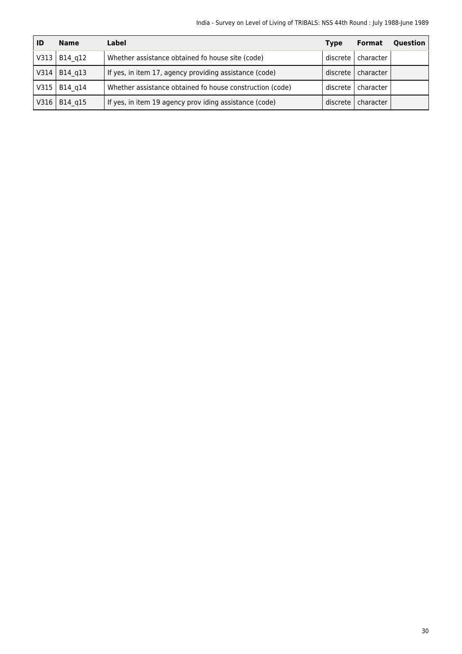#### India - Survey on Level of Living of TRIBALS: NSS 44th Round : July 1988-June 1989

| ID   | <b>Name</b> | Label                                                    | <b>Type</b> | <b>Format</b>        | Question |
|------|-------------|----------------------------------------------------------|-------------|----------------------|----------|
| V313 | B14 q12     | Whether assistance obtained fo house site (code)         |             | discrete   character |          |
| V314 | B14 q13     | If yes, in item 17, agency providing assistance (code)   |             | discrete   character |          |
| V315 | B14 q14     | Whether assistance obtained fo house construction (code) |             | discrete   character |          |
| V316 | B14 q15     | If yes, in item 19 agency prov iding assistance (code)   | discrete l  | character            |          |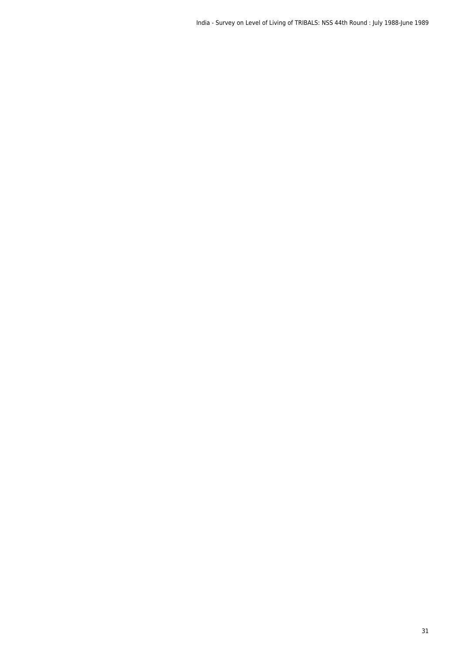India - Survey on Level of Living of TRIBALS: NSS 44th Round : July 1988-June 1989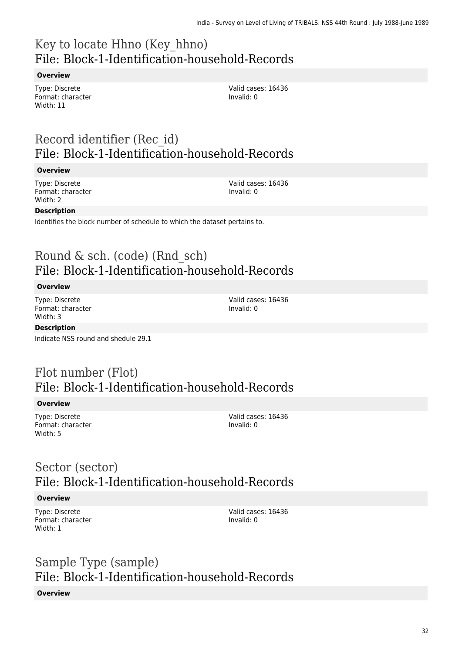### Key to locate Hhno (Key\_hhno) File: Block-1-Identification-household-Records

#### **Overview**

Type: Discrete Format: character Width: 11

Valid cases: 16436 Invalid: 0

# Record identifier (Rec\_id) File: Block-1-Identification-household-Records

#### **Overview**

Type: Discrete Format: character Width: 2

Valid cases: 16436 Invalid: 0

#### **Description**

Identifies the block number of schedule to which the dataset pertains to.

# Round & sch. (code) (Rnd\_sch) File: Block-1-Identification-household-Records

#### **Overview**

Type: Discrete Format: character Width: 3

#### **Description**

Indicate NSS round and shedule 29.1

# Flot number (Flot) File: Block-1-Identification-household-Records

#### **Overview**

Type: Discrete Format: character Width: 5

Valid cases: 16436 Invalid: 0

# Sector (sector) File: Block-1-Identification-household-Records

#### **Overview**

Type: Discrete Format: character Width: 1

Valid cases: 16436 Invalid: 0

# Sample Type (sample) File: Block-1-Identification-household-Records

**Overview**

Invalid: 0

Valid cases: 16436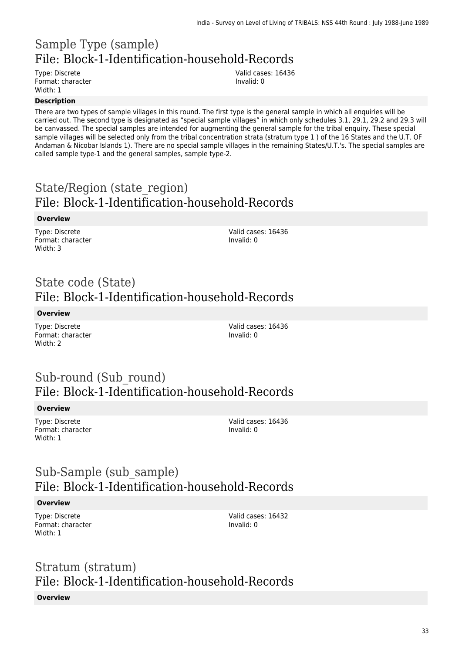### Sample Type (sample) File: Block-1-Identification-household-Records

Type: Discrete Format: character Width: 1

Valid cases: 16436 Invalid: 0

#### **Description**

There are two types of sample villages in this round. The first type is the general sample in which all enquiries will be carried out. The second type is designated as "special sample villages" in which only schedules 3.1, 29.1, 29.2 and 29.3 will be canvassed. The special samples are intended for augmenting the general sample for the tribal enquiry. These special sample villages will be selected only from the tribal concentration strata (stratum type 1 ) of the 16 States and the U.T. OF Andaman & Nicobar Islands 1). There are no special sample villages in the remaining States/U.T.'s. The special samples are called sample type-1 and the general samples, sample type-2.

### State/Region (state\_region) File: Block-1-Identification-household-Records

#### **Overview**

Type: Discrete Format: character Width: 3

Valid cases: 16436 Invalid: 0

### State code (State) File: Block-1-Identification-household-Records

#### **Overview**

Type: Discrete Format: character Width: 2

Valid cases: 16436 Invalid: 0

### Sub-round (Sub\_round) File: Block-1-Identification-household-Records

#### **Overview**

Type: Discrete Format: character Width: 1

Valid cases: 16436 Invalid: 0

### Sub-Sample (sub\_sample) File: Block-1-Identification-household-Records

#### **Overview**

Type: Discrete Format: character Width: 1

Valid cases: 16432 Invalid: 0

# Stratum (stratum) File: Block-1-Identification-household-Records

#### **Overview**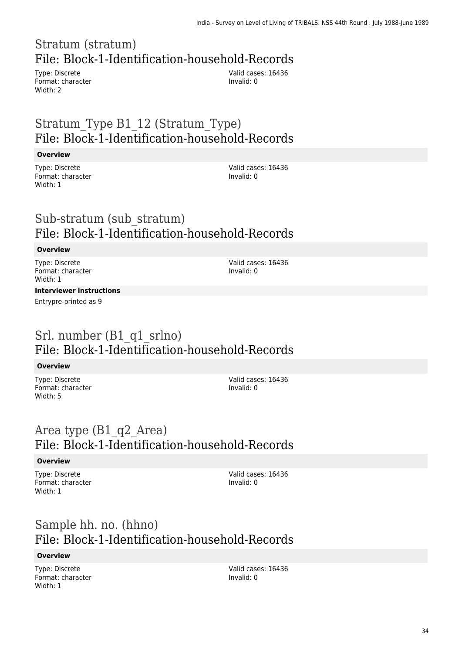### Stratum (stratum) File: Block-1-Identification-household-Records

Type: Discrete Format: character Width: 2

Valid cases: 16436 Invalid: 0

# Stratum\_Type B1\_12 (Stratum\_Type) File: Block-1-Identification-household-Records

#### **Overview**

Type: Discrete Format: character Width: 1

Valid cases: 16436 Invalid: 0

### Sub-stratum (sub\_stratum) File: Block-1-Identification-household-Records

#### **Overview**

Type: Discrete Format: character Width: 1

Valid cases: 16436 Invalid: 0

#### **Interviewer instructions**

Entrypre-printed as 9

### Srl. number (B1\_q1\_srlno) File: Block-1-Identification-household-Records

**Overview**

Type: Discrete Format: character Width: 5

Valid cases: 16436 Invalid: 0

# Area type (B1\_q2\_Area) File: Block-1-Identification-household-Records

#### **Overview**

Type: Discrete Format: character Width: 1

Valid cases: 16436 Invalid: 0

### Sample hh. no. (hhno) File: Block-1-Identification-household-Records

#### **Overview**

Type: Discrete Format: character Width: 1

Valid cases: 16436 Invalid: 0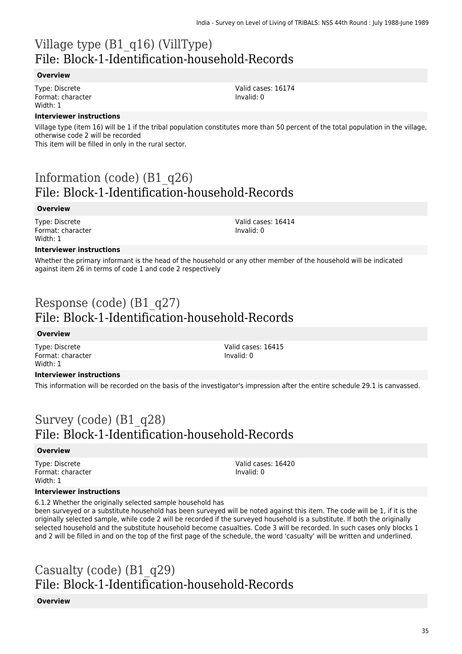### Village type (B1\_q16) (VillType) File: Block-1-Identification-household-Records

#### **Overview**

Type: Discrete Format: character Width: 1

#### **Interviewer instructions**

Village type (item 16) will be 1 if the tribal population constitutes more than 50 percent of the total population in the village, otherwise code 2 will be recorded

This item will be filled in only in the rural sector.

### Information (code) (B1\_q26) File: Block-1-Identification-household-Records

#### **Overview**

Type: Discrete Format: character Width: 1

Valid cases: 16414 Invalid: 0

Valid cases: 16174

Invalid: 0

#### **Interviewer instructions**

Whether the primary informant is the head of the household or any other member of the household will be indicated against item 26 in terms of code 1 and code 2 respectively

### Response (code) (B1\_q27) File: Block-1-Identification-household-Records

#### **Overview**

Type: Discrete Format: character Width: 1

Valid cases: 16415 Invalid: 0

#### **Interviewer instructions**

This information will be recorded on the basis of the investigator's impression after the entire schedule 29.1 is canvassed.

# Survey (code) (B1\_q28) File: Block-1-Identification-household-Records

#### **Overview**

Type: Discrete Format: character Width: 1

Valid cases: 16420 Invalid: 0

#### **Interviewer instructions**

6.1.2 Whether the originally selected sample household has

been surveyed or a substitute household has been surveyed will be noted against this item. The code will be 1, if it is the originally selected sample, while code 2 will be recorded if the surveyed household is a substitute. If both the originally selected household and the substitute household become casualties. Code 3 will be recorded. In such cases only blocks 1 and 2 will be filled in and on the top of the first page of the schedule, the word 'casualty' will be written and underlined.

# Casualty (code) (B1\_q29) File: Block-1-Identification-household-Records

**Overview**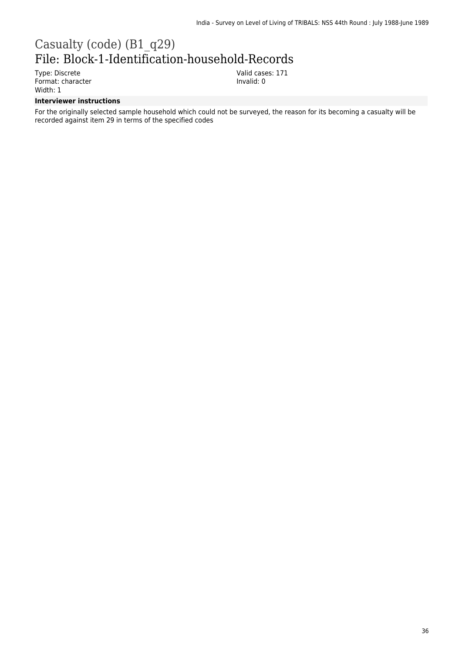# Casualty (code) (B1\_q29) File: Block-1-Identification-household-Records

Type: Discrete Format: character Width: 1

Valid cases: 171 Invalid: 0

#### **Interviewer instructions**

For the originally selected sample household which could not be surveyed, the reason for its becoming a casualty will be recorded against item 29 in terms of the specified codes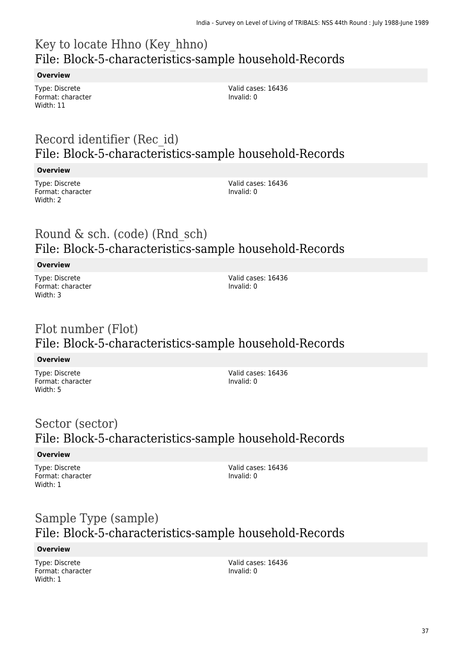# Key to locate Hhno (Key\_hhno) File: Block-5-characteristics-sample household-Records

### **Overview**

Type: Discrete Format: character Width: 11

Valid cases: 16436 Invalid: 0

# Record identifier (Rec\_id) File: Block-5-characteristics-sample household-Records

### **Overview**

Type: Discrete Format: character Width: 2

Valid cases: 16436 Invalid: 0

## Round & sch. (code) (Rnd\_sch) File: Block-5-characteristics-sample household-Records

### **Overview**

Type: Discrete Format: character Width: 3

Valid cases: 16436 Invalid: 0

## Flot number (Flot) File: Block-5-characteristics-sample household-Records

### **Overview**

Type: Discrete Format: character Width: 5

Valid cases: 16436 Invalid: 0

## Sector (sector) File: Block-5-characteristics-sample household-Records

### **Overview**

Type: Discrete Format: character Width: 1

Valid cases: 16436 Invalid: 0

## Sample Type (sample) File: Block-5-characteristics-sample household-Records

### **Overview**

Type: Discrete Format: character Width: 1

Valid cases: 16436 Invalid: 0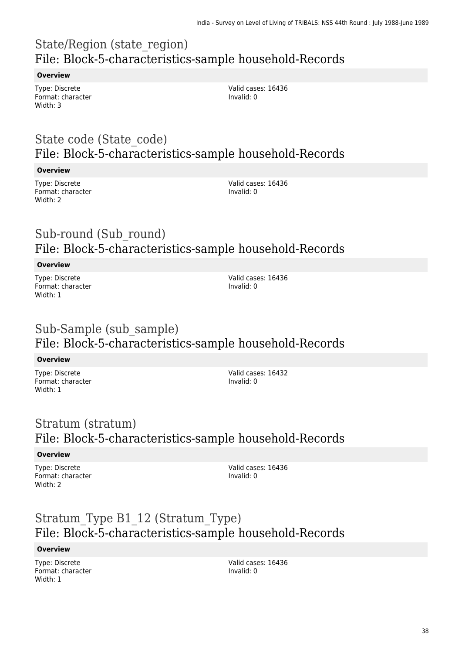# State/Region (state\_region) File: Block-5-characteristics-sample household-Records

### **Overview**

Type: Discrete Format: character Width: 3

Valid cases: 16436 Invalid: 0

# State code (State\_code) File: Block-5-characteristics-sample household-Records

### **Overview**

Type: Discrete Format: character Width: 2

Valid cases: 16436 Invalid: 0

# Sub-round (Sub\_round) File: Block-5-characteristics-sample household-Records

### **Overview**

Type: Discrete Format: character Width: 1

Valid cases: 16436 Invalid: 0

## Sub-Sample (sub\_sample) File: Block-5-characteristics-sample household-Records

### **Overview**

Type: Discrete Format: character Width: 1

Valid cases: 16432 Invalid: 0

## Stratum (stratum) File: Block-5-characteristics-sample household-Records

### **Overview**

Type: Discrete Format: character Width: 2

Valid cases: 16436 Invalid: 0

## Stratum\_Type B1\_12 (Stratum\_Type) File: Block-5-characteristics-sample household-Records

### **Overview**

Type: Discrete Format: character Width: 1

Valid cases: 16436 Invalid: 0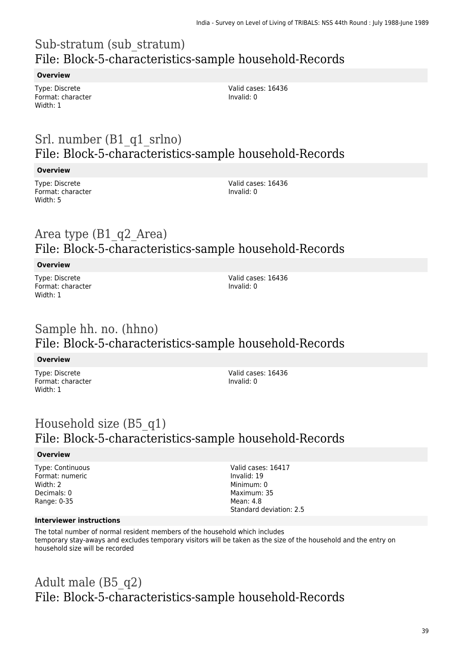# Sub-stratum (sub\_stratum) File: Block-5-characteristics-sample household-Records

### **Overview**

Type: Discrete Format: character Width: 1

Valid cases: 16436 Invalid: 0

# Srl. number (B1\_q1\_srlno) File: Block-5-characteristics-sample household-Records

### **Overview**

Type: Discrete Format: character Width: 5

Valid cases: 16436 Invalid: 0

# Area type (B1\_q2\_Area) File: Block-5-characteristics-sample household-Records

### **Overview**

Type: Discrete Format: character Width: 1

Valid cases: 16436 Invalid: 0

## Sample hh. no. (hhno) File: Block-5-characteristics-sample household-Records

### **Overview**

Type: Discrete Format: character Width: 1

Valid cases: 16436 Invalid: 0

# Household size (B5\_q1) File: Block-5-characteristics-sample household-Records

### **Overview**

Type: Continuous Format: numeric Width: 2 Decimals: 0 Range: 0-35

Valid cases: 16417 Invalid: 19 Minimum: 0 Maximum: 35 Mean: 4.8 Standard deviation: 2.5

### **Interviewer instructions**

The total number of normal resident members of the household which includes temporary stay-aways and excludes temporary visitors will be taken as the size of the household and the entry on household size will be recorded

# Adult male (B5\_q2) File: Block-5-characteristics-sample household-Records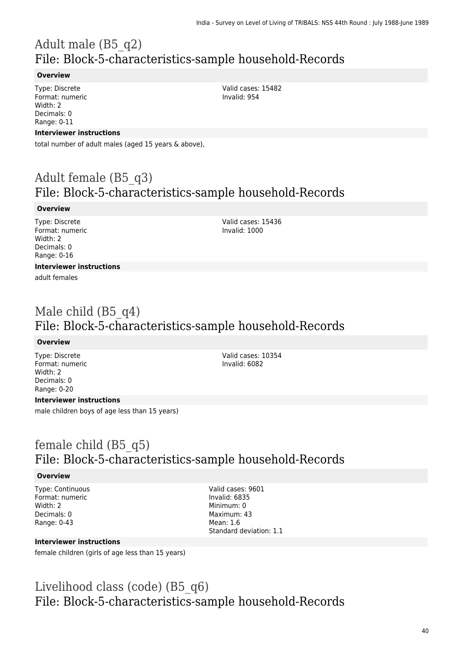# Adult male (B5\_q2) File: Block-5-characteristics-sample household-Records

### **Overview**

Type: Discrete Format: numeric Width: 2 Decimals: 0 Range: 0-11

### **Interviewer instructions**

total number of adult males (aged 15 years & above),

# Adult female (B5\_q3) File: Block-5-characteristics-sample household-Records

#### **Overview**

Type: Discrete Format: numeric Width: 2 Decimals: 0 Range: 0-16

Valid cases: 15436 Invalid: 1000

Valid cases: 10354 Invalid: 6082

Valid cases: 15482 Invalid: 954

### **Interviewer instructions**

adult females

## Male child (B5\_q4) File: Block-5-characteristics-sample household-Records

### **Overview**

Type: Discrete Format: numeric Width: 2 Decimals: 0 Range: 0-20

#### **Interviewer instructions**

male children boys of age less than 15 years)

# female child (B5\_q5) File: Block-5-characteristics-sample household-Records

### **Overview**

Type: Continuous Format: numeric Width: 2 Decimals: 0 Range: 0-43

Valid cases: 9601 Invalid: 6835 Minimum: 0 Maximum: 43 Mean: 1.6 Standard deviation: 1.1

### **Interviewer instructions**

female children (girls of age less than 15 years)

# Livelihood class (code) (B5\_q6) File: Block-5-characteristics-sample household-Records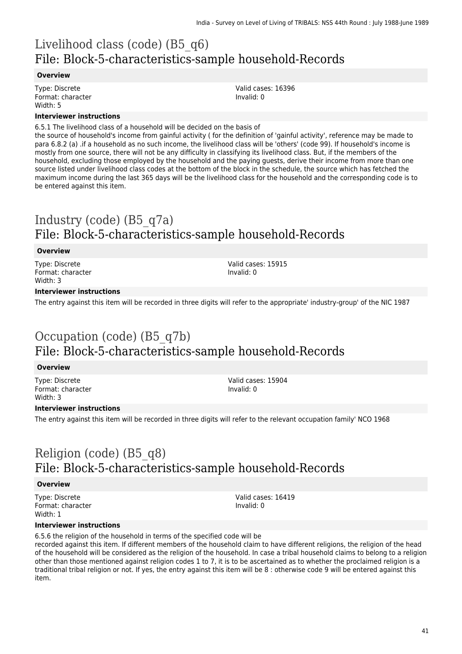# Livelihood class (code) (B5\_q6) File: Block-5-characteristics-sample household-Records

#### **Overview**

Type: Discrete Format: character Width: 5

Valid cases: 16396 Invalid: 0

### **Interviewer instructions**

6.5.1 The livelihood class of a household will be decided on the basis of

the source of household's income from gainful activity ( for the definition of 'gainful activity', reference may be made to para 6.8.2 (a) .if a household as no such income, the livelihood class will be 'others' (code 99). If household's income is mostly from one source, there will not be any difficulty in classifying its livelihood class. But, if the members of the household, excluding those employed by the household and the paying guests, derive their income from more than one source listed under livelihood class codes at the bottom of the block in the schedule, the source which has fetched the maximum income during the last 365 days will be the livelihood class for the household and the corresponding code is to be entered against this item.

# Industry (code) (B5\_q7a) File: Block-5-characteristics-sample household-Records

#### **Overview**

Type: Discrete Format: character Width: 3

Valid cases: 15915 Invalid: 0

### **Interviewer instructions**

The entry against this item will be recorded in three digits will refer to the appropriate' industry-group' of the NIC 1987

# Occupation (code) (B5\_q7b) File: Block-5-characteristics-sample household-Records

### **Overview**

Type: Discrete Format: character Width: 3

Valid cases: 15904 Invalid: 0

### **Interviewer instructions**

The entry against this item will be recorded in three digits will refer to the relevant occupation family' NCO 1968

# Religion (code) (B5\_q8) File: Block-5-characteristics-sample household-Records

### **Overview**

Type: Discrete Format: character Width: 1

Valid cases: 16419 Invalid: 0

#### **Interviewer instructions**

6.5.6 the religion of the household in terms of the specified code will be

recorded against this item. If different members of the household claim to have different religions, the religion of the head of the household will be considered as the religion of the household. In case a tribal household claims to belong to a religion other than those mentioned against religion codes 1 to 7, it is to be ascertained as to whether the proclaimed religion is a traditional tribal religion or not. If yes, the entry against this item will be 8 : otherwise code 9 will be entered against this item.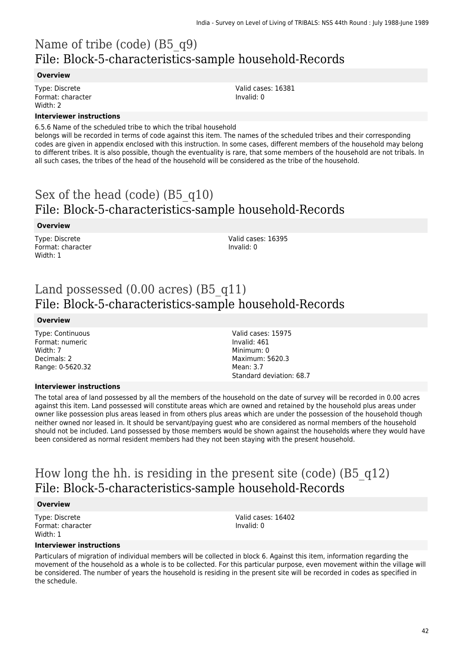# Name of tribe (code) (B5\_q9) File: Block-5-characteristics-sample household-Records

#### **Overview**

Type: Discrete Format: character Width: 2

#### **Interviewer instructions**

Valid cases: 16381 Invalid: 0

6.5.6 Name of the scheduled tribe to which the tribal household belongs will be recorded in terms of code against this item. The names of the scheduled tribes and their corresponding codes are given in appendix enclosed with this instruction. In some cases, different members of the household may belong to different tribes. It is also possible, though the eventuality is rare, that some members of the household are not tribals. In all such cases, the tribes of the head of the household will be considered as the tribe of the household.

## Sex of the head (code) (B5\_q10) File: Block-5-characteristics-sample household-Records

### **Overview**

Type: Discrete Format: character Width: 1

Valid cases: 16395 Invalid: 0

# Land possessed  $(0.00 \text{ acres})$  (B5 q11) File: Block-5-characteristics-sample household-Records

### **Overview**

Type: Continuous Format: numeric Width: 7 Decimals: 2 Range: 0-5620.32

### **Interviewer instructions**

Valid cases: 15975 Invalid: 461 Minimum: 0 Maximum: 5620.3 Mean: 3.7 Standard deviation: 68.7

The total area of land possessed by all the members of the household on the date of survey will be recorded in 0.00 acres against this item. Land possessed will constitute areas which are owned and retained by the household plus areas under owner like possession plus areas leased in from others plus areas which are under the possession of the household though neither owned nor leased in. It should be servant/paying guest who are considered as normal members of the household should not be included. Land possessed by those members would be shown against the households where they would have been considered as normal resident members had they not been staying with the present household.

# How long the hh. is residing in the present site (code) (B5 q12) File: Block-5-characteristics-sample household-Records

### **Overview**

Type: Discrete Format: character Width: 1

Valid cases: 16402 Invalid: 0

### **Interviewer instructions**

Particulars of migration of individual members will be collected in block 6. Against this item, information regarding the movement of the household as a whole is to be collected. For this particular purpose, even movement within the village will be considered. The number of years the household is residing in the present site will be recorded in codes as specified in the schedule.

42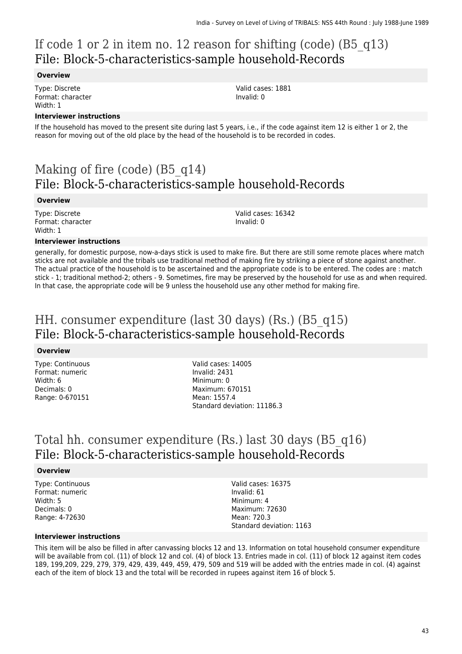# If code 1 or 2 in item no. 12 reason for shifting (code) (B5\_q13) File: Block-5-characteristics-sample household-Records

#### **Overview**

Type: Discrete Format: character Width: 1

#### **Interviewer instructions**

If the household has moved to the present site during last 5 years, i.e., if the code against item 12 is either 1 or 2, the reason for moving out of the old place by the head of the household is to be recorded in codes.

# Making of fire (code) (B5\_q14) File: Block-5-characteristics-sample household-Records

#### **Overview**

Type: Discrete Format: character Width: 1

Valid cases: 16342 Invalid: 0

Valid cases: 1881 Invalid: 0

#### **Interviewer instructions**

generally, for domestic purpose, now-a-days stick is used to make fire. But there are still some remote places where match sticks are not available and the tribals use traditional method of making fire by striking a piece of stone against another. The actual practice of the household is to be ascertained and the appropriate code is to be entered. The codes are : match stick - 1; traditional method-2; others - 9. Sometimes, fire may be preserved by the household for use as and when required. In that case, the appropriate code will be 9 unless the household use any other method for making fire.

## HH. consumer expenditure (last 30 days) (Rs.) (B5\_q15) File: Block-5-characteristics-sample household-Records

#### **Overview**

Type: Continuous Format: numeric Width: 6 Decimals: 0 Range: 0-670151

Valid cases: 14005 Invalid: 2431 Minimum: 0 Maximum: 670151 Mean: 1557.4 Standard deviation: 11186.3

## Total hh. consumer expenditure (Rs.) last 30 days (B5\_q16) File: Block-5-characteristics-sample household-Records

### **Overview**

Type: Continuous Format: numeric Width: 5 Decimals: 0 Range: 4-72630

Valid cases: 16375 Invalid: 61 Minimum: 4 Maximum: 72630 Mean: 720.3 Standard deviation: 1163

#### **Interviewer instructions**

This item will be also be filled in after canvassing blocks 12 and 13. Information on total household consumer expenditure will be available from col. (11) of block 12 and col. (4) of block 13. Entries made in col. (11) of block 12 against item codes 189, 199,209, 229, 279, 379, 429, 439, 449, 459, 479, 509 and 519 will be added with the entries made in col. (4) against each of the item of block 13 and the total will be recorded in rupees against item 16 of block 5.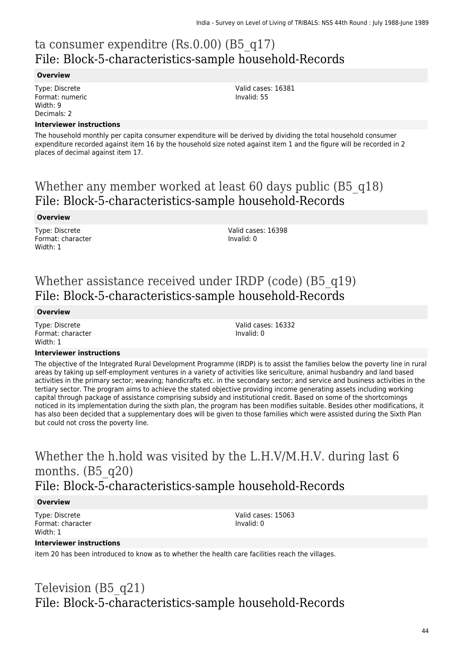# ta consumer expenditre (Rs.0.00) (B5\_q17) File: Block-5-characteristics-sample household-Records

#### **Overview**

Type: Discrete Format: numeric Width: 9 Decimals: 2

#### **Interviewer instructions**

Valid cases: 16381 Invalid: 55

The household monthly per capita consumer expenditure will be derived by dividing the total household consumer expenditure recorded against item 16 by the household size noted against item 1 and the figure will be recorded in 2 places of decimal against item 17.

## Whether any member worked at least 60 days public (B5 q18) File: Block-5-characteristics-sample household-Records

### **Overview**

Type: Discrete Format: character Width: 1

Valid cases: 16398 Invalid: 0

Valid cases: 16332

Invalid: 0

## Whether assistance received under IRDP (code) (B5\_q19) File: Block-5-characteristics-sample household-Records

**Overview**

Type: Discrete Format: character Width: 1

#### **Interviewer instructions**

The objective of the Integrated Rural Development Programme (IRDP) is to assist the families below the poverty line in rural areas by taking up self-employment ventures in a variety of activities like sericulture, animal husbandry and land based activities in the primary sector; weaving; handicrafts etc. in the secondary sector; and service and business activities in the tertiary sector. The program aims to achieve the stated objective providing income generating assets including working capital through package of assistance comprising subsidy and institutional credit. Based on some of the shortcomings noticed in its implementation during the sixth plan, the program has been modifies suitable. Besides other modifications, it has also been decided that a supplementary does will be given to those families which were assisted during the Sixth Plan but could not cross the poverty line.

### Whether the h.hold was visited by the L.H.V/M.H.V. during last 6 months.  $(B5q20)$ File: Block-5-characteristics-sample household-Records

### **Overview**

Type: Discrete Format: character Width: 1

Valid cases: 15063 Invalid: 0

### **Interviewer instructions**

item 20 has been introduced to know as to whether the health care facilities reach the villages.

## Television (B5\_q21) File: Block-5-characteristics-sample household-Records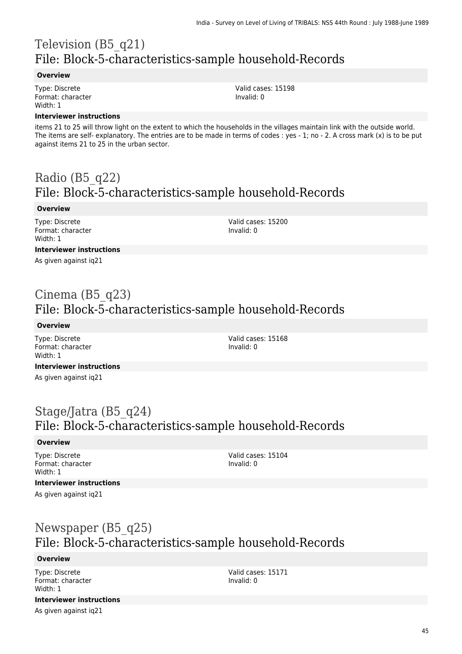# Television (B5\_q21) File: Block-5-characteristics-sample household-Records

### **Overview**

Type: Discrete Format: character Width: 1

### **Interviewer instructions**

items 21 to 25 will throw light on the extent to which the households in the villages maintain link with the outside world. The items are self- explanatory. The entries are to be made in terms of codes : yes - 1; no - 2. A cross mark (x) is to be put against items 21 to 25 in the urban sector.

# Radio (B5\_q22) File: Block-5-characteristics-sample household-Records

#### **Overview**

Type: Discrete Format: character Width: 1

Valid cases: 15200 Invalid: 0

Valid cases: 15198

Invalid: 0

### **Interviewer instructions**

As given against iq21

# Cinema (B5\_q23) File: Block-5-characteristics-sample household-Records

**Overview**

Type: Discrete Format: character Width: 1

Valid cases: 15168 Invalid: 0

### **Interviewer instructions**

As given against ig21

## Stage/Jatra (B5\_q24) File: Block-5-characteristics-sample household-Records

### **Overview**

Type: Discrete Format: character Width: 1

Valid cases: 15104 Invalid: 0

### **Interviewer instructions**

As given against iq21

# Newspaper (B5\_q25) File: Block-5-characteristics-sample household-Records

### **Overview**

Type: Discrete Format: character Width: 1

Valid cases: 15171 Invalid: 0

**Interviewer instructions**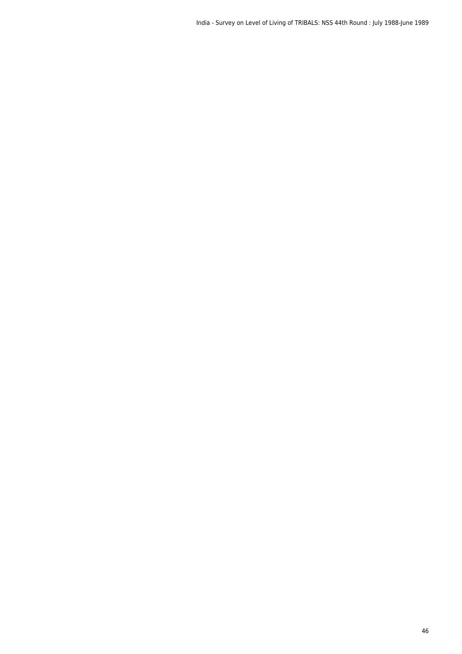India - Survey on Level of Living of TRIBALS: NSS 44th Round : July 1988-June 1989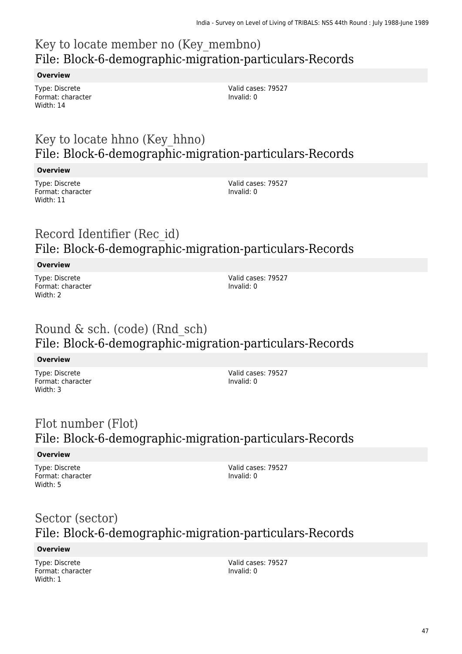# Key to locate member no (Key\_membno) File: Block-6-demographic-migration-particulars-Records

**Overview**

Type: Discrete Format: character Width: 14

Valid cases: 79527 Invalid: 0

# Key to locate hhno (Key\_hhno) File: Block-6-demographic-migration-particulars-Records

### **Overview**

Type: Discrete Format: character Width: 11

Valid cases: 79527 Invalid: 0

# Record Identifier (Rec\_id) File: Block-6-demographic-migration-particulars-Records

### **Overview**

Type: Discrete Format: character Width: 2

Valid cases: 79527 Invalid: 0

## Round & sch. (code) (Rnd\_sch) File: Block-6-demographic-migration-particulars-Records

### **Overview**

Type: Discrete Format: character Width: 3

Valid cases: 79527 Invalid: 0

# Flot number (Flot) File: Block-6-demographic-migration-particulars-Records

### **Overview**

Type: Discrete Format: character Width: 5

Valid cases: 79527 Invalid: 0

## Sector (sector) File: Block-6-demographic-migration-particulars-Records

### **Overview**

Type: Discrete Format: character Width: 1

Valid cases: 79527 Invalid: 0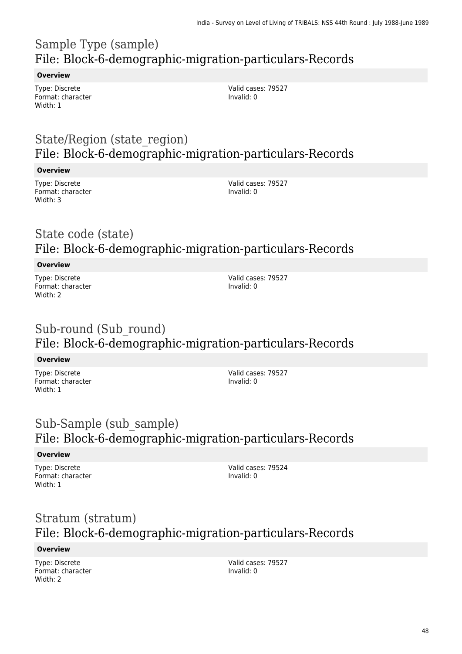# Sample Type (sample) File: Block-6-demographic-migration-particulars-Records

### **Overview**

Type: Discrete Format: character Width: 1

Valid cases: 79527 Invalid: 0

# State/Region (state\_region) File: Block-6-demographic-migration-particulars-Records

### **Overview**

Type: Discrete Format: character Width: 3

Valid cases: 79527 Invalid: 0

# State code (state) File: Block-6-demographic-migration-particulars-Records

### **Overview**

Type: Discrete Format: character Width: 2

Valid cases: 79527 Invalid: 0

## Sub-round (Sub\_round) File: Block-6-demographic-migration-particulars-Records

### **Overview**

Type: Discrete Format: character Width: 1

Valid cases: 79527 Invalid: 0

# Sub-Sample (sub\_sample) File: Block-6-demographic-migration-particulars-Records

### **Overview**

Type: Discrete Format: character Width: 1

Valid cases: 79524 Invalid: 0

## Stratum (stratum) File: Block-6-demographic-migration-particulars-Records

### **Overview**

Type: Discrete Format: character Width: 2

Valid cases: 79527 Invalid: 0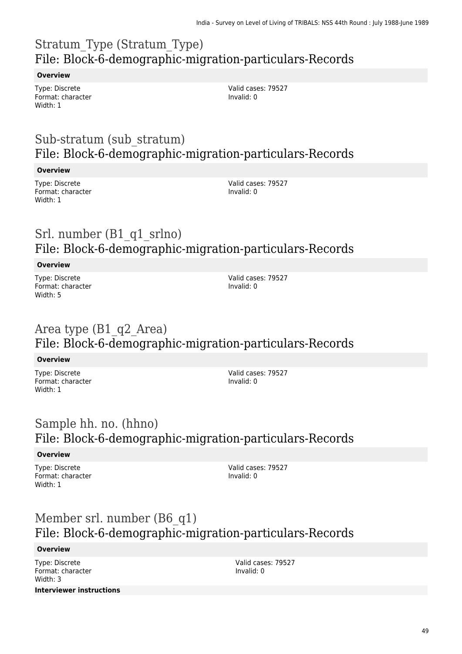# Stratum\_Type (Stratum\_Type) File: Block-6-demographic-migration-particulars-Records

### **Overview**

Type: Discrete Format: character Width: 1

Valid cases: 79527 Invalid: 0

# Sub-stratum (sub\_stratum) File: Block-6-demographic-migration-particulars-Records

### **Overview**

Type: Discrete Format: character Width: 1

Valid cases: 79527 Invalid: 0

# Srl. number (B1\_q1\_srlno) File: Block-6-demographic-migration-particulars-Records

### **Overview**

Type: Discrete Format: character Width: 5

Valid cases: 79527 Invalid: 0

## Area type (B1\_q2\_Area) File: Block-6-demographic-migration-particulars-Records

### **Overview**

Type: Discrete Format: character Width: 1

Valid cases: 79527 Invalid: 0

## Sample hh. no. (hhno) File: Block-6-demographic-migration-particulars-Records

### **Overview**

Type: Discrete Format: character Width: 1

Valid cases: 79527 Invalid: 0

## Member srl. number (B6\_q1) File: Block-6-demographic-migration-particulars-Records

### **Overview**

Type: Discrete Format: character Width: 3

Valid cases: 79527 Invalid: 0

**Interviewer instructions**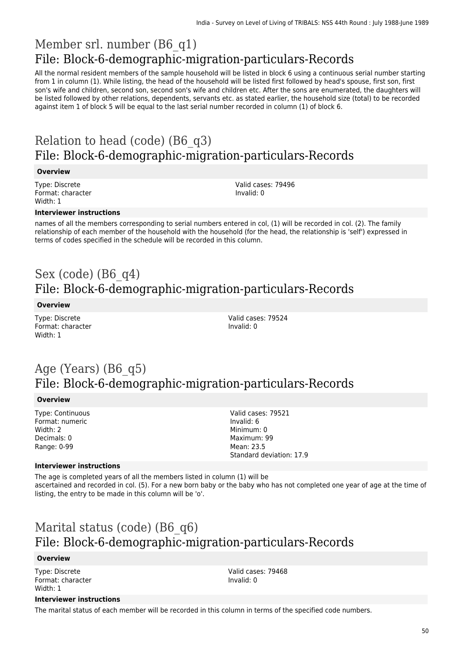## Member srl. number (B6\_q1) File: Block-6-demographic-migration-particulars-Records

All the normal resident members of the sample household will be listed in block 6 using a continuous serial number starting from 1 in column (1). While listing, the head of the household will be listed first followed by head's spouse, first son, first son's wife and children, second son, second son's wife and children etc. After the sons are enumerated, the daughters will be listed followed by other relations, dependents, servants etc. as stated earlier, the household size (total) to be recorded against item 1 of block 5 will be equal to the last serial number recorded in column (1) of block 6.

# Relation to head (code) (B6\_q3) File: Block-6-demographic-migration-particulars-Records

### **Overview**

Type: Discrete Format: character Width: 1

Valid cases: 79496 Invalid: 0

### **Interviewer instructions**

names of all the members corresponding to serial numbers entered in col, (1) will be recorded in col. (2). The family relationship of each member of the household with the household (for the head, the relationship is 'self') expressed in terms of codes specified in the schedule will be recorded in this column.

## Sex (code) (B6\_q4) File: Block-6-demographic-migration-particulars-Records

### **Overview**

Type: Discrete Format: character Width: 1

Valid cases: 79524 Invalid: 0

## Age (Years) (B6\_q5) File: Block-6-demographic-migration-particulars-Records

### **Overview**

Type: Continuous Format: numeric Width: 2 Decimals: 0 Range: 0-99

Valid cases: 79521 Invalid: 6 Minimum: 0 Maximum: 99 Mean: 23.5 Standard deviation: 17.9

#### **Interviewer instructions**

The age is completed years of all the members listed in column (1) will be ascertained and recorded in col. (5). For a new born baby or the baby who has not completed one year of age at the time of listing, the entry to be made in this column will be 'o'.

# Marital status (code) (B6\_q6) File: Block-6-demographic-migration-particulars-Records

#### **Overview**

Type: Discrete Format: character Width: 1

Valid cases: 79468 Invalid: 0

### **Interviewer instructions**

The marital status of each member will be recorded in this column in terms of the specified code numbers.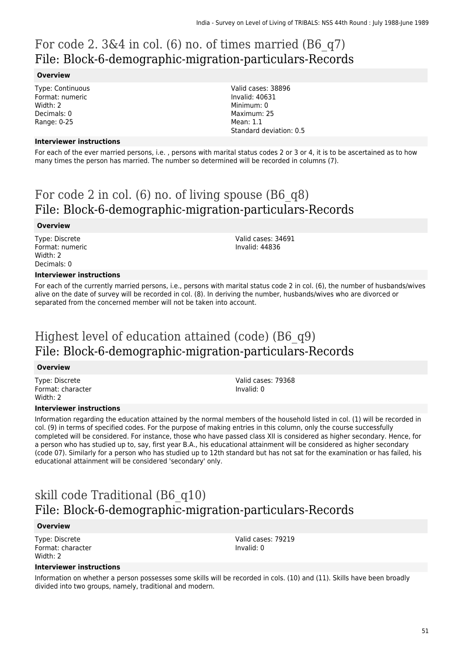# For code 2. 3&4 in col. (6) no. of times married (B6\_q7) File: Block-6-demographic-migration-particulars-Records

#### **Overview**

Type: Continuous Format: numeric Width: 2 Decimals: 0 Range: 0-25

#### **Interviewer instructions**

Valid cases: 38896 Invalid: 40631 Minimum: 0 Maximum: 25 Mean: 1.1 Standard deviation: 0.5

Valid cases: 34691 Invalid: 44836

For each of the ever married persons, i.e. , persons with marital status codes 2 or 3 or 4, it is to be ascertained as to how many times the person has married. The number so determined will be recorded in columns (7).

## For code 2 in col. (6) no. of living spouse (B6\_q8) File: Block-6-demographic-migration-particulars-Records

#### **Overview**

Type: Discrete Format: numeric Width: 2 Decimals: 0

#### **Interviewer instructions**

For each of the currently married persons, i.e., persons with marital status code 2 in col. (6), the number of husbands/wives alive on the date of survey will be recorded in col. (8). In deriving the number, husbands/wives who are divorced or separated from the concerned member will not be taken into account.

# Highest level of education attained (code) (B6\_q9) File: Block-6-demographic-migration-particulars-Records

### **Overview**

Type: Discrete Format: character Width: 2

#### Valid cases: 79368 Invalid: 0

#### **Interviewer instructions**

Information regarding the education attained by the normal members of the household listed in col. (1) will be recorded in col. (9) in terms of specified codes. For the purpose of making entries in this column, only the course successfully completed will be considered. For instance, those who have passed class XII is considered as higher secondary. Hence, for a person who has studied up to, say, first year B.A., his educational attainment will be considered as higher secondary (code 07). Similarly for a person who has studied up to 12th standard but has not sat for the examination or has failed, his educational attainment will be considered 'secondary' only.

## skill code Traditional (B6\_q10) File: Block-6-demographic-migration-particulars-Records

#### **Overview**

Type: Discrete Format: character Width: 2

Valid cases: 79219 Invalid: 0

#### **Interviewer instructions**

Information on whether a person possesses some skills will be recorded in cols. (10) and (11). Skills have been broadly divided into two groups, namely, traditional and modern.

51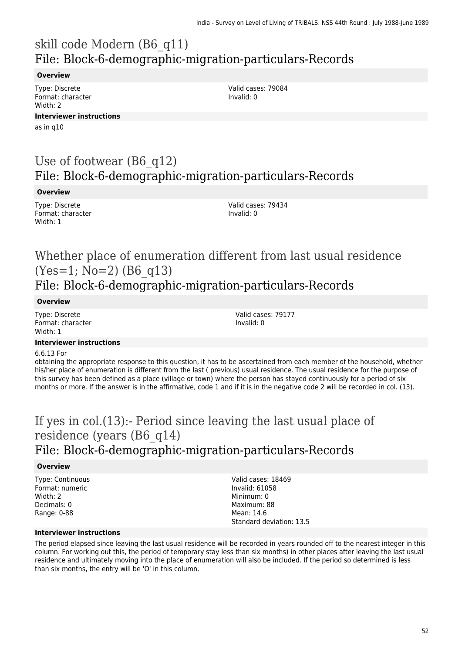# skill code Modern (B6\_q11) File: Block-6-demographic-migration-particulars-Records

### **Overview**

Type: Discrete Format: character Width: 2

**Interviewer instructions**

as in q10

# Use of footwear (B6\_q12) File: Block-6-demographic-migration-particulars-Records

### **Overview**

Type: Discrete Format: character Width: 1

Valid cases: 79434 Invalid: 0

Valid cases: 79084

Invalid: 0

### Whether place of enumeration different from last usual residence (Yes=1; No=2) (B6\_q13) File: Block-6-demographic-migration-particulars-Records

### **Overview**

Type: Discrete Format: character Width: 1

**Interviewer instructions**

Valid cases: 79177 Invalid: 0

### 6.6.13 For

obtaining the appropriate response to this question, it has to be ascertained from each member of the household, whether his/her place of enumeration is different from the last ( previous) usual residence. The usual residence for the purpose of this survey has been defined as a place (village or town) where the person has stayed continuously for a period of six months or more. If the answer is in the affirmative, code 1 and if it is in the negative code 2 will be recorded in col. (13).

## If yes in col.(13):- Period since leaving the last usual place of residence (years (B6\_q14) File: Block-6-demographic-migration-particulars-Records

### **Overview**

Type: Continuous Format: numeric Width: 2 Decimals: 0 Range: 0-88

Valid cases: 18469 Invalid: 61058 Minimum: 0 Maximum: 88 Mean: 14.6 Standard deviation: 13.5

### **Interviewer instructions**

The period elapsed since leaving the last usual residence will be recorded in years rounded off to the nearest integer in this column. For working out this, the period of temporary stay less than six months) in other places after leaving the last usual residence and ultimately moving into the place of enumeration will also be included. If the period so determined is less than six months, the entry will be 'O' in this column.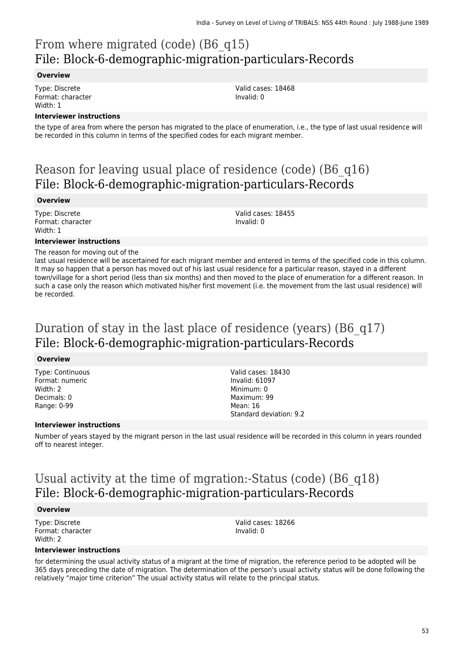# From where migrated (code) (B6\_q15) File: Block-6-demographic-migration-particulars-Records

#### **Overview**

Type: Discrete Format: character Width: 1

#### **Interviewer instructions**

the type of area from where the person has migrated to the place of enumeration, i.e., the type of last usual residence will be recorded in this column in terms of the specified codes for each migrant member.

# Reason for leaving usual place of residence (code) (B6\_q16) File: Block-6-demographic-migration-particulars-Records

#### **Overview**

Type: Discrete Format: character Width: 1

Valid cases: 18455 Invalid: 0

Valid cases: 18468

Invalid: 0

### **Interviewer instructions**

The reason for moving out of the

last usual residence will be ascertained for each migrant member and entered in terms of the specified code in this column. It may so happen that a person has moved out of his last usual residence for a particular reason, stayed in a different town/village for a short period (less than six months) and then moved to the place of enumeration for a different reason. In such a case only the reason which motivated his/her first movement (i.e. the movement from the last usual residence) will be recorded.

## Duration of stay in the last place of residence (years) (B6\_q17) File: Block-6-demographic-migration-particulars-Records

#### **Overview**

Type: Continuous Format: numeric Width: 2 Decimals: 0 Range: 0-99

Valid cases: 18430 Invalid: 61097 Minimum: 0 Maximum: 99 Mean: 16 Standard deviation: 9.2

### **Interviewer instructions**

Number of years stayed by the migrant person in the last usual residence will be recorded in this column in years rounded off to nearest integer.

# Usual activity at the time of mgration:-Status (code) (B6\_q18) File: Block-6-demographic-migration-particulars-Records

#### **Overview**

Type: Discrete Format: character Width: 2

Valid cases: 18266 Invalid: 0

### **Interviewer instructions**

for determining the usual activity status of a migrant at the time of migration, the reference period to be adopted will be 365 days preceding the date of migration. The determination of the person's usual activity status will be done following the relatively "major time criterion" The usual activity status will relate to the principal status.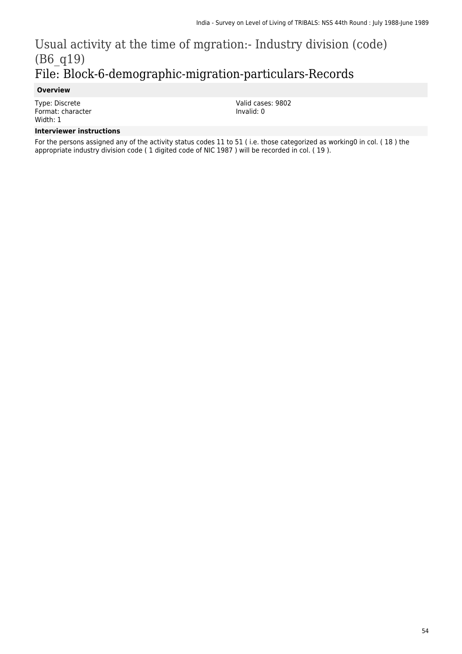## Usual activity at the time of mgration:- Industry division (code) (B6\_q19) File: Block-6-demographic-migration-particulars-Records

### **Overview**

Type: Discrete Format: character Width: 1

Valid cases: 9802 Invalid: 0

#### **Interviewer instructions**

For the persons assigned any of the activity status codes 11 to 51 ( i.e. those categorized as working0 in col. ( 18 ) the appropriate industry division code ( 1 digited code of NIC 1987 ) will be recorded in col. ( 19 ).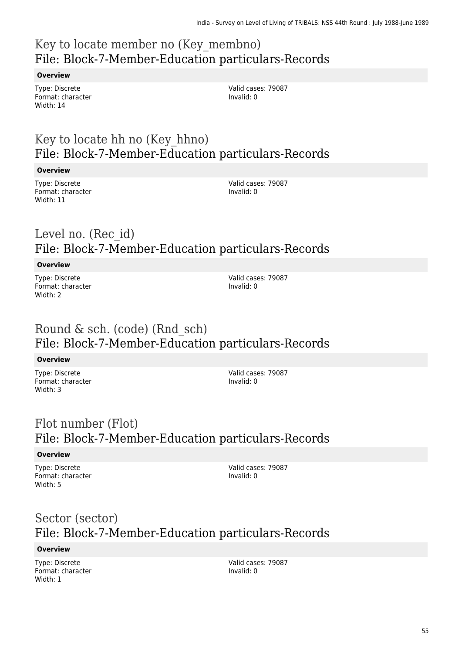# Key to locate member no (Key\_membno) File: Block-7-Member-Education particulars-Records

#### **Overview**

Type: Discrete Format: character Width: 14

Valid cases: 79087 Invalid: 0

# Key to locate hh no (Key\_hhno) File: Block-7-Member-Education particulars-Records

### **Overview**

Type: Discrete Format: character Width: 11

Valid cases: 79087 Invalid: 0

# Level no. (Rec\_id) File: Block-7-Member-Education particulars-Records

### **Overview**

Type: Discrete Format: character Width: 2

Valid cases: 79087 Invalid: 0

## Round & sch. (code) (Rnd\_sch) File: Block-7-Member-Education particulars-Records

### **Overview**

Type: Discrete Format: character Width: 3

Valid cases: 79087 Invalid: 0

## Flot number (Flot) File: Block-7-Member-Education particulars-Records

### **Overview**

Type: Discrete Format: character Width: 5

Valid cases: 79087 Invalid: 0

## Sector (sector) File: Block-7-Member-Education particulars-Records

### **Overview**

Type: Discrete Format: character Width: 1

Valid cases: 79087 Invalid: 0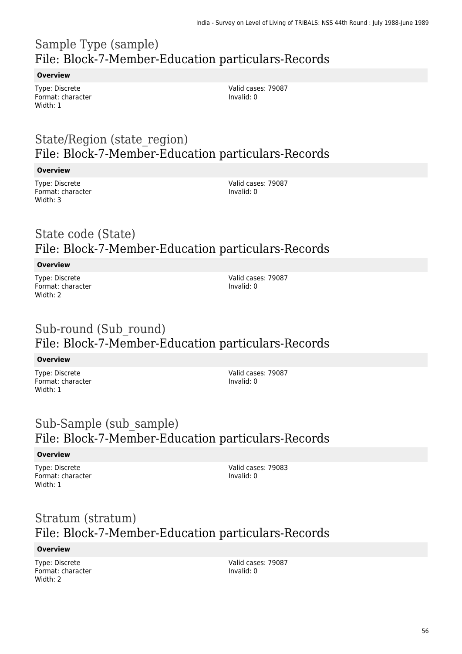# Sample Type (sample) File: Block-7-Member-Education particulars-Records

### **Overview**

Type: Discrete Format: character Width: 1

Valid cases: 79087 Invalid: 0

# State/Region (state\_region) File: Block-7-Member-Education particulars-Records

### **Overview**

Type: Discrete Format: character Width: 3

Valid cases: 79087 Invalid: 0

# State code (State) File: Block-7-Member-Education particulars-Records

### **Overview**

Type: Discrete Format: character Width: 2

Valid cases: 79087 Invalid: 0

## Sub-round (Sub\_round) File: Block-7-Member-Education particulars-Records

### **Overview**

Type: Discrete Format: character Width: 1

Valid cases: 79087 Invalid: 0

## Sub-Sample (sub\_sample) File: Block-7-Member-Education particulars-Records

### **Overview**

Type: Discrete Format: character Width: 1

Valid cases: 79083 Invalid: 0

## Stratum (stratum) File: Block-7-Member-Education particulars-Records

### **Overview**

Type: Discrete Format: character Width: 2

Valid cases: 79087 Invalid: 0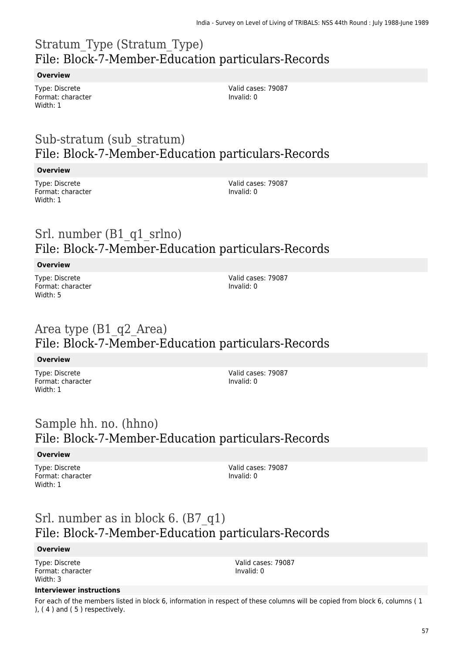# Stratum\_Type (Stratum\_Type) File: Block-7-Member-Education particulars-Records

#### **Overview**

Type: Discrete Format: character Width: 1

Valid cases: 79087 Invalid: 0

# Sub-stratum (sub\_stratum) File: Block-7-Member-Education particulars-Records

### **Overview**

Type: Discrete Format: character Width: 1

Valid cases: 79087 Invalid: 0

## Srl. number (B1\_q1\_srlno) File: Block-7-Member-Education particulars-Records

### **Overview**

Type: Discrete Format: character Width: 5

Valid cases: 79087 Invalid: 0

## Area type (B1\_q2\_Area) File: Block-7-Member-Education particulars-Records

### **Overview**

Type: Discrete Format: character Width: 1

Valid cases: 79087 Invalid: 0

## Sample hh. no. (hhno) File: Block-7-Member-Education particulars-Records

### **Overview**

Type: Discrete Format: character Width: 1

Valid cases: 79087 Invalid: 0

## Srl. number as in block 6. (B7\_q1) File: Block-7-Member-Education particulars-Records

### **Overview**

Type: Discrete Format: character Width: 3

Valid cases: 79087 Invalid: 0

### **Interviewer instructions**

For each of the members listed in block 6, information in respect of these columns will be copied from block 6, columns ( 1 ), ( 4 ) and ( 5 ) respectively.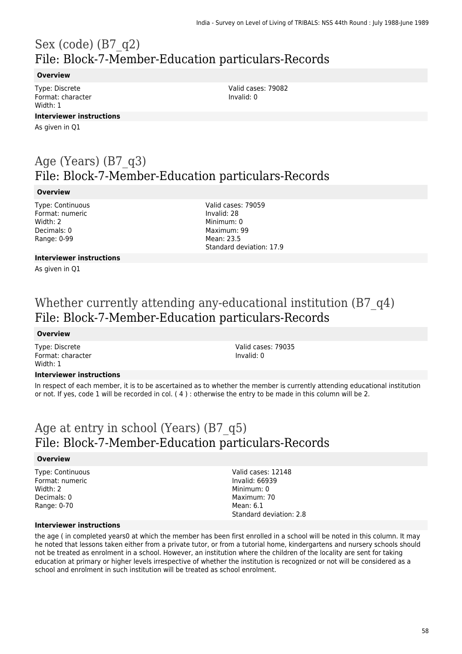# Sex (code) (B7\_q2) File: Block-7-Member-Education particulars-Records

### **Overview**

Type: Discrete Format: character Width: 1

#### **Interviewer instructions**

As given in Q1

Valid cases: 79082 Invalid: 0

# Age (Years) (B7\_q3) File: Block-7-Member-Education particulars-Records

#### **Overview**

Type: Continuous Format: numeric Width: 2 Decimals: 0 Range: 0-99

Valid cases: 79059 Invalid: 28 Minimum: 0 Maximum: 99 Mean: 23.5 Standard deviation: 17.9

### **Interviewer instructions**

As given in Q1

## Whether currently attending any-educational institution (B7\_q4) File: Block-7-Member-Education particulars-Records

#### **Overview**

Type: Discrete Format: character Width: 1

Valid cases: 79035 Invalid: 0

### **Interviewer instructions**

In respect of each member, it is to be ascertained as to whether the member is currently attending educational institution or not. If yes, code 1 will be recorded in col. ( 4 ) : otherwise the entry to be made in this column will be 2.

## Age at entry in school (Years) (B7\_q5) File: Block-7-Member-Education particulars-Records

#### **Overview**

Type: Continuous Format: numeric Width: 2 Decimals: 0 Range: 0-70

Valid cases: 12148 Invalid: 66939 Minimum: 0 Maximum: 70 Mean: 6.1 Standard deviation: 2.8

#### **Interviewer instructions**

the age ( in completed years0 at which the member has been first enrolled in a school will be noted in this column. It may he noted that lessons taken either from a private tutor, or from a tutorial home, kindergartens and nursery schools should not be treated as enrolment in a school. However, an institution where the children of the locality are sent for taking education at primary or higher levels irrespective of whether the institution is recognized or not will be considered as a school and enrolment in such institution will be treated as school enrolment.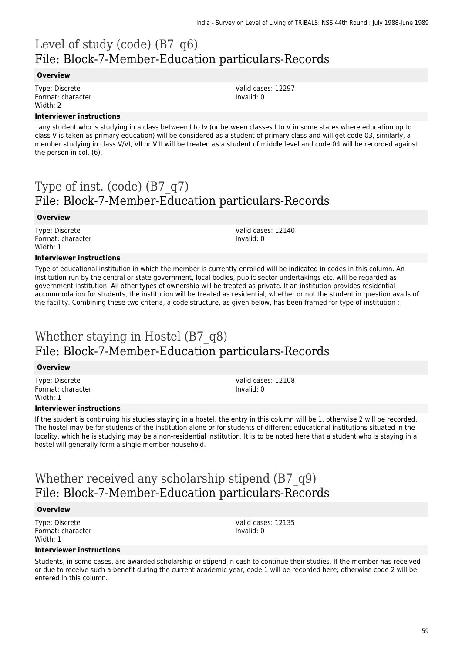# Level of study (code) (B7\_q6) File: Block-7-Member-Education particulars-Records

#### **Overview**

Type: Discrete Format: character Width: 2

#### **Interviewer instructions**

. any student who is studying in a class between I to Iv (or between classes I to V in some states where education up to class V is taken as primary education) will be considered as a student of primary class and will get code 03, similarly, a member studying in class V/VI, VII or VIII will be treated as a student of middle level and code 04 will be recorded against the person in col. (6).

## Type of inst. (code) (B7\_q7) File: Block-7-Member-Education particulars-Records

#### **Overview**

Type: Discrete Format: character Width: 1

Valid cases: 12140 Invalid: 0

Valid cases: 12108

Invalid: 0

#### **Interviewer instructions**

Type of educational institution in which the member is currently enrolled will be indicated in codes in this column. An institution run by the central or state government, local bodies, public sector undertakings etc. will be regarded as government institution. All other types of ownership will be treated as private. If an institution provides residential accommodation for students, the institution will be treated as residential, whether or not the student in question avails of the facility. Combining these two criteria, a code structure, as given below, has been framed for type of institution :

## Whether staying in Hostel (B7\_q8) File: Block-7-Member-Education particulars-Records

#### **Overview**

Type: Discrete Format: character Width: 1

#### **Interviewer instructions**

If the student is continuing his studies staying in a hostel, the entry in this column will be 1, otherwise 2 will be recorded. The hostel may be for students of the institution alone or for students of different educational institutions situated in the locality, which he is studying may be a non-residential institution. It is to be noted here that a student who is staying in a hostel will generally form a single member household.

## Whether received any scholarship stipend (B7\_q9) File: Block-7-Member-Education particulars-Records

#### **Overview**

Type: Discrete Format: character Width: 1

Valid cases: 12135 Invalid: 0

#### **Interviewer instructions**

Students, in some cases, are awarded scholarship or stipend in cash to continue their studies. If the member has received or due to receive such a benefit during the current academic year, code 1 will be recorded here; otherwise code 2 will be entered in this column.

Valid cases: 12297 Invalid: 0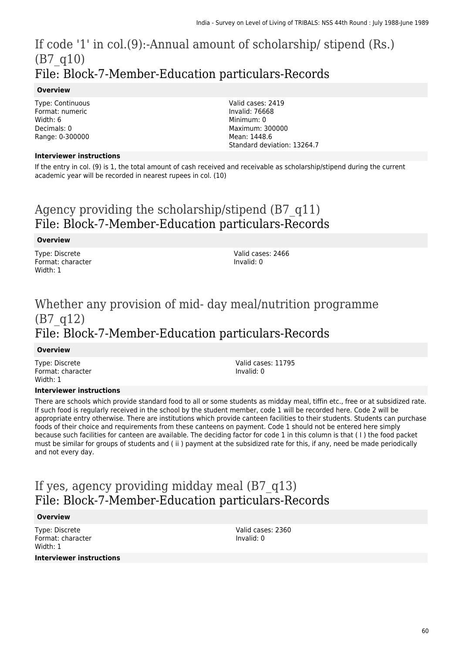## If code '1' in col.(9):-Annual amount of scholarship/ stipend (Rs.) (B7\_q10) File: Block-7-Member-Education particulars-Records

### **Overview**

Type: Continuous Format: numeric Width: 6 Decimals: 0 Range: 0-300000

#### **Interviewer instructions**

Valid cases: 2419 Invalid: 76668 Minimum: 0 Maximum: 300000 Mean: 1448.6 Standard deviation: 13264.7

If the entry in col. (9) is 1, the total amount of cash received and receivable as scholarship/stipend during the current academic year will be recorded in nearest rupees in col. (10)

## Agency providing the scholarship/stipend (B7\_q11) File: Block-7-Member-Education particulars-Records

#### **Overview**

Type: Discrete Format: character Width: 1

Valid cases: 2466 Invalid: 0

Valid cases: 11795

Invalid: 0

## Whether any provision of mid- day meal/nutrition programme (B7\_q12) File: Block-7-Member-Education particulars-Records

### **Overview**

Type: Discrete Format: character Width: 1

### **Interviewer instructions**

There are schools which provide standard food to all or some students as midday meal, tiffin etc., free or at subsidized rate. If such food is regularly received in the school by the student member, code 1 will be recorded here. Code 2 will be appropriate entry otherwise. There are institutions which provide canteen facilities to their students. Students can purchase foods of their choice and requirements from these canteens on payment. Code 1 should not be entered here simply because such facilities for canteen are available. The deciding factor for code 1 in this column is that ( I ) the food packet must be similar for groups of students and ( ii ) payment at the subsidized rate for this, if any, need be made periodically and not every day.

## If yes, agency providing midday meal (B7\_q13) File: Block-7-Member-Education particulars-Records

### **Overview**

Type: Discrete Format: character Width: 1

**Interviewer instructions**

Valid cases: 2360 Invalid: 0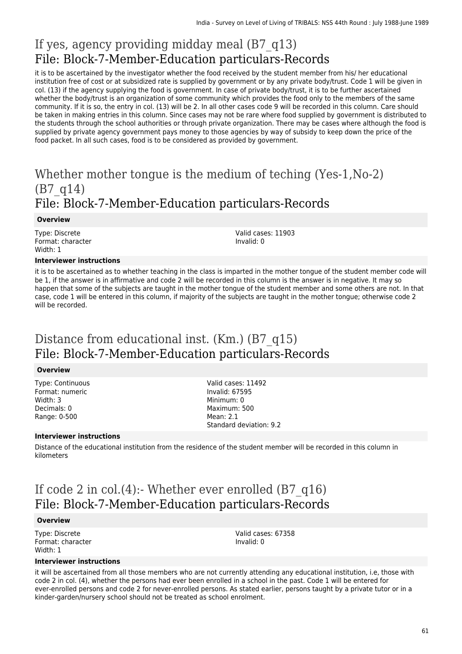# If yes, agency providing midday meal (B7\_q13) File: Block-7-Member-Education particulars-Records

it is to be ascertained by the investigator whether the food received by the student member from his/ her educational institution free of cost or at subsidized rate is supplied by government or by any private body/trust. Code 1 will be given in col. (13) if the agency supplying the food is government. In case of private body/trust, it is to be further ascertained whether the body/trust is an organization of some community which provides the food only to the members of the same community. If it is so, the entry in col. (13) will be 2. In all other cases code 9 will be recorded in this column. Care should be taken in making entries in this column. Since cases may not be rare where food supplied by government is distributed to the students through the school authorities or through private organization. There may be cases where although the food is supplied by private agency government pays money to those agencies by way of subsidy to keep down the price of the food packet. In all such cases, food is to be considered as provided by government.

## Whether mother tongue is the medium of teching (Yes-1,No-2) (B7\_q14) File: Block-7-Member-Education particulars-Records

### **Overview**

Type: Discrete Format: character Width: 1

Valid cases: 11903 Invalid: 0

#### **Interviewer instructions**

it is to be ascertained as to whether teaching in the class is imparted in the mother tongue of the student member code will be 1, if the answer is in affirmative and code 2 will be recorded in this column is the answer is in negative. It may so happen that some of the subjects are taught in the mother tongue of the student member and some others are not. In that case, code 1 will be entered in this column, if majority of the subjects are taught in the mother tongue; otherwise code 2 will be recorded.

## Distance from educational inst. (Km.) (B7\_q15) File: Block-7-Member-Education particulars-Records

### **Overview**

Type: Continuous Format: numeric Width: 3 Decimals: 0 Range: 0-500

Valid cases: 11492 Invalid: 67595 Minimum: 0 Maximum: 500 Mean: 2.1 Standard deviation: 9.2

### **Interviewer instructions**

Distance of the educational institution from the residence of the student member will be recorded in this column in kilometers

## If code 2 in col.(4):- Whether ever enrolled (B7 q16) File: Block-7-Member-Education particulars-Records

### **Overview**

Type: Discrete Format: character Width: 1

Valid cases: 67358 Invalid: 0

### **Interviewer instructions**

it will be ascertained from all those members who are not currently attending any educational institution, i.e, those with code 2 in col. (4), whether the persons had ever been enrolled in a school in the past. Code 1 will be entered for ever-enrolled persons and code 2 for never-enrolled persons. As stated earlier, persons taught by a private tutor or in a kinder-garden/nursery school should not be treated as school enrolment.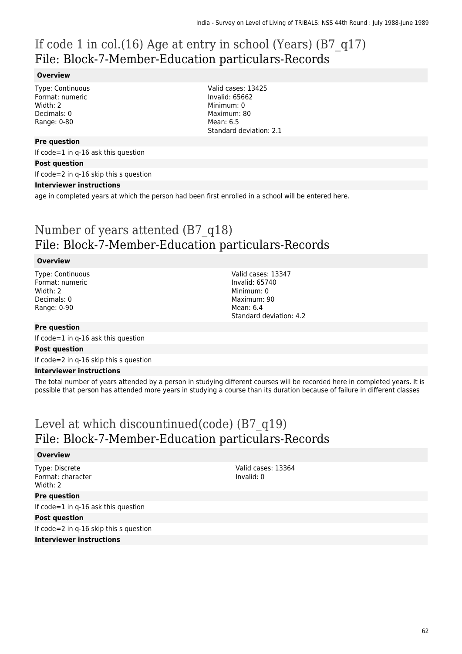# If code 1 in col.(16) Age at entry in school (Years) (B7  $q17$ ) File: Block-7-Member-Education particulars-Records

#### **Overview**

Type: Continuous Format: numeric Width: 2 Decimals: 0 Range: 0-80

Valid cases: 13425 Invalid: 65662 Minimum: 0 Maximum: 80 Mean: 6.5 Standard deviation: 2.1

#### **Pre question**

If code=1 in q-16 ask this question

#### **Post question**

If code=2 in q-16 skip this s question

#### **Interviewer instructions**

age in completed years at which the person had been first enrolled in a school will be entered here.

## Number of years attented (B7\_q18) File: Block-7-Member-Education particulars-Records

#### **Overview**

Type: Continuous Format: numeric Width: 2 Decimals: 0 Range: 0-90

#### Valid cases: 13347 Invalid: 65740 Minimum: 0 Maximum: 90 Mean: 6.4 Standard deviation: 4.2

#### **Pre question**

If code=1 in q-16 ask this question

#### **Post question**

If code=2 in q-16 skip this s question

#### **Interviewer instructions**

The total number of years attended by a person in studying different courses will be recorded here in completed years. It is possible that person has attended more years in studying a course than its duration because of failure in different classes

# Level at which discountinued(code) (B7\_q19) File: Block-7-Member-Education particulars-Records

#### **Overview**

Type: Discrete Format: character Width: 2

Valid cases: 13364 Invalid: 0

**Pre question** If code=1 in q-16 ask this question

### **Post question**

If code=2 in q-16 skip this s question

#### **Interviewer instructions**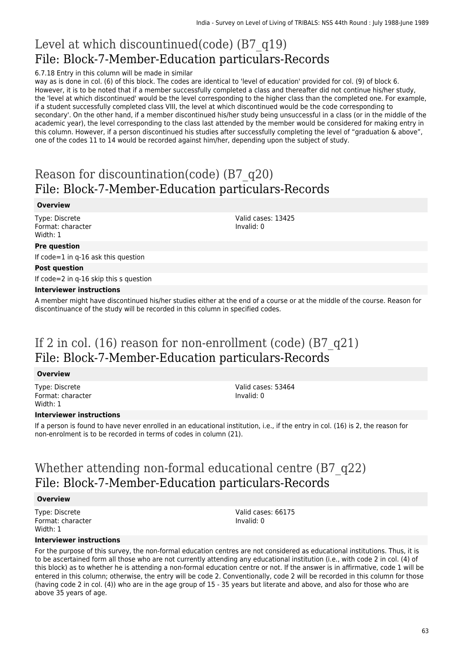# Level at which discountinued(code) (B7\_q19) File: Block-7-Member-Education particulars-Records

6.7.18 Entry in this column will be made in similar

way as is done in col. (6) of this block. The codes are identical to 'level of education' provided for col. (9) of block 6. However, it is to be noted that if a member successfully completed a class and thereafter did not continue his/her study, the 'level at which discontinued' would be the level corresponding to the higher class than the completed one. For example, if a student successfully completed class VIII, the level at which discontinued would be the code corresponding to secondary'. On the other hand, if a member discontinued his/her study being unsuccessful in a class (or in the middle of the academic year), the level corresponding to the class last attended by the member would be considered for making entry in this column. However, if a person discontinued his studies after successfully completing the level of "graduation & above", one of the codes 11 to 14 would be recorded against him/her, depending upon the subject of study.

# Reason for discountination(code) (B7\_q20) File: Block-7-Member-Education particulars-Records

#### **Overview**

Type: Discrete Format: character Width: 1

Valid cases: 13425 Invalid: 0

#### **Pre question**

**Post question**

If code=1 in q-16 ask this question

### If code=2 in q-16 skip this s question

#### **Interviewer instructions**

A member might have discontinued his/her studies either at the end of a course or at the middle of the course. Reason for discontinuance of the study will be recorded in this column in specified codes.

## If 2 in col. (16) reason for non-enrollment (code) (B7\_q21) File: Block-7-Member-Education particulars-Records

### **Overview**

Type: Discrete Format: character Width: 1

Valid cases: 53464 Invalid: 0

### **Interviewer instructions**

If a person is found to have never enrolled in an educational institution, i.e., if the entry in col. (16) is 2, the reason for non-enrolment is to be recorded in terms of codes in column (21).

## Whether attending non-formal educational centre (B7\_q22) File: Block-7-Member-Education particulars-Records

#### **Overview**

Type: Discrete Format: character Width: 1

Valid cases: 66175 Invalid: 0

### **Interviewer instructions**

For the purpose of this survey, the non-formal education centres are not considered as educational institutions. Thus, it is to be ascertained form all those who are not currently attending any educational institution (i.e., with code 2 in col. (4) of this block) as to whether he is attending a non-formal education centre or not. If the answer is in affirmative, code 1 will be entered in this column; otherwise, the entry will be code 2. Conventionally, code 2 will be recorded in this column for those (having code 2 in col. (4)) who are in the age group of 15 - 35 years but literate and above, and also for those who are above 35 years of age.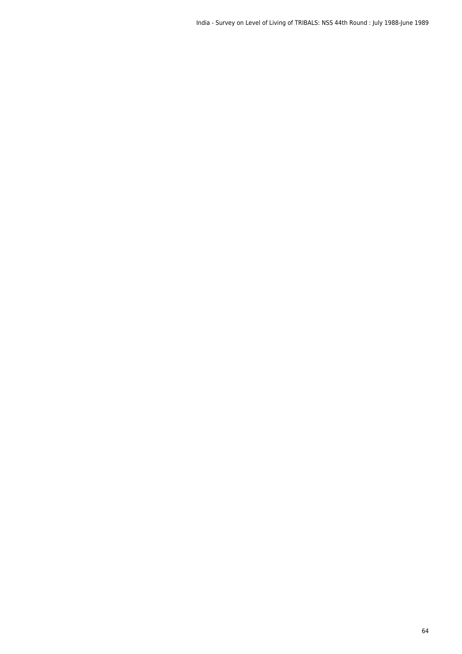India - Survey on Level of Living of TRIBALS: NSS 44th Round : July 1988-June 1989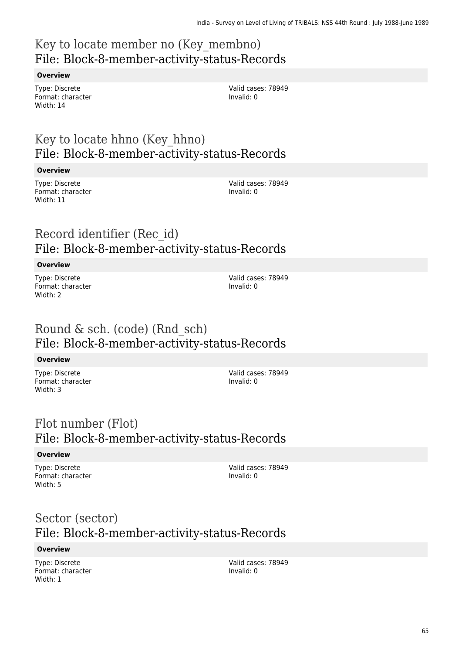# Key to locate member no (Key\_membno) File: Block-8-member-activity-status-Records

### **Overview**

Type: Discrete Format: character Width: 14

Valid cases: 78949 Invalid: 0

# Key to locate hhno (Key\_hhno) File: Block-8-member-activity-status-Records

### **Overview**

Type: Discrete Format: character Width: 11

Valid cases: 78949 Invalid: 0

## Record identifier (Rec\_id) File: Block-8-member-activity-status-Records

### **Overview**

Type: Discrete Format: character Width: 2

Valid cases: 78949 Invalid: 0

## Round & sch. (code) (Rnd\_sch) File: Block-8-member-activity-status-Records

### **Overview**

Type: Discrete Format: character Width: 3

Valid cases: 78949 Invalid: 0

## Flot number (Flot) File: Block-8-member-activity-status-Records

### **Overview**

Type: Discrete Format: character Width: 5

Valid cases: 78949 Invalid: 0

## Sector (sector) File: Block-8-member-activity-status-Records

### **Overview**

Type: Discrete Format: character Width: 1

Valid cases: 78949 Invalid: 0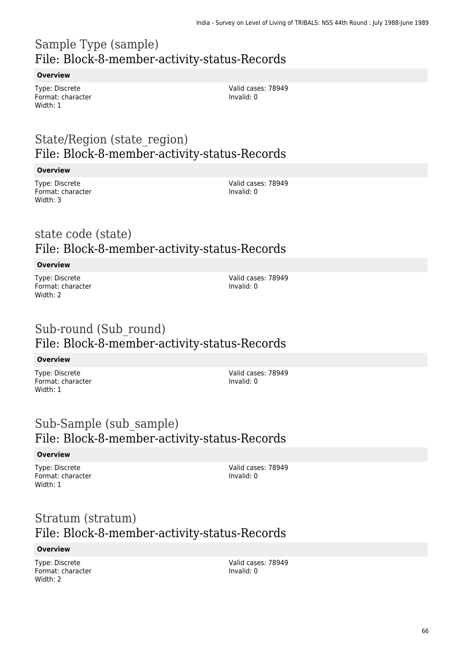# Sample Type (sample) File: Block-8-member-activity-status-Records

### **Overview**

Type: Discrete Format: character Width: 1

Valid cases: 78949 Invalid: 0

# State/Region (state\_region) File: Block-8-member-activity-status-Records

### **Overview**

Type: Discrete Format: character Width: 3

Valid cases: 78949 Invalid: 0

## state code (state) File: Block-8-member-activity-status-Records

### **Overview**

Type: Discrete Format: character Width: 2

Valid cases: 78949 Invalid: 0

## Sub-round (Sub\_round) File: Block-8-member-activity-status-Records

### **Overview**

Type: Discrete Format: character Width: 1

Valid cases: 78949 Invalid: 0

## Sub-Sample (sub\_sample) File: Block-8-member-activity-status-Records

### **Overview**

Type: Discrete Format: character Width: 1

Valid cases: 78949 Invalid: 0

## Stratum (stratum) File: Block-8-member-activity-status-Records

### **Overview**

Type: Discrete Format: character Width: 2

Valid cases: 78949 Invalid: 0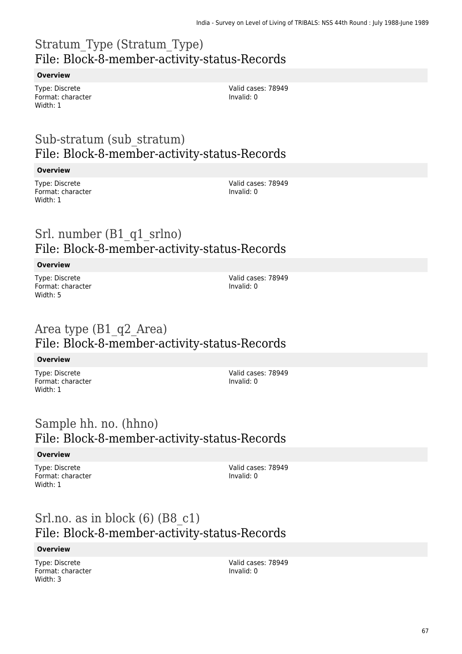# Stratum\_Type (Stratum\_Type) File: Block-8-member-activity-status-Records

### **Overview**

Type: Discrete Format: character Width: 1

Valid cases: 78949 Invalid: 0

# Sub-stratum (sub\_stratum) File: Block-8-member-activity-status-Records

### **Overview**

Type: Discrete Format: character Width: 1

Valid cases: 78949 Invalid: 0

## Srl. number (B1\_q1\_srlno) File: Block-8-member-activity-status-Records

### **Overview**

Type: Discrete Format: character Width: 5

Valid cases: 78949 Invalid: 0

## Area type (B1\_q2\_Area) File: Block-8-member-activity-status-Records

### **Overview**

Type: Discrete Format: character Width: 1

Valid cases: 78949 Invalid: 0

## Sample hh. no. (hhno) File: Block-8-member-activity-status-Records

### **Overview**

Type: Discrete Format: character Width: 1

Valid cases: 78949 Invalid: 0

## Srl.no. as in block  $(6)$   $(B8\text{ c1})$ File: Block-8-member-activity-status-Records

### **Overview**

Type: Discrete Format: character Width: 3

Valid cases: 78949 Invalid: 0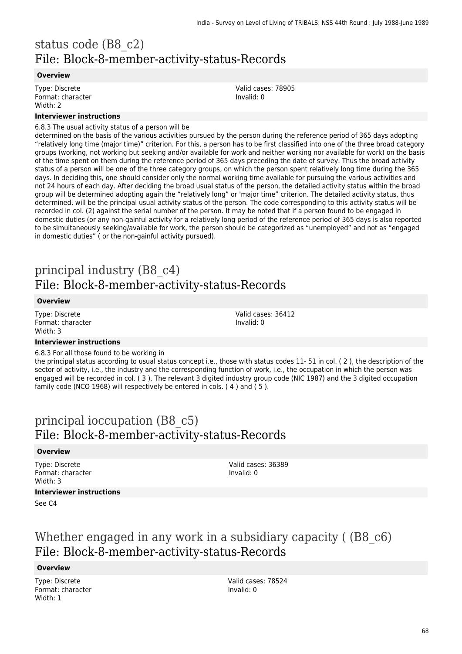## status code (B8\_c2) File: Block-8-member-activity-status-Records

#### **Overview**

Type: Discrete Format: character Width: 2

#### **Interviewer instructions**

6.8.3 The usual activity status of a person will be

determined on the basis of the various activities pursued by the person during the reference period of 365 days adopting "relatively long time (major time)" criterion. For this, a person has to be first classified into one of the three broad category groups (working, not working but seeking and/or available for work and neither working nor available for work) on the basis of the time spent on them during the reference period of 365 days preceding the date of survey. Thus the broad activity status of a person will be one of the three category groups, on which the person spent relatively long time during the 365 days. In deciding this, one should consider only the normal working time available for pursuing the various activities and not 24 hours of each day. After deciding the broad usual status of the person, the detailed activity status within the broad group will be determined adopting again the "relatively long" or 'major time" criterion. The detailed activity status, thus determined, will be the principal usual activity status of the person. The code corresponding to this activity status will be recorded in col. (2) against the serial number of the person. It may be noted that if a person found to be engaged in domestic duties (or any non-gainful activity for a relatively long period of the reference period of 365 days is also reported to be simultaneously seeking/available for work, the person should be categorized as "unemployed" and not as "engaged in domestic duties" ( or the non-gainful activity pursued).

# principal industry (B8\_c4) File: Block-8-member-activity-status-Records

#### **Overview**

Type: Discrete Format: character Width: 3

Valid cases: 36412 Invalid: 0

Valid cases: 78905

Invalid: 0

### **Interviewer instructions**

6.8.3 For all those found to be working in

the principal status according to usual status concept i.e., those with status codes 11- 51 in col. ( 2 ), the description of the sector of activity, i.e., the industry and the corresponding function of work, i.e., the occupation in which the person was engaged will be recorded in col. ( 3 ). The relevant 3 digited industry group code (NIC 1987) and the 3 digited occupation family code (NCO 1968) will respectively be entered in cols. ( 4 ) and ( 5 ).

## principal ioccupation (B8\_c5) File: Block-8-member-activity-status-Records

#### **Overview**

Type: Discrete Format: character Width: 3

**Interviewer instructions** See C4

Valid cases: 36389 Invalid: 0

## Whether engaged in any work in a subsidiary capacity ( $(B8\text{ }c6)$ ) File: Block-8-member-activity-status-Records

#### **Overview**

Type: Discrete Format: character Width: 1

Valid cases: 78524 Invalid: 0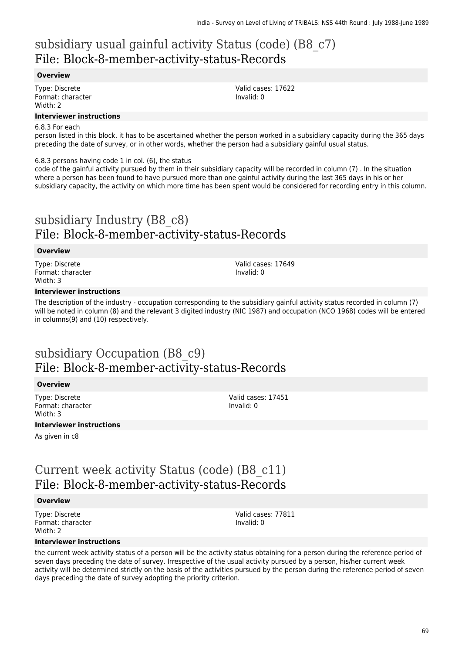# subsidiary usual gainful activity Status (code) (B8\_c7) File: Block-8-member-activity-status-Records

#### **Overview**

Type: Discrete Format: character Width: 2

#### **Interviewer instructions**

#### 6.8.3 For each

person listed in this block, it has to be ascertained whether the person worked in a subsidiary capacity during the 365 days preceding the date of survey, or in other words, whether the person had a subsidiary gainful usual status.

6.8.3 persons having code 1 in col. (6), the status

code of the gainful activity pursued by them in their subsidiary capacity will be recorded in column (7) . In the situation where a person has been found to have pursued more than one gainful activity during the last 365 days in his or her subsidiary capacity, the activity on which more time has been spent would be considered for recording entry in this column.

## subsidiary Industry (B8\_c8) File: Block-8-member-activity-status-Records

#### **Overview**

Type: Discrete Format: character Width: 3

Valid cases: 17649 Invalid: 0

Valid cases: 17622

Invalid: 0

### **Interviewer instructions**

The description of the industry - occupation corresponding to the subsidiary gainful activity status recorded in column (7) will be noted in column (8) and the relevant 3 digited industry (NIC 1987) and occupation (NCO 1968) codes will be entered in columns(9) and (10) respectively.

## subsidiary Occupation (B8\_c9) File: Block-8-member-activity-status-Records

#### **Overview**

Type: Discrete Format: character Width: 3

#### **Interviewer instructions**

As given in c8

Valid cases: 17451 Invalid: 0

## Current week activity Status (code) (B8\_c11) File: Block-8-member-activity-status-Records

#### **Overview**

Type: Discrete Format: character Width: 2

Valid cases: 77811 Invalid: 0

#### **Interviewer instructions**

the current week activity status of a person will be the activity status obtaining for a person during the reference period of seven days preceding the date of survey. Irrespective of the usual activity pursued by a person, his/her current week activity will be determined strictly on the basis of the activities pursued by the person during the reference period of seven days preceding the date of survey adopting the priority criterion.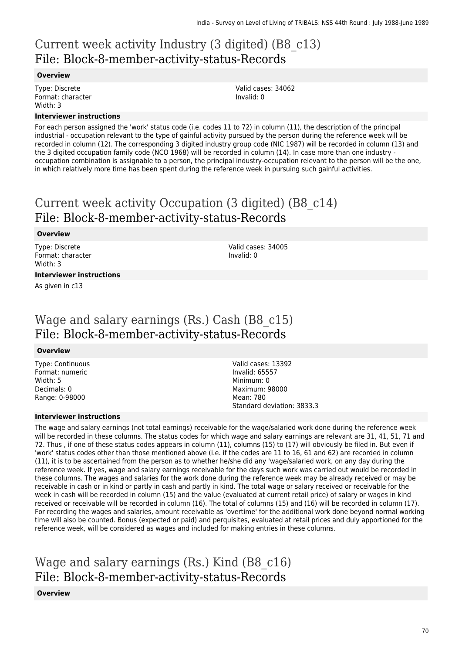# Current week activity Industry (3 digited) (B8\_c13) File: Block-8-member-activity-status-Records

#### **Overview**

Type: Discrete Format: character Width: 3

#### **Interviewer instructions**

For each person assigned the 'work' status code (i.e. codes 11 to 72) in column (11), the description of the principal industrial - occupation relevant to the type of gainful activity pursued by the person during the reference week will be recorded in column (12). The corresponding 3 digited industry group code (NIC 1987) will be recorded in column (13) and the 3 digited occupation family code (NCO 1968) will be recorded in column (14). In case more than one industry occupation combination is assignable to a person, the principal industry-occupation relevant to the person will be the one, in which relatively more time has been spent during the reference week in pursuing such gainful activities.

## Current week activity Occupation (3 digited) (B8\_c14) File: Block-8-member-activity-status-Records

#### **Overview**

Type: Discrete Format: character Width: 3

### **Interviewer instructions**

As given in c13

Valid cases: 34005 Invalid: 0

Valid cases: 34062

Invalid: 0

## Wage and salary earnings (Rs.) Cash (B8\_c15) File: Block-8-member-activity-status-Records

#### **Overview**

Type: Continuous Format: numeric Width: 5 Decimals: 0 Range: 0-98000

Valid cases: 13392 Invalid: 65557 Minimum: 0 Maximum: 98000 Mean: 780 Standard deviation: 3833.3

### **Interviewer instructions**

The wage and salary earnings (not total earnings) receivable for the wage/salaried work done during the reference week will be recorded in these columns. The status codes for which wage and salary earnings are relevant are 31, 41, 51, 71 and 72. Thus , if one of these status codes appears in column (11), columns (15) to (17) will obviously be filed in. But even if 'work' status codes other than those mentioned above (i.e. if the codes are 11 to 16, 61 and 62) are recorded in column (11), it is to be ascertained from the person as to whether he/she did any 'wage/salaried work, on any day during the reference week. If yes, wage and salary earnings receivable for the days such work was carried out would be recorded in these columns. The wages and salaries for the work done during the reference week may be already received or may be receivable in cash or in kind or partly in cash and partly in kind. The total wage or salary received or receivable for the week in cash will be recorded in column (15) and the value (evaluated at current retail price) of salary or wages in kind received or receivable will be recorded in column (16). The total of columns (15) and (16) will be recorded in column (17). For recording the wages and salaries, amount receivable as 'overtime' for the additional work done beyond normal working time will also be counted. Bonus (expected or paid) and perquisites, evaluated at retail prices and duly apportioned for the reference week, will be considered as wages and included for making entries in these columns.

Wage and salary earnings (Rs.) Kind (B8\_c16) File: Block-8-member-activity-status-Records

### **Overview**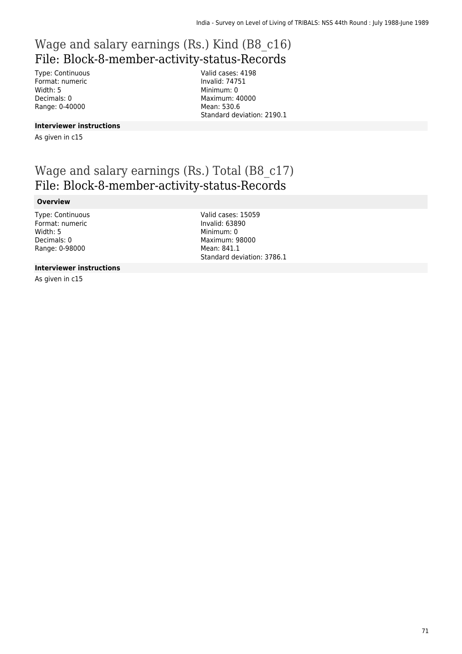# Wage and salary earnings (Rs.) Kind (B8\_c16) File: Block-8-member-activity-status-Records

Type: Continuous Format: numeric Width: 5 Decimals: 0 Range: 0-40000

Valid cases: 4198 Invalid: 74751 Minimum: 0 Maximum: 40000 Mean: 530.6 Standard deviation: 2190.1

#### **Interviewer instructions**

As given in c15

## Wage and salary earnings (Rs.) Total (B8\_c17) File: Block-8-member-activity-status-Records

#### **Overview**

Type: Continuous Format: numeric Width: 5 Decimals: 0 Range: 0-98000

Valid cases: 15059 Invalid: 63890 Minimum: 0 Maximum: 98000 Mean: 841.1 Standard deviation: 3786.1

#### **Interviewer instructions**

As given in c15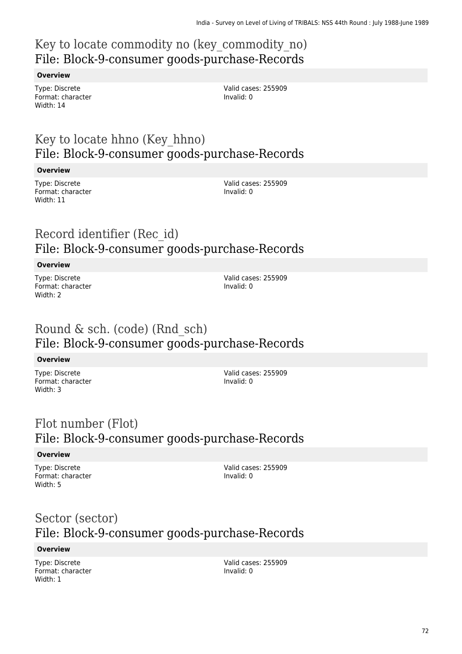# Key to locate commodity no (key\_commodity\_no) File: Block-9-consumer goods-purchase-Records

**Overview**

Type: Discrete Format: character Width: 14

Valid cases: 255909 Invalid: 0

# Key to locate hhno (Key\_hhno) File: Block-9-consumer goods-purchase-Records

### **Overview**

Type: Discrete Format: character Width: 11

Valid cases: 255909 Invalid: 0

# Record identifier (Rec\_id) File: Block-9-consumer goods-purchase-Records

### **Overview**

Type: Discrete Format: character Width: 2

Valid cases: 255909 Invalid: 0

## Round & sch. (code) (Rnd\_sch) File: Block-9-consumer goods-purchase-Records

### **Overview**

Type: Discrete Format: character Width: 3

Valid cases: 255909 Invalid: 0

# Flot number (Flot) File: Block-9-consumer goods-purchase-Records

### **Overview**

Type: Discrete Format: character Width: 5

Valid cases: 255909 Invalid: 0

## Sector (sector) File: Block-9-consumer goods-purchase-Records

### **Overview**

Type: Discrete Format: character Width: 1

Valid cases: 255909 Invalid: 0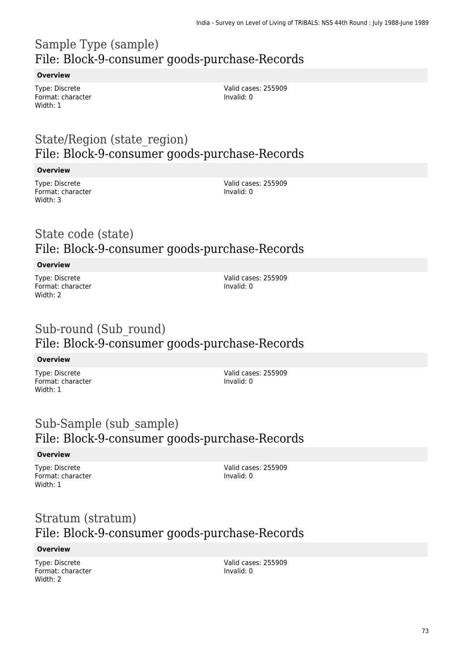## Sample Type (sample) File: Block-9-consumer goods-purchase-Records

#### **Overview**

Type: Discrete Format: character Width: 1

Valid cases: 255909 Invalid: 0

## State/Region (state\_region) File: Block-9-consumer goods-purchase-Records

#### **Overview**

Type: Discrete Format: character Width: 3

Valid cases: 255909 Invalid: 0

## State code (state) File: Block-9-consumer goods-purchase-Records

#### **Overview**

Type: Discrete Format: character Width: 2

Valid cases: 255909 Invalid: 0

## Sub-round (Sub\_round) File: Block-9-consumer goods-purchase-Records

#### **Overview**

Type: Discrete Format: character Width: 1

Valid cases: 255909 Invalid: 0

## Sub-Sample (sub\_sample) File: Block-9-consumer goods-purchase-Records

#### **Overview**

Type: Discrete Format: character Width: 1

Valid cases: 255909 Invalid: 0

## Stratum (stratum) File: Block-9-consumer goods-purchase-Records

#### **Overview**

Type: Discrete Format: character Width: 2

Valid cases: 255909 Invalid: 0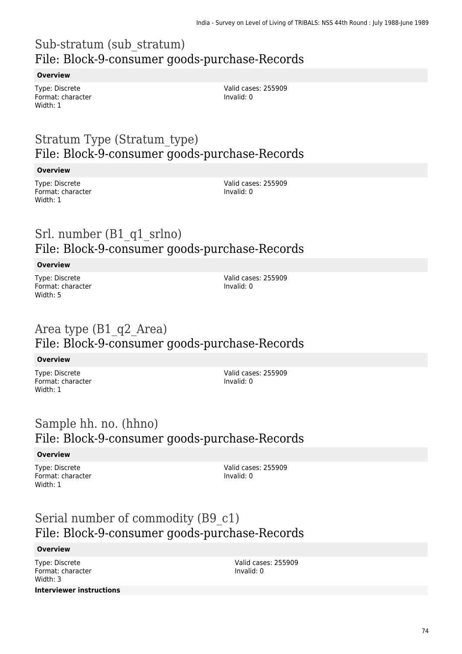## Sub-stratum (sub\_stratum) File: Block-9-consumer goods-purchase-Records

#### **Overview**

Type: Discrete Format: character Width: 1

Valid cases: 255909 Invalid: 0

## Stratum Type (Stratum\_type) File: Block-9-consumer goods-purchase-Records

#### **Overview**

Type: Discrete Format: character Width: 1

Valid cases: 255909 Invalid: 0

### Srl. number (B1\_q1\_srlno) File: Block-9-consumer goods-purchase-Records

#### **Overview**

Type: Discrete Format: character Width: 5

Valid cases: 255909 Invalid: 0

### Area type (B1\_q2\_Area) File: Block-9-consumer goods-purchase-Records

#### **Overview**

Type: Discrete Format: character Width: 1

Valid cases: 255909 Invalid: 0

## Sample hh. no. (hhno) File: Block-9-consumer goods-purchase-Records

#### **Overview**

Type: Discrete Format: character Width: 1

Valid cases: 255909 Invalid: 0

### Serial number of commodity (B9\_c1) File: Block-9-consumer goods-purchase-Records

#### **Overview**

Type: Discrete Format: character Width: 3

Valid cases: 255909 Invalid: 0

**Interviewer instructions**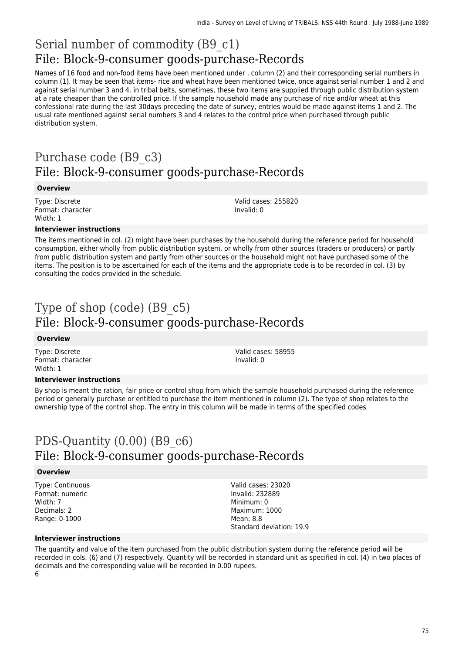## Serial number of commodity (B9\_c1) File: Block-9-consumer goods-purchase-Records

Names of 16 food and non-food items have been mentioned under , column (2) and their corresponding serial numbers in column (1). It may be seen that items- rice and wheat have been mentioned twice, once against serial number 1 and 2 and against serial number 3 and 4. in tribal belts, sometimes, these two items are supplied through public distribution system at a rate cheaper than the controlled price. If the sample household made any purchase of rice and/or wheat at this confessional rate during the last 30days preceding the date of survey, entries would be made against items 1 and 2. The usual rate mentioned against serial numbers 3 and 4 relates to the control price when purchased through public distribution system.

## Purchase code (B9\_c3) File: Block-9-consumer goods-purchase-Records

#### **Overview**

Type: Discrete Format: character Width: 1

Valid cases: 255820 Invalid: 0

Valid cases: 58955

Invalid: 0

#### **Interviewer instructions**

The items mentioned in col. (2) might have been purchases by the household during the reference period for household consumption, either wholly from public distribution system, or wholly from other sources (traders or producers) or partly from public distribution system and partly from other sources or the household might not have purchased some of the items. The position is to be ascertained for each of the items and the appropriate code is to be recorded in col. (3) by consulting the codes provided in the schedule.

## Type of shop (code) (B9\_c5) File: Block-9-consumer goods-purchase-Records

#### **Overview**

Type: Discrete Format: character Width: 1

#### **Interviewer instructions**

By shop is meant the ration, fair price or control shop from which the sample household purchased during the reference period or generally purchase or entitled to purchase the item mentioned in column (2). The type of shop relates to the ownership type of the control shop. The entry in this column will be made in terms of the specified codes

## PDS-Quantity (0.00) (B9\_c6) File: Block-9-consumer goods-purchase-Records

#### **Overview**

Type: Continuous Format: numeric Width: 7 Decimals: 2 Range: 0-1000

Valid cases: 23020 Invalid: 232889 Minimum: 0 Maximum: 1000 Mean: 8.8 Standard deviation: 19.9

#### **Interviewer instructions**

The quantity and value of the item purchased from the public distribution system during the reference period will be recorded in cols. (6) and (7) respectively. Quantity will be recorded in standard unit as specified in col. (4) in two places of decimals and the corresponding value will be recorded in 0.00 rupees. 6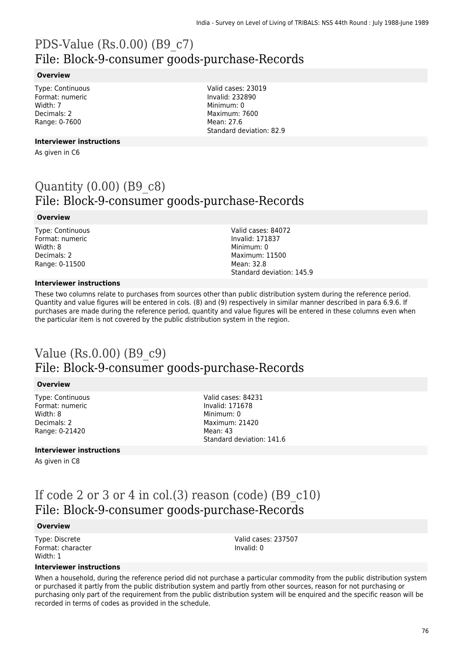## PDS-Value (Rs.0.00) (B9\_c7) File: Block-9-consumer goods-purchase-Records

#### **Overview**

Type: Continuous Format: numeric Width: 7 Decimals: 2 Range: 0-7600

Valid cases: 23019 Invalid: 232890 Minimum: 0 Maximum: 7600 Mean: 27.6 Standard deviation: 82.9

#### **Interviewer instructions**

As given in C6

## Quantity  $(0.00)$  (B9 $\,$ c8) File: Block-9-consumer goods-purchase-Records

#### **Overview**

Type: Continuous Format: numeric Width: 8 Decimals: 2 Range: 0-11500

#### **Interviewer instructions**

Valid cases: 84072 Invalid: 171837 Minimum: 0 Maximum: 11500 Mean: 32.8 Standard deviation: 145.9

These two columns relate to purchases from sources other than public distribution system during the reference period. Quantity and value figures will be entered in cols. (8) and (9) respectively in similar manner described in para 6.9.6. If purchases are made during the reference period, quantity and value figures will be entered in these columns even when the particular item is not covered by the public distribution system in the region.

## Value (Rs.0.00) (B9\_c9) File: Block-9-consumer goods-purchase-Records

#### **Overview**

Type: Continuous Format: numeric Width: 8 Decimals: 2 Range: 0-21420

Valid cases: 84231 Invalid: 171678 Minimum: 0 Maximum: 21420 Mean: 43 Standard deviation: 141.6

#### **Interviewer instructions**

As given in C8

## If code 2 or 3 or 4 in col.(3) reason (code) (B9 $c10$ ) File: Block-9-consumer goods-purchase-Records

#### **Overview**

Type: Discrete Format: character Width: 1

Valid cases: 237507 Invalid: 0

#### **Interviewer instructions**

When a household, during the reference period did not purchase a particular commodity from the public distribution system or purchased it partly from the public distribution system and partly from other sources, reason for not purchasing or purchasing only part of the requirement from the public distribution system will be enquired and the specific reason will be recorded in terms of codes as provided in the schedule.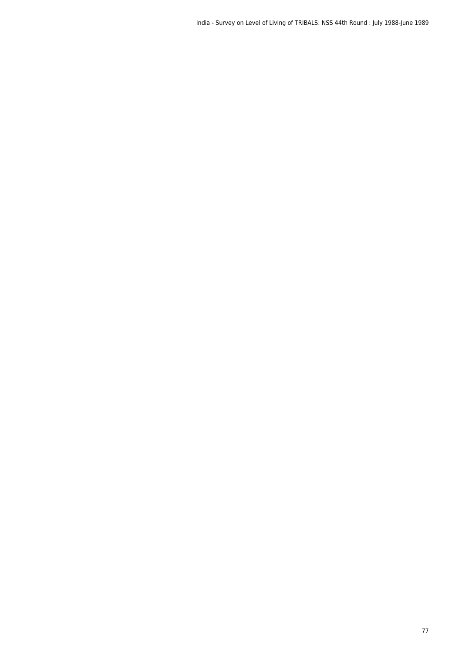India - Survey on Level of Living of TRIBALS: NSS 44th Round : July 1988-June 1989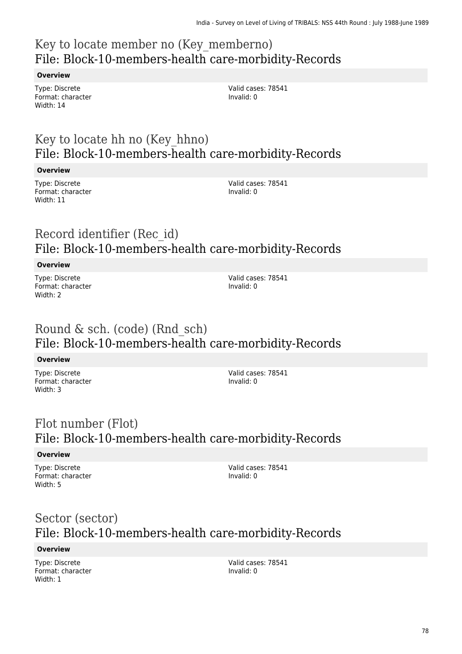## Key to locate member no (Key\_memberno) File: Block-10-members-health care-morbidity-Records

**Overview**

Type: Discrete Format: character Width: 14

Valid cases: 78541 Invalid: 0

## Key to locate hh no (Key\_hhno) File: Block-10-members-health care-morbidity-Records

#### **Overview**

Type: Discrete Format: character Width: 11

Valid cases: 78541 Invalid: 0

## Record identifier (Rec\_id) File: Block-10-members-health care-morbidity-Records

#### **Overview**

Type: Discrete Format: character Width: 2

Valid cases: 78541 Invalid: 0

### Round & sch. (code) (Rnd\_sch) File: Block-10-members-health care-morbidity-Records

#### **Overview**

Type: Discrete Format: character Width: 3

Valid cases: 78541 Invalid: 0

## Flot number (Flot) File: Block-10-members-health care-morbidity-Records

#### **Overview**

Type: Discrete Format: character Width: 5

Valid cases: 78541 Invalid: 0

## Sector (sector) File: Block-10-members-health care-morbidity-Records

#### **Overview**

Type: Discrete Format: character Width: 1

Valid cases: 78541 Invalid: 0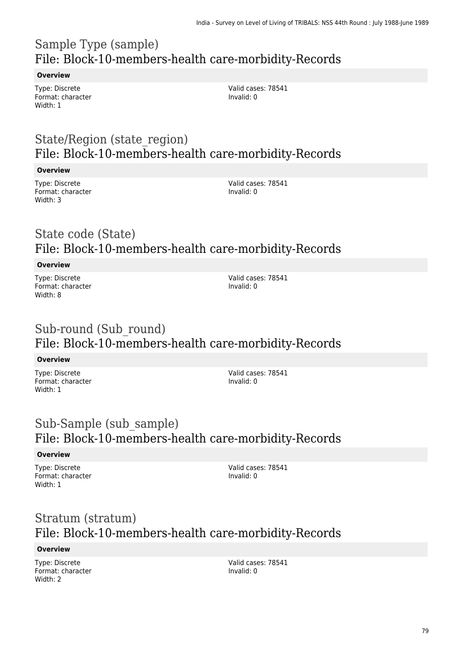## Sample Type (sample) File: Block-10-members-health care-morbidity-Records

#### **Overview**

Type: Discrete Format: character Width: 1

Valid cases: 78541 Invalid: 0

## State/Region (state\_region) File: Block-10-members-health care-morbidity-Records

#### **Overview**

Type: Discrete Format: character Width: 3

Valid cases: 78541 Invalid: 0

## State code (State) File: Block-10-members-health care-morbidity-Records

#### **Overview**

Type: Discrete Format: character Width: 8

Valid cases: 78541 Invalid: 0

## Sub-round (Sub\_round) File: Block-10-members-health care-morbidity-Records

#### **Overview**

Type: Discrete Format: character Width: 1

Valid cases: 78541 Invalid: 0

## Sub-Sample (sub\_sample) File: Block-10-members-health care-morbidity-Records

#### **Overview**

Type: Discrete Format: character Width: 1

Valid cases: 78541 Invalid: 0

### Stratum (stratum) File: Block-10-members-health care-morbidity-Records

#### **Overview**

Type: Discrete Format: character Width: 2

Valid cases: 78541 Invalid: 0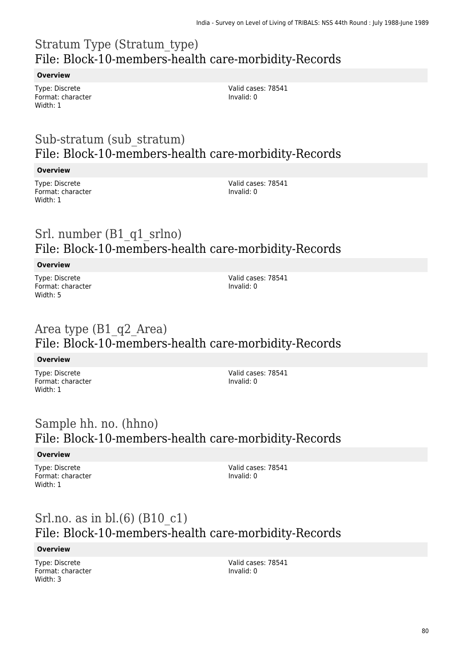## Stratum Type (Stratum\_type) File: Block-10-members-health care-morbidity-Records

#### **Overview**

Type: Discrete Format: character Width: 1

Valid cases: 78541 Invalid: 0

## Sub-stratum (sub\_stratum) File: Block-10-members-health care-morbidity-Records

#### **Overview**

Type: Discrete Format: character Width: 1

Valid cases: 78541 Invalid: 0

### Srl. number (B1\_q1\_srlno) File: Block-10-members-health care-morbidity-Records

#### **Overview**

Type: Discrete Format: character Width: 5

Valid cases: 78541 Invalid: 0

### Area type (B1\_q2\_Area) File: Block-10-members-health care-morbidity-Records

#### **Overview**

Type: Discrete Format: character Width: 1

Valid cases: 78541 Invalid: 0

### Sample hh. no. (hhno) File: Block-10-members-health care-morbidity-Records

#### **Overview**

Type: Discrete Format: character Width: 1

Valid cases: 78541 Invalid: 0

### Srl.no. as in bl.(6) (B10\_c1) File: Block-10-members-health care-morbidity-Records

#### **Overview**

Type: Discrete Format: character Width: 3

Valid cases: 78541 Invalid: 0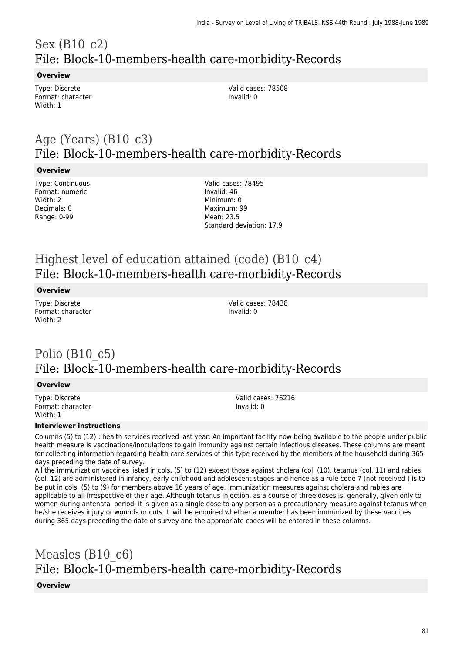## Sex (B10\_c2) File: Block-10-members-health care-morbidity-Records

#### **Overview**

Type: Discrete Format: character Width: 1

Valid cases: 78508 Invalid: 0

# Age (Years) (B10\_c3) File: Block-10-members-health care-morbidity-Records

#### **Overview**

Type: Continuous Format: numeric Width: 2 Decimals: 0 Range: 0-99

Valid cases: 78495 Invalid: 46 Minimum: 0 Maximum: 99 Mean: 23.5 Standard deviation: 17.9

## Highest level of education attained (code) (B10\_c4) File: Block-10-members-health care-morbidity-Records

#### **Overview**

Type: Discrete Format: character Width: 2

Valid cases: 78438 Invalid: 0

# Polio (B10\_c5) File: Block-10-members-health care-morbidity-Records

#### **Overview**

Type: Discrete Format: character Width: 1

Valid cases: 76216 Invalid: 0

#### **Interviewer instructions**

Columns (5) to (12) : health services received last year: An important facility now being available to the people under public health measure is vaccinations/inoculations to gain immunity against certain infectious diseases. These columns are meant for collecting information regarding health care services of this type received by the members of the household during 365 days preceding the date of survey.

All the immunization vaccines listed in cols. (5) to (12) except those against cholera (col. (10), tetanus (col. 11) and rabies (col. 12) are administered in infancy, early childhood and adolescent stages and hence as a rule code 7 (not received ) is to be put in cols. (5) to (9) for members above 16 years of age. Immunization measures against cholera and rabies are applicable to all irrespective of their age. Although tetanus injection, as a course of three doses is, generally, given only to women during antenatal period, it is given as a single dose to any person as a precautionary measure against tetanus when he/she receives injury or wounds or cuts .It will be enquired whether a member has been immunized by these vaccines during 365 days preceding the date of survey and the appropriate codes will be entered in these columns.

# Measles (B10\_c6) File: Block-10-members-health care-morbidity-Records

**Overview**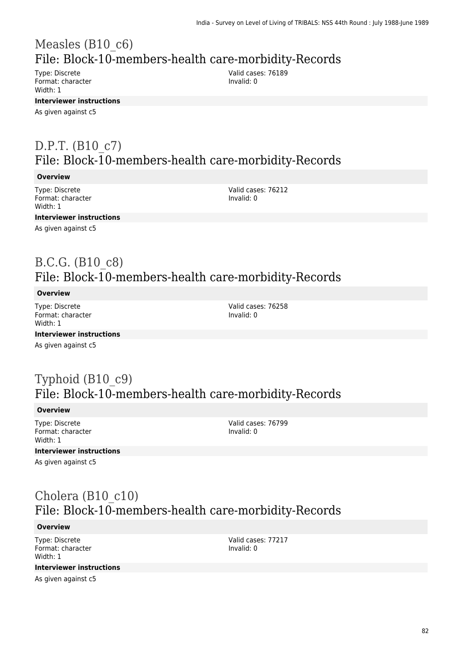# Measles (B10\_c6) File: Block-10-members-health care-morbidity-Records

Type: Discrete Format: character Width: 1

Valid cases: 76189 Invalid: 0

**Interviewer instructions**

As given against c5

## D.P.T. (B10\_c7) File: Block-10-members-health care-morbidity-Records

#### **Overview**

Type: Discrete Format: character Width: 1

As given against c5

**Interviewer instructions**

Valid cases: 76212 Invalid: 0

# B.C.G. (B10\_c8) File: Block-10-members-health care-morbidity-Records

#### **Overview**

Type: Discrete Format: character Width: 1

Valid cases: 76258 Invalid: 0

#### **Interviewer instructions**

As given against c5

## Typhoid (B10\_c9) File: Block-10-members-health care-morbidity-Records

#### **Overview**

Type: Discrete Format: character Width: 1

#### **Interviewer instructions**

As given against c5

### Valid cases: 76799 Invalid: 0

## Cholera (B10\_c10) File: Block-10-members-health care-morbidity-Records

#### **Overview**

Type: Discrete Format: character Width: 1

**Interviewer instructions**

As given against c5

Valid cases: 77217 Invalid: 0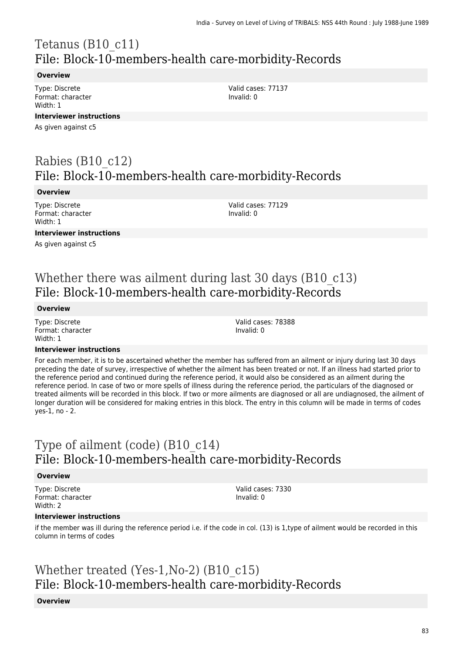## Tetanus (B10\_c11) File: Block-10-members-health care-morbidity-Records

#### **Overview**

Type: Discrete Format: character Width: 1

#### **Interviewer instructions**

As given against c5

Valid cases: 77137 Invalid: 0

## Rabies (B10\_c12) File: Block-10-members-health care-morbidity-Records

#### **Overview**

Type: Discrete Format: character Width: 1

**Interviewer instructions**

As given against c5

Valid cases: 77129 Invalid: 0

## Whether there was ailment during last 30 days (B10 c13) File: Block-10-members-health care-morbidity-Records

#### **Overview**

Type: Discrete Format: character Width: 1

Valid cases: 78388 Invalid: 0

#### **Interviewer instructions**

For each member, it is to be ascertained whether the member has suffered from an ailment or injury during last 30 days preceding the date of survey, irrespective of whether the ailment has been treated or not. If an illness had started prior to the reference period and continued during the reference period, it would also be considered as an ailment during the reference period. In case of two or more spells of illness during the reference period, the particulars of the diagnosed or treated ailments will be recorded in this block. If two or more ailments are diagnosed or all are undiagnosed, the ailment of longer duration will be considered for making entries in this block. The entry in this column will be made in terms of codes yes-1, no - 2.

## Type of ailment (code) (B10\_c14) File: Block-10-members-health care-morbidity-Records

#### **Overview**

Type: Discrete Format: character Width: 2

Valid cases: 7330 Invalid: 0

#### **Interviewer instructions**

if the member was ill during the reference period i.e. if the code in col. (13) is 1,type of ailment would be recorded in this column in terms of codes

# Whether treated (Yes-1, No-2) (B10\_c15) File: Block-10-members-health care-morbidity-Records

#### **Overview**

83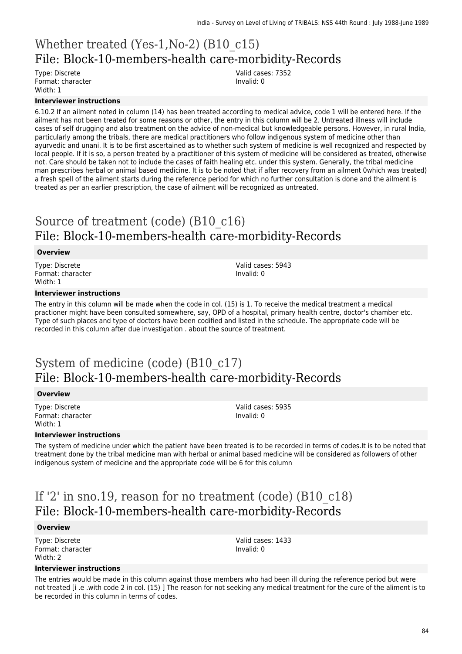## Whether treated (Yes-1, No-2) (B10\_c15) File: Block-10-members-health care-morbidity-Records

Type: Discrete Format: character Width: 1

Valid cases: 7352 Invalid: 0

#### **Interviewer instructions**

6.10.2 If an ailment noted in column (14) has been treated according to medical advice, code 1 will be entered here. If the ailment has not been treated for some reasons or other, the entry in this column will be 2. Untreated illness will include cases of self drugging and also treatment on the advice of non-medical but knowledgeable persons. However, in rural India, particularly among the tribals, there are medical practitioners who follow indigenous system of medicine other than ayurvedic and unani. It is to be first ascertained as to whether such system of medicine is well recognized and respected by local people. If it is so, a person treated by a practitioner of this system of medicine will be considered as treated, otherwise not. Care should be taken not to include the cases of faith healing etc. under this system. Generally, the tribal medicine man prescribes herbal or animal based medicine. It is to be noted that if after recovery from an ailment 0which was treated) a fresh spell of the ailment starts during the reference period for which no further consultation is done and the ailment is treated as per an earlier prescription, the case of ailment will be recognized as untreated.

### Source of treatment (code) (B10\_c16) File: Block-10-members-health care-morbidity-Records

#### **Overview**

Type: Discrete Format: character Width: 1

Valid cases: 5943 Invalid: 0

#### **Interviewer instructions**

The entry in this column will be made when the code in col. (15) is 1. To receive the medical treatment a medical practioner might have been consulted somewhere, say, OPD of a hospital, primary health centre, doctor's chamber etc. Type of such places and type of doctors have been codified and listed in the schedule. The appropriate code will be recorded in this column after due investigation . about the source of treatment.

### System of medicine (code) (B10\_c17) File: Block-10-members-health care-morbidity-Records

#### **Overview**

Type: Discrete Format: character Width: 1

#### **Interviewer instructions**

The system of medicine under which the patient have been treated is to be recorded in terms of codes.It is to be noted that treatment done by the tribal medicine man with herbal or animal based medicine will be considered as followers of other indigenous system of medicine and the appropriate code will be 6 for this column

### If '2' in sno.19, reason for no treatment (code) (B10\_c18) File: Block-10-members-health care-morbidity-Records

#### **Overview**

Type: Discrete Format: character Width: 2

Valid cases: 1433 Invalid: 0

Valid cases: 5935 Invalid: 0

#### **Interviewer instructions**

The entries would be made in this column against those members who had been ill during the reference period but were not treated [i .e .with code 2 in col. (15) ] The reason for not seeking any medical treatment for the cure of the aliment is to be recorded in this column in terms of codes.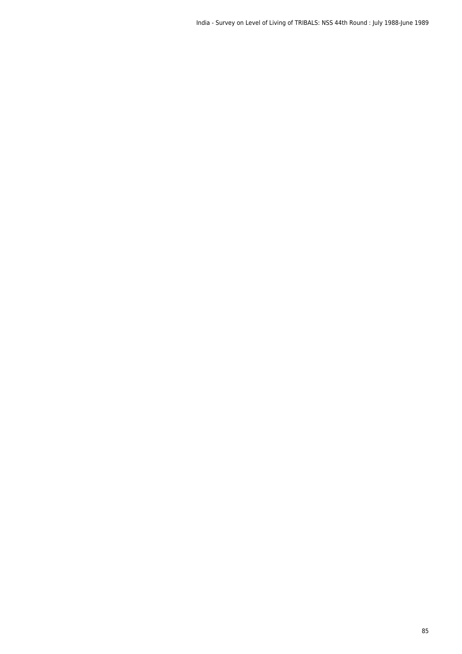India - Survey on Level of Living of TRIBALS: NSS 44th Round : July 1988-June 1989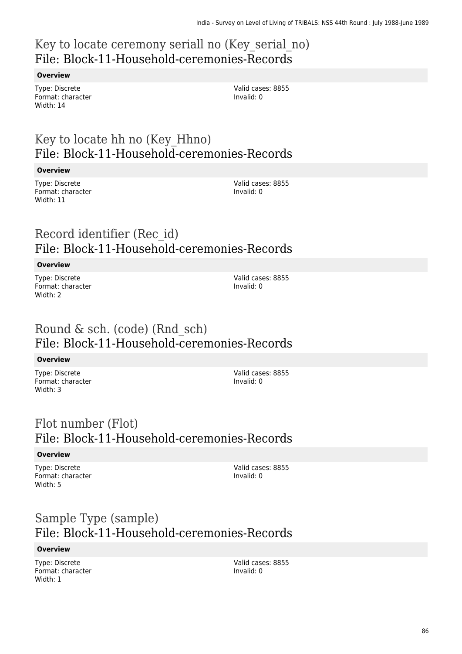## Key to locate ceremony seriall no (Key\_serial\_no) File: Block-11-Household-ceremonies-Records

#### **Overview**

Type: Discrete Format: character Width: 14

Valid cases: 8855 Invalid: 0

## Key to locate hh no (Key\_Hhno) File: Block-11-Household-ceremonies-Records

#### **Overview**

Type: Discrete Format: character Width: 11

Valid cases: 8855 Invalid: 0

## Record identifier (Rec\_id) File: Block-11-Household-ceremonies-Records

#### **Overview**

Type: Discrete Format: character Width: 2

Valid cases: 8855 Invalid: 0

### Round & sch. (code) (Rnd\_sch) File: Block-11-Household-ceremonies-Records

#### **Overview**

Type: Discrete Format: character Width: 3

Valid cases: 8855 Invalid: 0

## Flot number (Flot) File: Block-11-Household-ceremonies-Records

#### **Overview**

Type: Discrete Format: character Width: 5

Valid cases: 8855 Invalid: 0

### Sample Type (sample) File: Block-11-Household-ceremonies-Records

#### **Overview**

Type: Discrete Format: character Width: 1

Valid cases: 8855 Invalid: 0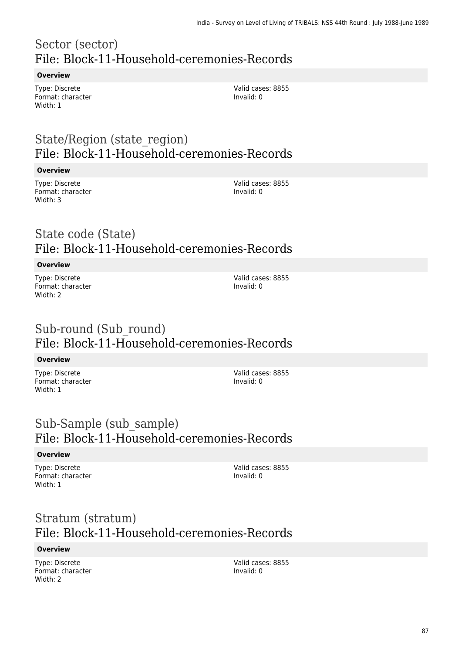## Sector (sector) File: Block-11-Household-ceremonies-Records

#### **Overview**

Type: Discrete Format: character Width: 1

Valid cases: 8855 Invalid: 0

## State/Region (state\_region) File: Block-11-Household-ceremonies-Records

#### **Overview**

Type: Discrete Format: character Width: 3

Valid cases: 8855 Invalid: 0

## State code (State) File: Block-11-Household-ceremonies-Records

#### **Overview**

Type: Discrete Format: character Width: 2

Valid cases: 8855 Invalid: 0

## Sub-round (Sub\_round) File: Block-11-Household-ceremonies-Records

#### **Overview**

Type: Discrete Format: character Width: 1

Valid cases: 8855 Invalid: 0

## Sub-Sample (sub\_sample) File: Block-11-Household-ceremonies-Records

#### **Overview**

Type: Discrete Format: character Width: 1

Valid cases: 8855 Invalid: 0

### Stratum (stratum) File: Block-11-Household-ceremonies-Records

#### **Overview**

Type: Discrete Format: character Width: 2

Valid cases: 8855 Invalid: 0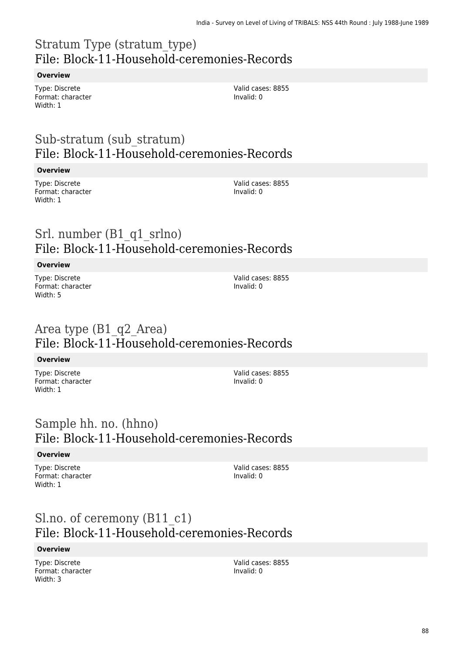## Stratum Type (stratum\_type) File: Block-11-Household-ceremonies-Records

#### **Overview**

Type: Discrete Format: character Width: 1

Valid cases: 8855 Invalid: 0

## Sub-stratum (sub\_stratum) File: Block-11-Household-ceremonies-Records

#### **Overview**

Type: Discrete Format: character Width: 1

Valid cases: 8855 Invalid: 0

## Srl. number (B1\_q1\_srlno) File: Block-11-Household-ceremonies-Records

#### **Overview**

Type: Discrete Format: character Width: 5

Valid cases: 8855 Invalid: 0

### Area type (B1\_q2\_Area) File: Block-11-Household-ceremonies-Records

#### **Overview**

Type: Discrete Format: character Width: 1

Valid cases: 8855 Invalid: 0

## Sample hh. no. (hhno) File: Block-11-Household-ceremonies-Records

#### **Overview**

Type: Discrete Format: character Width: 1

Valid cases: 8855 Invalid: 0

### Sl.no. of ceremony (B11\_c1) File: Block-11-Household-ceremonies-Records

#### **Overview**

Type: Discrete Format: character Width: 3

Valid cases: 8855 Invalid: 0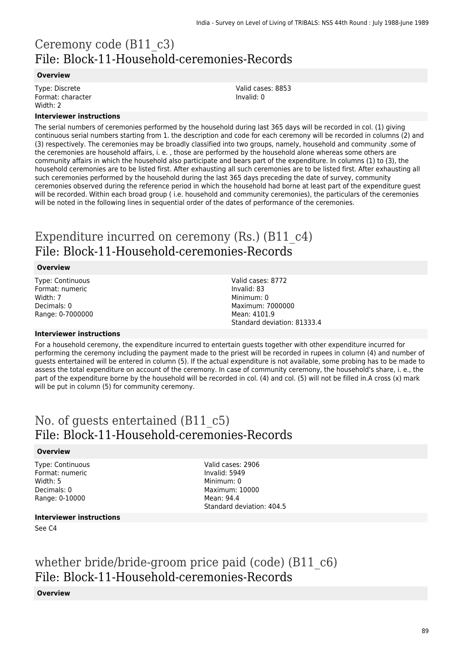## Ceremony code (B11\_c3) File: Block-11-Household-ceremonies-Records

#### **Overview**

Type: Discrete Format: character Width: 2

Valid cases: 8853 Invalid: 0

#### **Interviewer instructions**

The serial numbers of ceremonies performed by the household during last 365 days will be recorded in col. (1) giving continuous serial numbers starting from 1. the description and code for each ceremony will be recorded in columns (2) and (3) respectively. The ceremonies may be broadly classified into two groups, namely, household and community .some of the ceremonies are household affairs, i. e. , those are performed by the household alone whereas some others are community affairs in which the household also participate and bears part of the expenditure. In columns (1) to (3), the household ceremonies are to be listed first. After exhausting all such ceremonies are to be listed first. After exhausting all such ceremonies performed by the household during the last 365 days preceding the date of survey, community ceremonies observed during the reference period in which the household had borne at least part of the expenditure guest will be recorded. Within each broad group ( i.e. household and community ceremonies), the particulars of the ceremonies will be noted in the following lines in sequential order of the dates of performance of the ceremonies.

## Expenditure incurred on ceremony (Rs.) (B11\_c4) File: Block-11-Household-ceremonies-Records

#### **Overview**

Type: Continuous Format: numeric Width: 7 Decimals: 0 Range: 0-7000000 Valid cases: 8772 Invalid: 83 Minimum: 0 Maximum: 7000000 Mean: 4101.9 Standard deviation: 81333.4

#### **Interviewer instructions**

For a household ceremony, the expenditure incurred to entertain guests together with other expenditure incurred for performing the ceremony including the payment made to the priest will be recorded in rupees in column (4) and number of guests entertained will be entered in column (5). If the actual expenditure is not available, some probing has to be made to assess the total expenditure on account of the ceremony. In case of community ceremony, the household's share, i. e., the part of the expenditure borne by the household will be recorded in col. (4) and col. (5) will not be filled in.A cross (x) mark will be put in column (5) for community ceremony.

### No. of guests entertained (B11\_c5) File: Block-11-Household-ceremonies-Records

#### **Overview**

Type: Continuous Format: numeric Width: 5 Decimals: 0 Range: 0-10000

Valid cases: 2906 Invalid: 5949 Minimum: 0 Maximum: 10000 Mean: 94.4 Standard deviation: 404.5

#### **Interviewer instructions**

See C4

## whether bride/bride-groom price paid (code) (B11\_c6) File: Block-11-Household-ceremonies-Records

**Overview**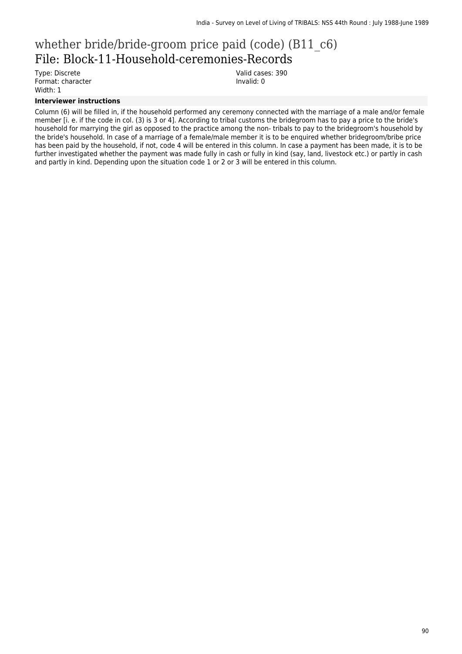## whether bride/bride-groom price paid (code) (B11\_c6) File: Block-11-Household-ceremonies-Records

Type: Discrete Format: character Width: 1

Valid cases: 390 Invalid: 0

#### **Interviewer instructions**

Column (6) will be filled in, if the household performed any ceremony connected with the marriage of a male and/or female member [i. e. if the code in col. (3) is 3 or 4]. According to tribal customs the bridegroom has to pay a price to the bride's household for marrying the girl as opposed to the practice among the non- tribals to pay to the bridegroom's household by the bride's household. In case of a marriage of a female/male member it is to be enquired whether bridegroom/bribe price has been paid by the household, if not, code 4 will be entered in this column. In case a payment has been made, it is to be further investigated whether the payment was made fully in cash or fully in kind (say, land, livestock etc.) or partly in cash and partly in kind. Depending upon the situation code 1 or 2 or 3 will be entered in this column.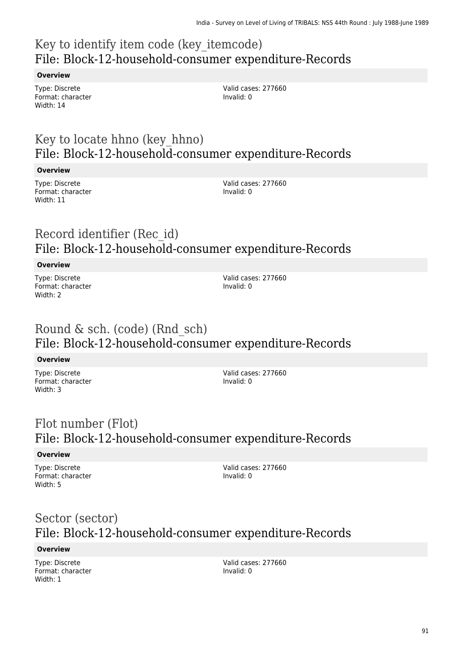## Key to identify item code (key\_itemcode) File: Block-12-household-consumer expenditure-Records

#### **Overview**

Type: Discrete Format: character Width: 14

Valid cases: 277660 Invalid: 0

## Key to locate hhno (key\_hhno) File: Block-12-household-consumer expenditure-Records

#### **Overview**

Type: Discrete Format: character Width: 11

Valid cases: 277660 Invalid: 0

## Record identifier (Rec\_id) File: Block-12-household-consumer expenditure-Records

#### **Overview**

Type: Discrete Format: character Width: 2

Valid cases: 277660 Invalid: 0

### Round & sch. (code) (Rnd\_sch) File: Block-12-household-consumer expenditure-Records

#### **Overview**

Type: Discrete Format: character Width: 3

Valid cases: 277660 Invalid: 0

## Flot number (Flot) File: Block-12-household-consumer expenditure-Records

#### **Overview**

Type: Discrete Format: character Width: 5

Valid cases: 277660 Invalid: 0

## Sector (sector) File: Block-12-household-consumer expenditure-Records

#### **Overview**

Type: Discrete Format: character Width: 1

Valid cases: 277660 Invalid: 0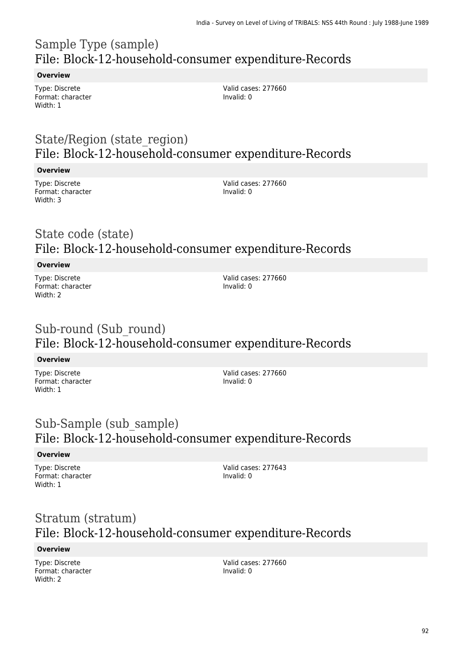## Sample Type (sample) File: Block-12-household-consumer expenditure-Records

#### **Overview**

Type: Discrete Format: character Width: 1

Valid cases: 277660 Invalid: 0

## State/Region (state\_region) File: Block-12-household-consumer expenditure-Records

#### **Overview**

Type: Discrete Format: character Width: 3

Valid cases: 277660 Invalid: 0

## State code (state) File: Block-12-household-consumer expenditure-Records

#### **Overview**

Type: Discrete Format: character Width: 2

Valid cases: 277660 Invalid: 0

### Sub-round (Sub\_round) File: Block-12-household-consumer expenditure-Records

#### **Overview**

Type: Discrete Format: character Width: 1

Valid cases: 277660 Invalid: 0

## Sub-Sample (sub\_sample) File: Block-12-household-consumer expenditure-Records

#### **Overview**

Type: Discrete Format: character Width: 1

Valid cases: 277643 Invalid: 0

### Stratum (stratum) File: Block-12-household-consumer expenditure-Records

#### **Overview**

Type: Discrete Format: character Width: 2

Valid cases: 277660 Invalid: 0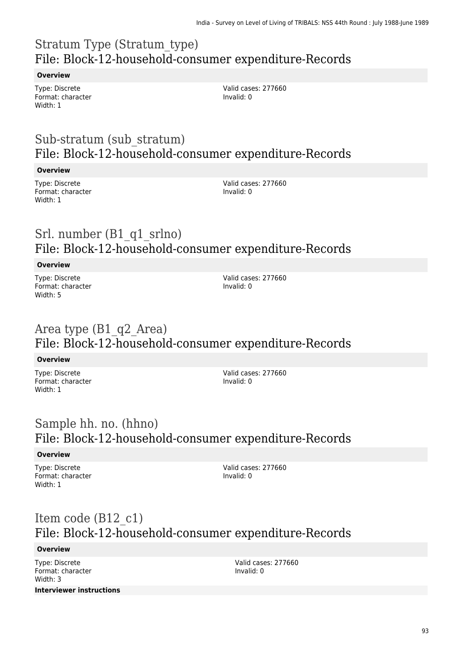## Stratum Type (Stratum\_type) File: Block-12-household-consumer expenditure-Records

#### **Overview**

Type: Discrete Format: character Width: 1

Valid cases: 277660 Invalid: 0

### Sub-stratum (sub\_stratum) File: Block-12-household-consumer expenditure-Records

#### **Overview**

Type: Discrete Format: character Width: 1

Valid cases: 277660 Invalid: 0

## Srl. number (B1\_q1\_srlno) File: Block-12-household-consumer expenditure-Records

#### **Overview**

Type: Discrete Format: character Width: 5

Valid cases: 277660 Invalid: 0

### Area type (B1\_q2\_Area) File: Block-12-household-consumer expenditure-Records

#### **Overview**

Type: Discrete Format: character Width: 1

Valid cases: 277660 Invalid: 0

## Sample hh. no. (hhno) File: Block-12-household-consumer expenditure-Records

#### **Overview**

Type: Discrete Format: character Width: 1

Valid cases: 277660 Invalid: 0

## Item code (B12\_c1) File: Block-12-household-consumer expenditure-Records

#### **Overview**

Type: Discrete Format: character Width: 3

Valid cases: 277660 Invalid: 0

**Interviewer instructions**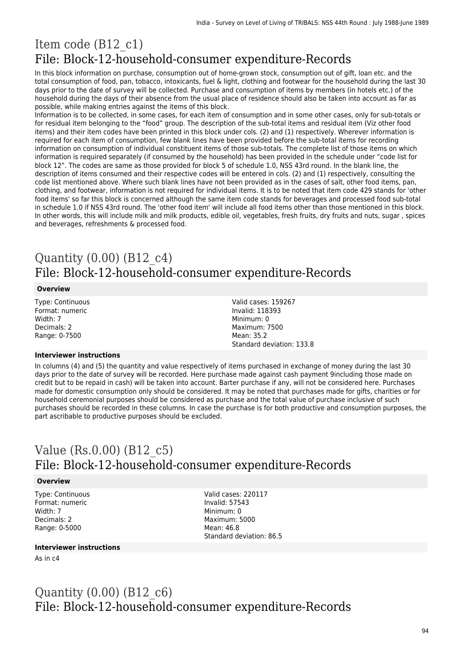## Item code (B12\_c1) File: Block-12-household-consumer expenditure-Records

In this block information on purchase, consumption out of home-grown stock, consumption out of gift, loan etc. and the total consumption of food, pan, tobacco, intoxicants, fuel & light, clothing and footwear for the household during the last 30 days prior to the date of survey will be collected. Purchase and consumption of items by members (in hotels etc.) of the household during the days of their absence from the usual place of residence should also be taken into account as far as possible, while making entries against the items of this block.

Information is to be collected, in some cases, for each item of consumption and in some other cases, only for sub-totals or for residual item belonging to the "food" group. The description of the sub-total items and residual item (Viz other food items) and their item codes have been printed in this block under cols. (2) and (1) respectively. Wherever information is required for each item of consumption, few blank lines have been provided before the sub-total items for recording information on consumption of individual constituent items of those sub-totals. The complete list of those items on which information is required separately (if consumed by the household) has been provided in the schedule under "code list for block 12". The codes are same as those provided for block 5 of schedule 1.0, NSS 43rd round. In the blank line, the description of items consumed and their respective codes will be entered in cols. (2) and (1) respectively, consulting the code list mentioned above. Where such blank lines have not been provided as in the cases of salt, other food items, pan, clothing, and footwear, information is not required for individual items. It is to be noted that item code 429 stands for 'other food items' so far this block is concerned although the same item code stands for beverages and processed food sub-total in schedule 1.0 if NSS 43rd round. The 'other food item' will include all food items other than those mentioned in this block. In other words, this will include milk and milk products, edible oil, vegetables, fresh fruits, dry fruits and nuts, sugar , spices and beverages, refreshments & processed food.

## Quantity (0.00) (B12\_c4) File: Block-12-household-consumer expenditure-Records

#### **Overview**

Type: Continuous Format: numeric Width: 7 Decimals: 2 Range: 0-7500

#### **Interviewer instructions**

In columns (4) and (5) the quantity and value respectively of items purchased in exchange of money during the last 30 days prior to the date of survey will be recorded. Here purchase made against cash payment 9including those made on credit but to be repaid in cash) will be taken into account. Barter purchase if any, will not be considered here. Purchases made for domestic consumption only should be considered. It may be noted that purchases made for gifts, charities or for household ceremonial purposes should be considered as purchase and the total value of purchase inclusive of such purchases should be recorded in these columns. In case the purchase is for both productive and consumption purposes, the part ascribable to productive purposes should be excluded.

Valid cases: 159267 Invalid: 118393 Minimum: 0 Maximum: 7500 Mean: 35.2

Standard deviation: 133.8

## Value (Rs.0.00) (B12\_c5) File: Block-12-household-consumer expenditure-Records

#### **Overview**

Type: Continuous Format: numeric Width: 7 Decimals: 2 Range: 0-5000

Valid cases: 220117 Invalid: 57543 Minimum: 0 Maximum: 5000 Mean: 46.8 Standard deviation: 86.5

#### **Interviewer instructions**

As in  $c4$ 

### Quantity (0.00) (B12\_c6) File: Block-12-household-consumer expenditure-Records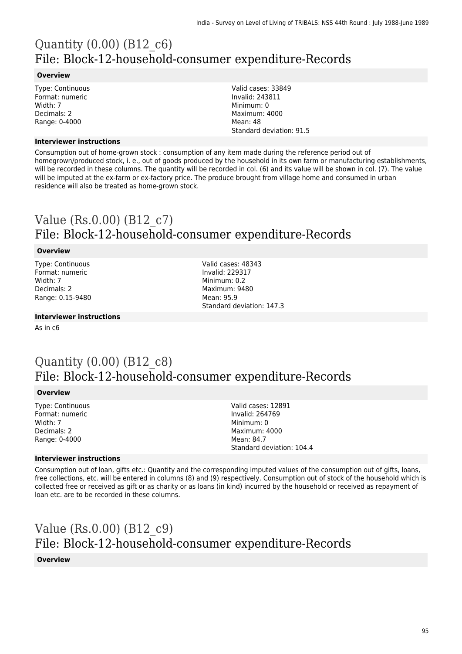## Quantity (0.00) (B12\_c6) File: Block-12-household-consumer expenditure-Records

#### **Overview**

Type: Continuous Format: numeric Width: 7 Decimals: 2 Range: 0-4000

#### **Interviewer instructions**

Valid cases: 33849 Invalid: 243811 Minimum: 0 Maximum: 4000 Mean: 48 Standard deviation: 91.5

Consumption out of home-grown stock : consumption of any item made during the reference period out of homegrown/produced stock, i. e., out of goods produced by the household in its own farm or manufacturing establishments, will be recorded in these columns. The quantity will be recorded in col. (6) and its value will be shown in col. (7). The value will be imputed at the ex-farm or ex-factory price. The produce brought from village home and consumed in urban residence will also be treated as home-grown stock.

### Value (Rs.0.00) (B12\_c7) File: Block-12-household-consumer expenditure-Records

#### **Overview**

Type: Continuous Format: numeric Width: 7 Decimals: 2 Range: 0.15-9480 Valid cases: 48343 Invalid: 229317 Minimum: 0.2 Maximum: 9480 Mean: 95.9 Standard deviation: 147.3

#### **Interviewer instructions**

As in c6

## Quantity (0.00) (B12\_c8) File: Block-12-household-consumer expenditure-Records

#### **Overview**

Type: Continuous Format: numeric Width: 7 Decimals: 2 Range: 0-4000

Valid cases: 12891 Invalid: 264769 Minimum: 0 Maximum: 4000 Mean: 84.7 Standard deviation: 104.4

#### **Interviewer instructions**

Consumption out of loan, gifts etc.: Quantity and the corresponding imputed values of the consumption out of gifts, loans, free collections, etc. will be entered in columns (8) and (9) respectively. Consumption out of stock of the household which is collected free or received as gift or as charity or as loans (in kind) incurred by the household or received as repayment of loan etc. are to be recorded in these columns.

# Value (Rs.0.00) (B12\_c9) File: Block-12-household-consumer expenditure-Records

#### **Overview**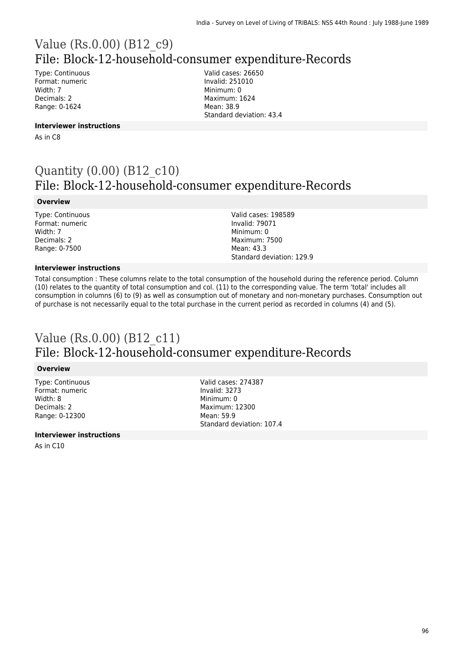## Value (Rs.0.00) (B12\_c9) File: Block-12-household-consumer expenditure-Records

Type: Continuous Format: numeric Width: 7 Decimals: 2 Range: 0-1624

Valid cases: 26650 Invalid: 251010 Minimum: 0 Maximum: 1624 Mean: 38.9 Standard deviation: 43.4

#### **Interviewer instructions**

As in C8

## Quantity (0.00) (B12\_c10) File: Block-12-household-consumer expenditure-Records

#### **Overview**

Type: Continuous Format: numeric Width: 7 Decimals: 2 Range: 0-7500

#### **Interviewer instructions**

Valid cases: 198589 Invalid: 79071 Minimum: 0 Maximum: 7500 Mean: 43.3 Standard deviation: 129.9

Total consumption : These columns relate to the total consumption of the household during the reference period. Column (10) relates to the quantity of total consumption and col. (11) to the corresponding value. The term 'total' includes all consumption in columns (6) to (9) as well as consumption out of monetary and non-monetary purchases. Consumption out of purchase is not necessarily equal to the total purchase in the current period as recorded in columns (4) and (5).

## Value (Rs.0.00) (B12\_c11) File: Block-12-household-consumer expenditure-Records

#### **Overview**

Type: Continuous Format: numeric Width: 8 Decimals: 2 Range: 0-12300

**Interviewer instructions**

As in C10

Valid cases: 274387 Invalid: 3273 Minimum: 0 Maximum: 12300 Mean: 59.9 Standard deviation: 107.4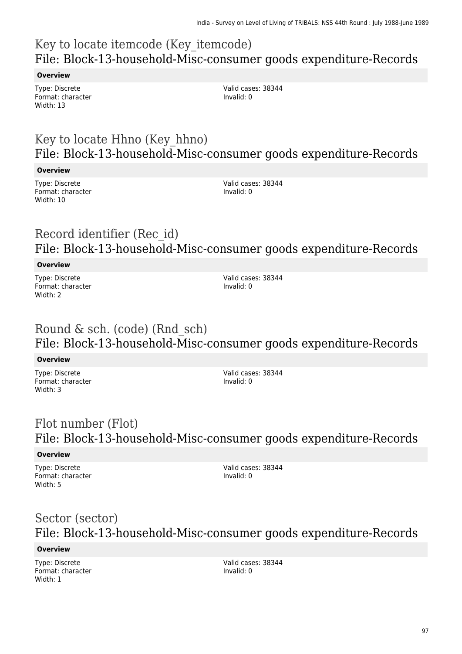## Key to locate itemcode (Key\_itemcode) File: Block-13-household-Misc-consumer goods expenditure-Records

#### **Overview**

Type: Discrete Format: character Width: 13

Valid cases: 38344 Invalid: 0

## Key to locate Hhno (Key\_hhno) File: Block-13-household-Misc-consumer goods expenditure-Records

#### **Overview**

Type: Discrete Format: character Width: 10

Valid cases: 38344 Invalid: 0

## Record identifier (Rec\_id) File: Block-13-household-Misc-consumer goods expenditure-Records

#### **Overview**

Type: Discrete Format: character Width: 2

Valid cases: 38344 Invalid: 0

### Round & sch. (code) (Rnd\_sch) File: Block-13-household-Misc-consumer goods expenditure-Records

#### **Overview**

Type: Discrete Format: character Width: 3

Valid cases: 38344 Invalid: 0

## Flot number (Flot) File: Block-13-household-Misc-consumer goods expenditure-Records

#### **Overview**

Type: Discrete Format: character Width: 5

Valid cases: 38344 Invalid: 0

### Sector (sector) File: Block-13-household-Misc-consumer goods expenditure-Records

#### **Overview**

Type: Discrete Format: character Width: 1

Valid cases: 38344 Invalid: 0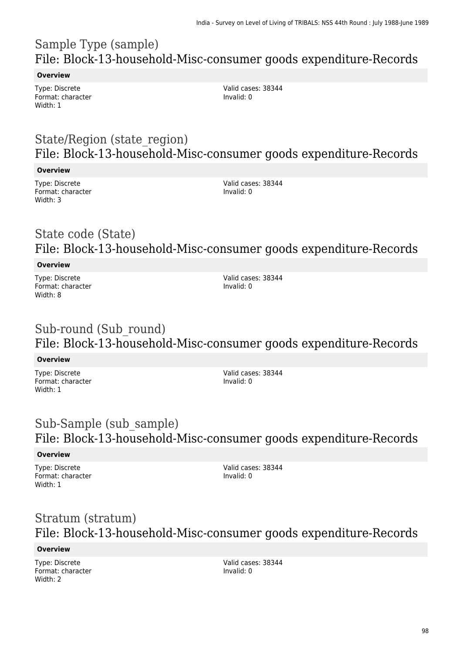## Sample Type (sample) File: Block-13-household-Misc-consumer goods expenditure-Records

#### **Overview**

Type: Discrete Format: character Width: 1

Valid cases: 38344 Invalid: 0

## State/Region (state\_region) File: Block-13-household-Misc-consumer goods expenditure-Records

#### **Overview**

Type: Discrete Format: character Width: 3

Valid cases: 38344 Invalid: 0

## State code (State) File: Block-13-household-Misc-consumer goods expenditure-Records

#### **Overview**

Type: Discrete Format: character Width: 8

Valid cases: 38344 Invalid: 0

### Sub-round (Sub\_round) File: Block-13-household-Misc-consumer goods expenditure-Records

#### **Overview**

Type: Discrete Format: character Width: 1

Valid cases: 38344 Invalid: 0

## Sub-Sample (sub\_sample) File: Block-13-household-Misc-consumer goods expenditure-Records

#### **Overview**

Type: Discrete Format: character Width: 1

Valid cases: 38344 Invalid: 0

### Stratum (stratum) File: Block-13-household-Misc-consumer goods expenditure-Records

#### **Overview**

Type: Discrete Format: character Width: 2

Valid cases: 38344 Invalid: 0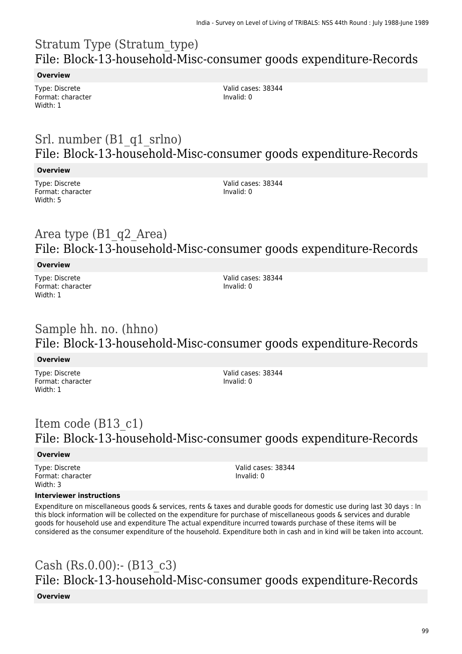## Stratum Type (Stratum\_type) File: Block-13-household-Misc-consumer goods expenditure-Records

#### **Overview**

Type: Discrete Format: character Width: 1

Valid cases: 38344 Invalid: 0

### Srl. number (B1\_q1\_srlno) File: Block-13-household-Misc-consumer goods expenditure-Records

#### **Overview**

Type: Discrete Format: character Width: 5

Valid cases: 38344 Invalid: 0

### Area type (B1\_q2\_Area) File: Block-13-household-Misc-consumer goods expenditure-Records

#### **Overview**

Type: Discrete Format: character Width: 1

Valid cases: 38344 Invalid: 0

### Sample hh. no. (hhno) File: Block-13-household-Misc-consumer goods expenditure-Records

#### **Overview**

Type: Discrete Format: character Width: 1

Valid cases: 38344 Invalid: 0

## Item code (B13\_c1) File: Block-13-household-Misc-consumer goods expenditure-Records

#### **Overview**

Type: Discrete Format: character Width: 3

Valid cases: 38344 Invalid: 0

#### **Interviewer instructions**

Expenditure on miscellaneous goods & services, rents & taxes and durable goods for domestic use during last 30 days : In this block information will be collected on the expenditure for purchase of miscellaneous goods & services and durable goods for household use and expenditure The actual expenditure incurred towards purchase of these items will be considered as the consumer expenditure of the household. Expenditure both in cash and in kind will be taken into account.

### Cash (Rs.0.00):- (B13\_c3) File: Block-13-household-Misc-consumer goods expenditure-Records **Overview**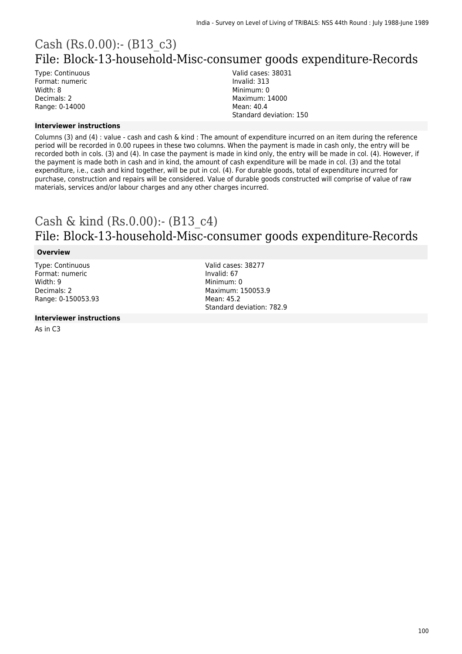### Cash (Rs.0.00):- (B13\_c3) File: Block-13-household-Misc-consumer goods expenditure-Records

Type: Continuous Format: numeric Width: 8 Decimals: 2 Range: 0-14000

Valid cases: 38031 Invalid: 313 Minimum: 0 Maximum: 14000 Mean: 40.4 Standard deviation: 150

#### **Interviewer instructions**

Columns (3) and (4) : value - cash and cash & kind : The amount of expenditure incurred on an item during the reference period will be recorded in 0.00 rupees in these two columns. When the payment is made in cash only, the entry will be recorded both in cols. (3) and (4). In case the payment is made in kind only, the entry will be made in col. (4). However, if the payment is made both in cash and in kind, the amount of cash expenditure will be made in col. (3) and the total expenditure, i.e., cash and kind together, will be put in col. (4). For durable goods, total of expenditure incurred for purchase, construction and repairs will be considered. Value of durable goods constructed will comprise of value of raw materials, services and/or labour charges and any other charges incurred.

## Cash & kind (Rs.0.00):- (B13\_c4) File: Block-13-household-Misc-consumer goods expenditure-Records

#### **Overview**

Type: Continuous Format: numeric Width: 9 Decimals: 2 Range: 0-150053.93 Valid cases: 38277 Invalid: 67 Minimum: 0 Maximum: 150053.9 Mean: 45.2 Standard deviation: 782.9

#### **Interviewer instructions**

As in C3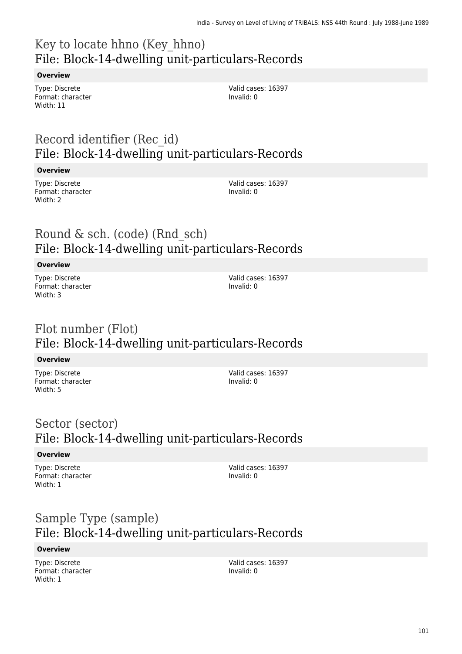## Key to locate hhno (Key\_hhno) File: Block-14-dwelling unit-particulars-Records

#### **Overview**

Type: Discrete Format: character Width: 11

Valid cases: 16397 Invalid: 0

## Record identifier (Rec\_id) File: Block-14-dwelling unit-particulars-Records

#### **Overview**

Type: Discrete Format: character Width: 2

Valid cases: 16397 Invalid: 0

## Round & sch. (code) (Rnd\_sch) File: Block-14-dwelling unit-particulars-Records

#### **Overview**

Type: Discrete Format: character Width: 3

Valid cases: 16397 Invalid: 0

## Flot number (Flot) File: Block-14-dwelling unit-particulars-Records

#### **Overview**

Type: Discrete Format: character Width: 5

Valid cases: 16397 Invalid: 0

### Sector (sector) File: Block-14-dwelling unit-particulars-Records

#### **Overview**

Type: Discrete Format: character Width: 1

Valid cases: 16397 Invalid: 0

## Sample Type (sample) File: Block-14-dwelling unit-particulars-Records

#### **Overview**

Type: Discrete Format: character Width: 1

Valid cases: 16397 Invalid: 0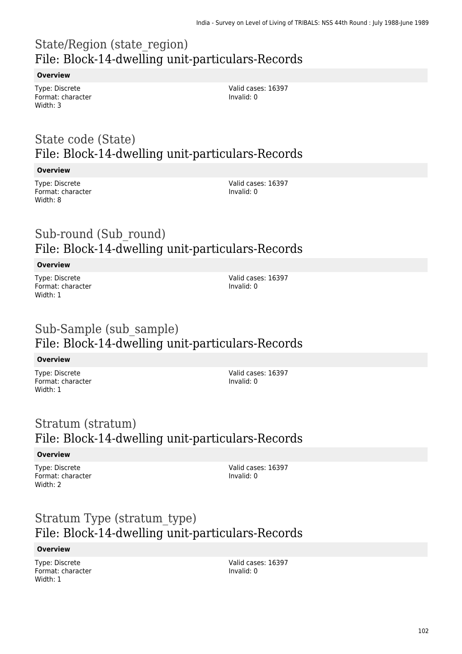## State/Region (state\_region) File: Block-14-dwelling unit-particulars-Records

#### **Overview**

Type: Discrete Format: character Width: 3

Valid cases: 16397 Invalid: 0

## State code (State) File: Block-14-dwelling unit-particulars-Records

#### **Overview**

Type: Discrete Format: character Width: 8

Valid cases: 16397 Invalid: 0

## Sub-round (Sub\_round) File: Block-14-dwelling unit-particulars-Records

#### **Overview**

Type: Discrete Format: character Width: 1

Valid cases: 16397 Invalid: 0

### Sub-Sample (sub\_sample) File: Block-14-dwelling unit-particulars-Records

#### **Overview**

Type: Discrete Format: character Width: 1

Valid cases: 16397 Invalid: 0

## Stratum (stratum) File: Block-14-dwelling unit-particulars-Records

#### **Overview**

Type: Discrete Format: character Width: 2

Valid cases: 16397 Invalid: 0

### Stratum Type (stratum\_type) File: Block-14-dwelling unit-particulars-Records

#### **Overview**

Type: Discrete Format: character Width: 1

Valid cases: 16397 Invalid: 0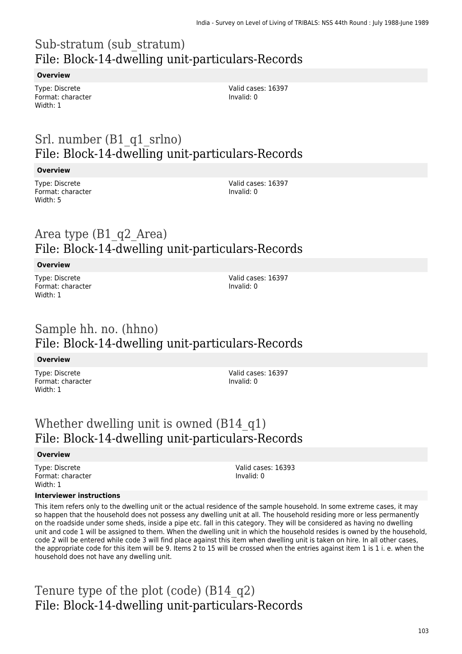## Sub-stratum (sub\_stratum) File: Block-14-dwelling unit-particulars-Records

#### **Overview**

Type: Discrete Format: character Width: 1

Valid cases: 16397 Invalid: 0

## Srl. number (B1\_q1\_srlno) File: Block-14-dwelling unit-particulars-Records

#### **Overview**

Type: Discrete Format: character Width: 5

Valid cases: 16397 Invalid: 0

## Area type (B1\_q2\_Area) File: Block-14-dwelling unit-particulars-Records

#### **Overview**

Type: Discrete Format: character Width: 1

Valid cases: 16397 Invalid: 0

### Sample hh. no. (hhno) File: Block-14-dwelling unit-particulars-Records

#### **Overview**

Type: Discrete Format: character Width: 1

Valid cases: 16397 Invalid: 0

## Whether dwelling unit is owned (B14 q1) File: Block-14-dwelling unit-particulars-Records

#### **Overview**

Type: Discrete Format: character Width: 1

#### Valid cases: 16393 Invalid: 0

#### **Interviewer instructions**

This item refers only to the dwelling unit or the actual residence of the sample household. In some extreme cases, it may so happen that the household does not possess any dwelling unit at all. The household residing more or less permanently on the roadside under some sheds, inside a pipe etc. fall in this category. They will be considered as having no dwelling unit and code 1 will be assigned to them. When the dwelling unit in which the household resides is owned by the household, code 2 will be entered while code 3 will find place against this item when dwelling unit is taken on hire. In all other cases, the appropriate code for this item will be 9. Items 2 to 15 will be crossed when the entries against item 1 is 1 i. e. when the household does not have any dwelling unit.

### Tenure type of the plot (code) (B14\_q2) File: Block-14-dwelling unit-particulars-Records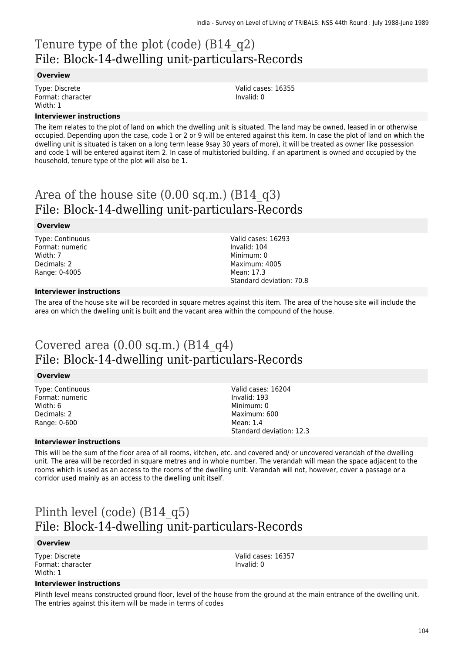## Tenure type of the plot (code) (B14\_q2) File: Block-14-dwelling unit-particulars-Records

#### **Overview**

Type: Discrete Format: character Width: 1

#### **Interviewer instructions**

The item relates to the plot of land on which the dwelling unit is situated. The land may be owned, leased in or otherwise occupied. Depending upon the case, code 1 or 2 or 9 will be entered against this item. In case the plot of land on which the dwelling unit is situated is taken on a long term lease 9say 30 years of more), it will be treated as owner like possession and code 1 will be entered against item 2. In case of multistoried building, if an apartment is owned and occupied by the household, tenure type of the plot will also be 1.

### Area of the house site (0.00 sq.m.) (B14\_q3) File: Block-14-dwelling unit-particulars-Records

#### **Overview**

Type: Continuous Format: numeric Width: 7 Decimals: 2 Range: 0-4005

Valid cases: 16293 Invalid: 104 Minimum: 0 Maximum: 4005 Mean: 17.3 Standard deviation: 70.8

Valid cases: 16355

Invalid: 0

#### **Interviewer instructions**

The area of the house site will be recorded in square metres against this item. The area of the house site will include the area on which the dwelling unit is built and the vacant area within the compound of the house.

## Covered area  $(0.00 \text{ sq.m.})$   $(B14 \text{ q}4)$ File: Block-14-dwelling unit-particulars-Records

#### **Overview**

Type: Continuous Format: numeric Width: 6 Decimals: 2 Range: 0-600

Valid cases: 16204 Invalid: 193 Minimum: 0 Maximum: 600 Mean: 1.4 Standard deviation: 12.3

#### **Interviewer instructions**

This will be the sum of the floor area of all rooms, kitchen, etc. and covered and/ or uncovered verandah of the dwelling unit. The area will be recorded in square metres and in whole number. The verandah will mean the space adjacent to the rooms which is used as an access to the rooms of the dwelling unit. Verandah will not, however, cover a passage or a corridor used mainly as an access to the dwelling unit itself.

## Plinth level (code) (B14\_q5) File: Block-14-dwelling unit-particulars-Records

#### **Overview**

Type: Discrete Format: character Width: 1

Valid cases: 16357 Invalid: 0

#### **Interviewer instructions**

Plinth level means constructed ground floor, level of the house from the ground at the main entrance of the dwelling unit. The entries against this item will be made in terms of codes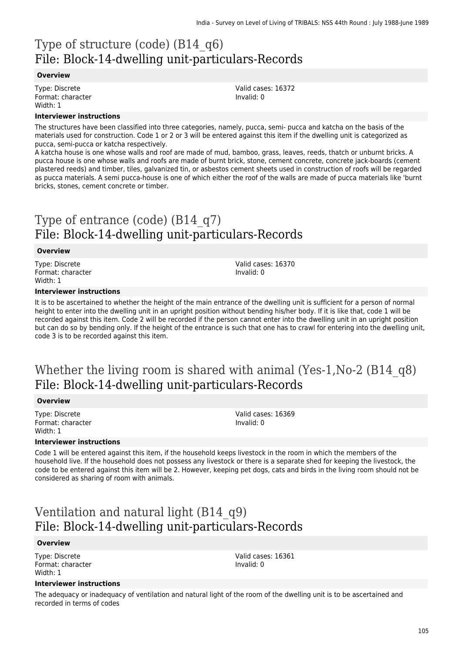## Type of structure (code) (B14\_q6) File: Block-14-dwelling unit-particulars-Records

#### **Overview**

Type: Discrete Format: character Width: 1

Valid cases: 16372 Invalid: 0

#### **Interviewer instructions**

The structures have been classified into three categories, namely, pucca, semi- pucca and katcha on the basis of the materials used for construction. Code 1 or 2 or 3 will be entered against this item if the dwelling unit is categorized as pucca, semi-pucca or katcha respectively.

A katcha house is one whose walls and roof are made of mud, bamboo, grass, leaves, reeds, thatch or unburnt bricks. A pucca house is one whose walls and roofs are made of burnt brick, stone, cement concrete, concrete jack-boards (cement plastered reeds) and timber, tiles, galvanized tin, or asbestos cement sheets used in construction of roofs will be regarded as pucca materials. A semi pucca-house is one of which either the roof of the walls are made of pucca materials like 'burnt bricks, stones, cement concrete or timber.

### Type of entrance (code) (B14\_q7) File: Block-14-dwelling unit-particulars-Records

#### **Overview**

Type: Discrete Format: character Width: 1

Valid cases: 16370 Invalid: 0

#### **Interviewer instructions**

It is to be ascertained to whether the height of the main entrance of the dwelling unit is sufficient for a person of normal height to enter into the dwelling unit in an upright position without bending his/her body. If it is like that, code 1 will be recorded against this item. Code 2 will be recorded if the person cannot enter into the dwelling unit in an upright position but can do so by bending only. If the height of the entrance is such that one has to crawl for entering into the dwelling unit, code 3 is to be recorded against this item.

### Whether the living room is shared with animal (Yes-1, No-2 (B14 q8) File: Block-14-dwelling unit-particulars-Records

#### **Overview**

Type: Discrete Format: character Width: 1

Valid cases: 16369 Invalid: 0

#### **Interviewer instructions**

Code 1 will be entered against this item, if the household keeps livestock in the room in which the members of the household live. If the household does not possess any livestock or there is a separate shed for keeping the livestock, the code to be entered against this item will be 2. However, keeping pet dogs, cats and birds in the living room should not be considered as sharing of room with animals.

## Ventilation and natural light (B14\_q9) File: Block-14-dwelling unit-particulars-Records

#### **Overview**

Type: Discrete Format: character Width: 1

Valid cases: 16361 Invalid: 0

#### **Interviewer instructions**

The adequacy or inadequacy of ventilation and natural light of the room of the dwelling unit is to be ascertained and recorded in terms of codes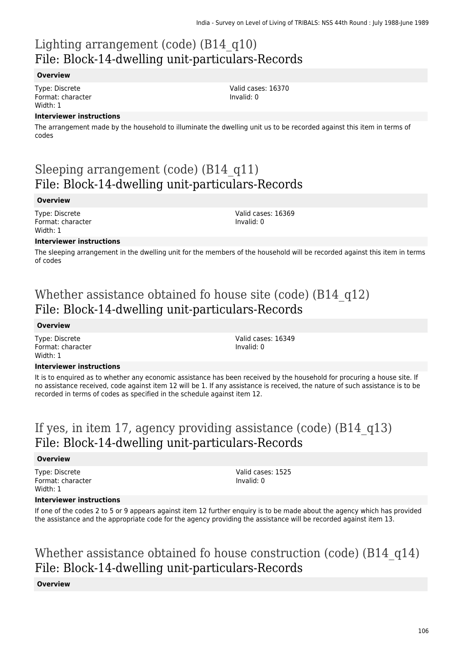## Lighting arrangement (code) (B14\_q10) File: Block-14-dwelling unit-particulars-Records

#### **Overview**

Type: Discrete Format: character Width: 1

#### **Interviewer instructions**

The arrangement made by the household to illuminate the dwelling unit us to be recorded against this item in terms of codes

### Sleeping arrangement (code) (B14\_q11) File: Block-14-dwelling unit-particulars-Records

#### **Overview**

Type: Discrete Format: character Width: 1

Valid cases: 16369 Invalid: 0

Valid cases: 16370

Invalid: 0

#### **Interviewer instructions**

The sleeping arrangement in the dwelling unit for the members of the household will be recorded against this item in terms of codes

### Whether assistance obtained fo house site (code) (B14\_q12) File: Block-14-dwelling unit-particulars-Records

**Overview**

Type: Discrete Format: character Width: 1

Valid cases: 16349 Invalid: 0

#### **Interviewer instructions**

It is to enquired as to whether any economic assistance has been received by the household for procuring a house site. If no assistance received, code against item 12 will be 1. If any assistance is received, the nature of such assistance is to be recorded in terms of codes as specified in the schedule against item 12.

### If yes, in item 17, agency providing assistance (code) (B14\_q13) File: Block-14-dwelling unit-particulars-Records

#### **Overview**

Type: Discrete Format: character Width: 1

Valid cases: 1525 Invalid: 0

#### **Interviewer instructions**

If one of the codes 2 to 5 or 9 appears against item 12 further enquiry is to be made about the agency which has provided the assistance and the appropriate code for the agency providing the assistance will be recorded against item 13.

## Whether assistance obtained fo house construction (code) (B14\_q14) File: Block-14-dwelling unit-particulars-Records

#### **Overview**

106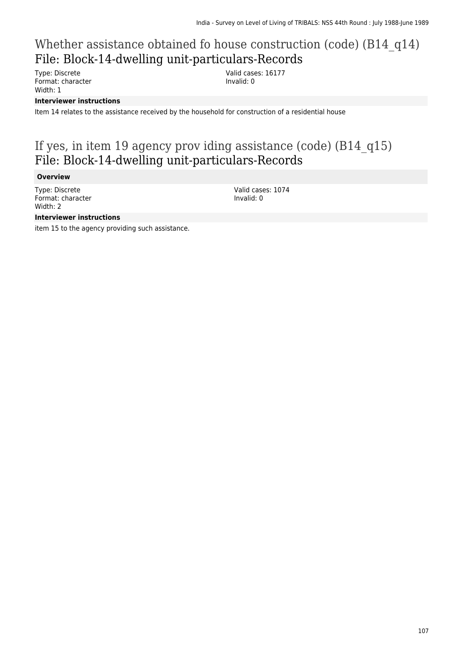## Whether assistance obtained fo house construction (code) (B14\_q14) File: Block-14-dwelling unit-particulars-Records

Type: Discrete Format: character Width: 1

Valid cases: 16177 Invalid: 0

#### **Interviewer instructions**

Item 14 relates to the assistance received by the household for construction of a residential house

### If yes, in item 19 agency prov iding assistance (code) (B14\_q15) File: Block-14-dwelling unit-particulars-Records

#### **Overview**

Type: Discrete Format: character Width: 2

Valid cases: 1074 Invalid: 0

#### **Interviewer instructions**

item 15 to the agency providing such assistance.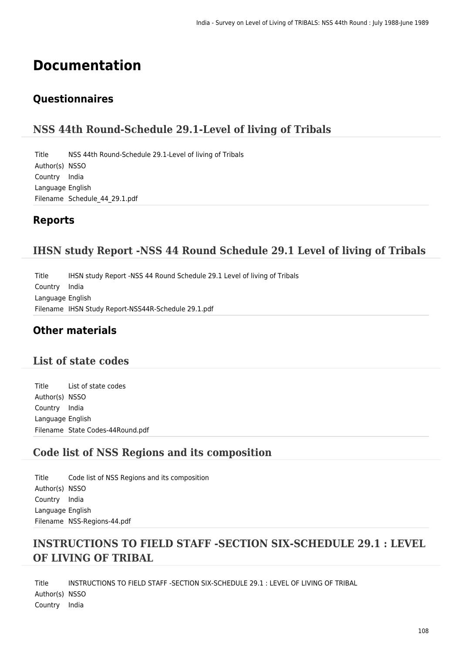# **Documentation**

### **Questionnaires**

### **NSS 44th Round-Schedule 29.1-Level of living of Tribals**

Title NSS 44th Round-Schedule 29.1-Level of living of Tribals Author(s) NSSO Country India Language English Filename Schedule\_44\_29.1.pdf

### **Reports**

### **IHSN study Report -NSS 44 Round Schedule 29.1 Level of living of Tribals**

Title IHSN study Report -NSS 44 Round Schedule 29.1 Level of living of Tribals Country India Language English Filename IHSN Study Report-NSS44R-Schedule 29.1.pdf

### **Other materials**

### **List of state codes**

Title List of state codes Author(s) NSSO Country India Language English Filename State Codes-44Round.pdf

### **Code list of NSS Regions and its composition**

Title Code list of NSS Regions and its composition Author(s) NSSO Country India Language English Filename NSS-Regions-44.pdf

### **INSTRUCTIONS TO FIELD STAFF -SECTION SIX-SCHEDULE 29.1 : LEVEL OF LIVING OF TRIBAL**

Title INSTRUCTIONS TO FIELD STAFF -SECTION SIX-SCHEDULE 29.1 : LEVEL OF LIVING OF TRIBAL Author(s) NSSO Country India